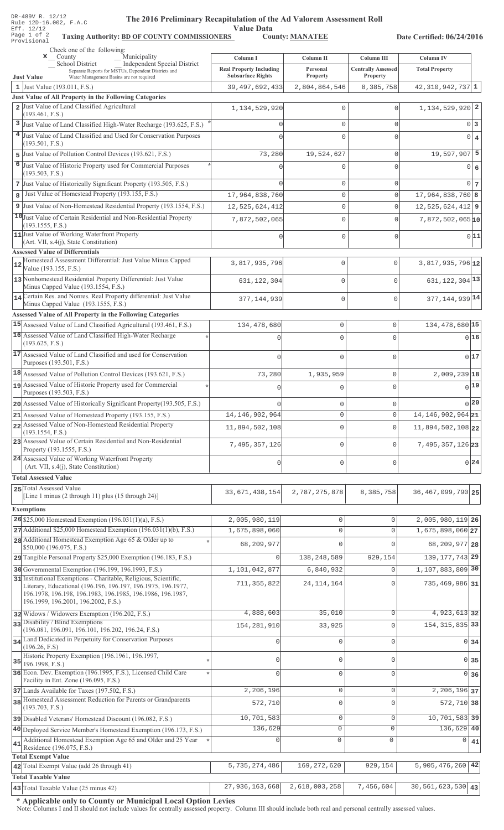| DR-489V R. 12/12 |  |  |                        |
|------------------|--|--|------------------------|
|                  |  |  | Rule 12D-16.002, F.A.C |
| Eff. 12/12       |  |  |                        |
| Page 1 of 2      |  |  | Taxing                 |
| Provisional      |  |  |                        |

## The 2016 Preliminary Recapitulation of the Ad Valorem Assessment Roll

Value Data<br>S<sub>1</sub> County: <u>MANATEE</u>

Taxing Authority: BD OF COUNTY COMMISSIONERS County: MANATEE

Date Certified: 06/24/2016

|    | Check one of the following:<br>Municipality<br>$\mathbf{x}$ County                                                            |                                                            |                                    |                                         |                                           |             |
|----|-------------------------------------------------------------------------------------------------------------------------------|------------------------------------------------------------|------------------------------------|-----------------------------------------|-------------------------------------------|-------------|
|    | <b>Independent Special District</b><br>_School District                                                                       | Column I                                                   | Column II<br>Personal              | Column III<br><b>Centrally Assessed</b> | <b>Column IV</b><br><b>Total Property</b> |             |
|    | Separate Reports for MSTUs, Dependent Districts and<br>Water Management Basins are not required<br><b>Just Value</b>          | <b>Real Property Including</b><br><b>Subsurface Rights</b> | <b>Property</b>                    | <b>Property</b>                         |                                           |             |
|    | 1 Just Value $(193.011, F.S.)$                                                                                                | 39, 497, 692, 433                                          | 2,804,864,546                      | 8,385,758                               | $42,310,942,737$ 1                        |             |
|    | Just Value of All Property in the Following Categories<br>2 Just Value of Land Classified Agricultural                        |                                                            |                                    |                                         |                                           |             |
|    | (193.461, F.S.)                                                                                                               | 1, 134, 529, 920                                           | $\mathbf{0}$                       | $\Omega$                                | 1, 134, 529, 920 2                        |             |
|    | 3 Just Value of Land Classified High-Water Recharge (193.625, F.S.)                                                           | $\Omega$                                                   | $\Omega$                           | 0                                       |                                           | $0\vert 3$  |
|    | 4 Just Value of Land Classified and Used for Conservation Purposes                                                            |                                                            | $\Omega$                           | $\Omega$                                |                                           | $0 \mid 4$  |
| 5  | (193.501, F.S.)<br>Just Value of Pollution Control Devices (193.621, F.S.)                                                    | 73,280                                                     | 19,524,627                         | 0                                       | $19,597,907$ 5                            |             |
|    | 6 Just Value of Historic Property used for Commercial Purposes                                                                |                                                            |                                    | $\Omega$                                |                                           |             |
|    | (193.503, F.S.)                                                                                                               |                                                            |                                    |                                         |                                           | 0 6         |
|    | 7 Just Value of Historically Significant Property (193.505, F.S.)                                                             |                                                            | $\mathbf{0}$                       | 0                                       |                                           | $0\vert 7$  |
| 8  | Just Value of Homestead Property (193.155, F.S.)                                                                              | 17,964,838,760                                             | $\mathbf{0}$                       | 0                                       | $17,964,838,760$ 8                        |             |
|    | 9 Just Value of Non-Homestead Residential Property (193.1554, F.S.)                                                           | 12,525,624,412                                             | $\mathbb O$                        | 0                                       | $12,525,624,412$ 9                        |             |
|    | 10 Just Value of Certain Residential and Non-Residential Property<br>(193.1555, F.S.)                                         | 7,872,502,065                                              | $\mathbf{0}$                       | $\Omega$                                | $7,872,502,065$ <sup>10</sup>             |             |
|    | 11 Just Value of Working Waterfront Property                                                                                  |                                                            | 0                                  | $\Omega$                                |                                           | 0 11        |
|    | (Art. VII, s.4(j), State Constitution)<br><b>Assessed Value of Differentials</b>                                              |                                                            |                                    |                                         |                                           |             |
|    | Homestead Assessment Differential: Just Value Minus Capped                                                                    | 3,817,935,796                                              | $\mathbf{0}$                       | $\circ$                                 | 3,817,935,796 12                          |             |
|    | Value (193.155, F.S.)                                                                                                         |                                                            |                                    |                                         |                                           |             |
|    | 13 Nonhomestead Residential Property Differential: Just Value<br>Minus Capped Value (193.1554, F.S.)                          | 631, 122, 304                                              | $\mathbf{0}$                       | $\mathbf{0}$                            | 631, 122, 304 13                          |             |
|    | 14 Certain Res. and Nonres. Real Property differential: Just Value                                                            | 377, 144, 939                                              | $\mathbf{0}$                       | $\mathbf 0$                             | 377, 144, 939 14                          |             |
|    | Minus Capped Value (193.1555, F.S.)                                                                                           |                                                            |                                    |                                         |                                           |             |
|    | <b>Assessed Value of All Property in the Following Categories</b>                                                             |                                                            |                                    |                                         |                                           |             |
|    | 15 Assessed Value of Land Classified Agricultural (193.461, F.S.)<br>16 Assessed Value of Land Classified High-Water Recharge | 134,478,680                                                | $\mathbf 0$                        | 0                                       | 134, 478, 680 15                          |             |
|    | (193.625, F.S.)                                                                                                               | n                                                          | $\Omega$                           | 0                                       | 0 16                                      |             |
|    | 17 Assessed Value of Land Classified and used for Conservation                                                                |                                                            | $\cap$                             | $\cap$                                  |                                           | 0 17        |
|    | Purposes (193.501, F.S.)                                                                                                      |                                                            |                                    |                                         |                                           |             |
|    | 18 Assessed Value of Pollution Control Devices (193.621, F.S.)<br>19 Assessed Value of Historic Property used for Commercial  | 73,280                                                     | 1,935,959                          | 0                                       | $2,009,239$ <sup>18</sup>                 |             |
|    | Purposes (193.503, F.S.)                                                                                                      | $\Omega$                                                   | 0                                  | 0                                       |                                           | $_{0}$ [19] |
|    | 20 Assessed Value of Historically Significant Property (193.505, F.S.)                                                        |                                                            | 0                                  |                                         | 0 20                                      |             |
|    | 21 Assessed Value of Homestead Property (193.155, F.S.)                                                                       | 14,146,902,964                                             | U                                  |                                         | 14, 146, 902, 964 21                      |             |
|    | 22 Assessed Value of Non-Homestead Residential Property<br>(193.1554, F.S.)                                                   | 11,894,502,108                                             | $\Omega$                           | $\Omega$                                | 11,894,502,108 22                         |             |
|    | 23 Assessed Value of Certain Residential and Non-Residential                                                                  | 7,495,357,126                                              | 0                                  | 0                                       | $7,495,357,126$  23                       |             |
|    | Property (193.1555, F.S.)                                                                                                     |                                                            |                                    |                                         |                                           |             |
|    | 24 Assessed Value of Working Waterfront Property<br>(Art. VII, s.4(j), State Constitution)                                    | 0                                                          | $\mathbf 0$                        | $\mathbf{0}$                            |                                           | $0^{24}$    |
|    | <b>Total Assessed Value</b>                                                                                                   |                                                            |                                    |                                         |                                           |             |
|    | 25 Total Assessed Value                                                                                                       | 33, 671, 438, 154                                          | 2,787,275,878                      | 8,385,758                               | 36, 467, 099, 790 25                      |             |
|    | [Line 1 minus $(2 \text{ through } 11)$ plus $(15 \text{ through } 24)$ ]                                                     |                                                            |                                    |                                         |                                           |             |
|    | <b>Exemptions</b>                                                                                                             |                                                            |                                    |                                         |                                           |             |
|    | $26$ \$25,000 Homestead Exemption (196.031(1)(a), F.S.)<br>27 Additional \$25,000 Homestead Exemption (196.031(1)(b), F.S.)   | 2,005,980,119<br>1,675,898,060                             | $\mathbf 0$<br>$\mathsf{O}\xspace$ | $\Omega$<br>$\Omega$                    | 2,005,980,119 26<br>1,675,898,060 27      |             |
|    | 28 Additional Homestead Exemption Age 65 & Older up to                                                                        |                                                            |                                    |                                         |                                           |             |
|    | \$50,000 (196.075, F.S.)                                                                                                      | 68,209,977                                                 | $\mathbf 0$                        | $\Omega$                                | 68, 209, 977 28                           |             |
|    | 29 Tangible Personal Property \$25,000 Exemption (196.183, F.S.)                                                              | $\mathbf{0}$                                               | 138, 248, 589                      | 929,154                                 | 139, 177, 743 29                          |             |
|    | 30 Governmental Exemption (196.199, 196.1993, F.S.)<br>31 Institutional Exemptions - Charitable, Religious, Scientific,       | 1,101,042,877                                              | 6,840,932                          | $\Omega$                                | 1, 107, 883, 809 30                       |             |
|    | Literary, Educational (196.196, 196.197, 196.1975, 196.1977,                                                                  | 711, 355, 822                                              | 24, 114, 164                       | $\Omega$                                | 735,469,986 31                            |             |
|    | 196.1978, 196.198, 196.1983, 196.1985, 196.1986, 196.1987,<br>196.1999, 196.2001, 196.2002, F.S.)                             |                                                            |                                    |                                         |                                           |             |
|    | 32 Widows / Widowers Exemption (196.202, F.S.)                                                                                | 4,888,603                                                  | 35,010                             | $\mathbf 0$                             | 4,923,613 32                              |             |
|    | 33 Disability / Blind Exemptions                                                                                              | 154, 281, 910                                              | 33,925                             | $\Omega$                                | 154, 315, 835 33                          |             |
|    | (196.081, 196.091, 196.101, 196.202, 196.24, F.S.)<br>34 Land Dedicated in Perpetuity for Conservation Purposes               |                                                            |                                    |                                         |                                           |             |
|    | (196.26, F.S)                                                                                                                 | $\mathbf{0}$                                               | $\mathbf{0}$                       | $\mathbf 0$                             | $0 \overline{\smash)34}$                  |             |
|    | Historic Property Exemption (196.1961, 196.1997,<br>$35$ 196.1998, F.S.)                                                      | $\circ$                                                    | $\mathbb O$                        | $\Omega$                                | $0 \overline{\smash)35}$                  |             |
|    | 36 Econ. Dev. Exemption (196.1995, F.S.), Licensed Child Care                                                                 | $\Omega$                                                   | $\mathbf 0$                        | $\Omega$                                | $0 \overline{\smash{\big)}\ 36}$          |             |
|    | Facility in Ent. Zone (196.095, F.S.)                                                                                         |                                                            |                                    |                                         |                                           |             |
|    | 37 Lands Available for Taxes (197.502, F.S.)<br>38 Homestead Assessment Reduction for Parents or Grandparents                 | 2,206,196                                                  | $\mathbb O$                        | $\mathbf 0$                             | 2, 206, 196 37                            |             |
|    | (193.703, F.S.)                                                                                                               | 572,710                                                    | $\mathbb O$                        | $\Omega$                                | 572,710 38                                |             |
|    | 39 Disabled Veterans' Homestead Discount (196.082, F.S.)                                                                      | 10,701,583                                                 | $\mathsf{O}\xspace$                | $\mathbf 0$                             | 10,701,583 39                             |             |
|    | 40 Deployed Service Member's Homestead Exemption (196.173, F.S.)                                                              | 136,629                                                    | $\mathsf{O}\xspace$                | $\mathbf{0}$                            | 136,629 40                                |             |
| 41 | Additional Homestead Exemption Age 65 and Older and 25 Year<br>Residence (196.075, F.S.)                                      | 0                                                          | $\mathbb O$                        | $\mathbf 0$                             | 0                                         | 41          |
|    | <b>Total Exempt Value</b>                                                                                                     |                                                            |                                    |                                         |                                           |             |
|    | 42 Total Exempt Value (add 26 through 41)                                                                                     | 5,735,274,486                                              | 169, 272, 620                      | 929,154                                 | 5,905,476,260 42                          |             |
|    | <b>Total Taxable Value</b>                                                                                                    |                                                            |                                    |                                         |                                           |             |
|    | 43 Total Taxable Value (25 minus 42)                                                                                          | 27,936,163,668                                             | 2,618,003,258                      | 7,456,604                               | $\overline{30}$ , 561, 623, 530 43        |             |

\* Applicable only to County or Municipal Local Option Levies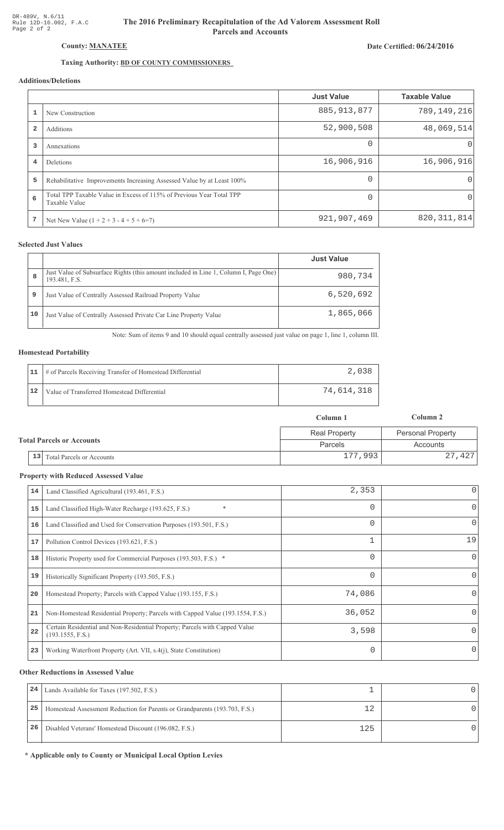# The 2016 Preliminary Recapitulation of the Ad Valorem Assessment Roll **Parcels and Accounts**

### Date Certified: 06/24/2016

# Taxing Authority: BD OF COUNTY COMMISSIONERS

## Additions/Deletions

|                |                                                                                       | <b>Just Value</b> | <b>Taxable Value</b> |
|----------------|---------------------------------------------------------------------------------------|-------------------|----------------------|
|                | New Construction                                                                      | 885, 913, 877     | 789,149,216          |
| $\overline{2}$ | Additions                                                                             | 52,900,508        | 48,069,514           |
| 3              | Annexations                                                                           | $\Omega$          | $\left( \right)$     |
| 4              | Deletions                                                                             | 16,906,916        | 16,906,916           |
| 5              | Rehabilitative Improvements Increasing Assessed Value by at Least 100%                | $\Omega$          | $\Omega$             |
| 6              | Total TPP Taxable Value in Excess of 115% of Previous Year Total TPP<br>Taxable Value | $\Omega$          | $\Omega$             |
| 7              | Net New Value $(1 + 2 + 3 - 4 + 5 + 6=7)$                                             | 921,907,469       | 820, 311, 814        |

## **Selected Just Values**

|    |                                                                                                       | <b>Just Value</b> |
|----|-------------------------------------------------------------------------------------------------------|-------------------|
| 8  | Just Value of Subsurface Rights (this amount included in Line 1, Column I, Page One)<br>193.481, F.S. | 980,734           |
| 9  | Just Value of Centrally Assessed Railroad Property Value                                              | 6,520,692         |
| 10 | Just Value of Centrally Assessed Private Car Line Property Value                                      | 1,865,066         |

Note: Sum of items 9 and 10 should equal centrally assessed just value on page 1, line 1, column III.

#### **Homestead Portability**

| 11 | # of Parcels Receiving Transfer of Homestead Differential |            |
|----|-----------------------------------------------------------|------------|
|    | Value of Transferred Homestead Differential               | 74,614,318 |

|                                  |                                        | Column 1             | Column 2                 |
|----------------------------------|----------------------------------------|----------------------|--------------------------|
|                                  |                                        | <b>Real Property</b> | <b>Personal Property</b> |
| <b>Total Parcels or Accounts</b> |                                        | Parcels              | Accounts                 |
|                                  | 13<br><b>Total Parcels or Accounts</b> | 177,993              | 27,427                   |

#### **Property with Reduced Assessed Value**

| 14 | Land Classified Agricultural (193.461, F.S.)                                                    | 2,353    | 0            |
|----|-------------------------------------------------------------------------------------------------|----------|--------------|
| 15 | *<br>Land Classified High-Water Recharge (193.625, F.S.)                                        | 0        | 0            |
| 16 | Land Classified and Used for Conservation Purposes (193.501, F.S.)                              | 0        | 0            |
| 17 | Pollution Control Devices (193.621, F.S.)                                                       | 1        | 19           |
| 18 | Historic Property used for Commercial Purposes (193.503, F.S.) *                                | 0        | $\mathbf{0}$ |
| 19 | Historically Significant Property (193.505, F.S.)                                               | $\Omega$ | $\Omega$     |
| 20 | Homestead Property; Parcels with Capped Value (193.155, F.S.)                                   | 74,086   | 0            |
| 21 | Non-Homestead Residential Property; Parcels with Capped Value (193.1554, F.S.)                  | 36,052   | 0            |
| 22 | Certain Residential and Non-Residential Property; Parcels with Capped Value<br>(193.1555, F.S.) | 3,598    | 0            |
| 23 | Working Waterfront Property (Art. VII, s.4(j), State Constitution)                              |          | 0            |

#### **Other Reductions in Assessed Value**

| 24 | Lands Available for Taxes (197.502, F.S.)                                  |     |  |
|----|----------------------------------------------------------------------------|-----|--|
| 25 | Homestead Assessment Reduction for Parents or Grandparents (193.703, F.S.) |     |  |
| 26 | Disabled Veterans' Homestead Discount (196.082, F.S.)                      | 125 |  |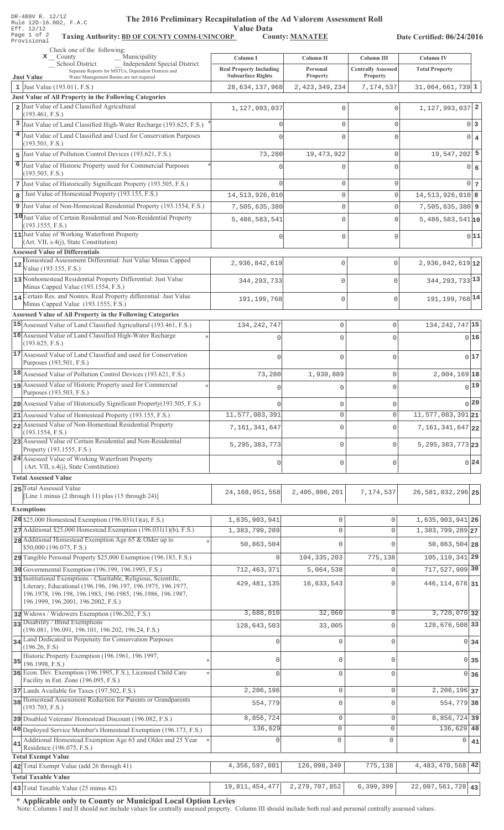| DR-489V R. 12/12 |  |  |                        |
|------------------|--|--|------------------------|
|                  |  |  | Rule 12D-16.002, F.A.C |
| Eff. 12/12       |  |  |                        |
| Page 1 of 2      |  |  | Taxing                 |
| Provisional      |  |  |                        |

## The 2016 Preliminary Recapitulation of the Ad Valorem Assessment Roll

Taxing Authority: BD OF COUNTY COMM-UNINCORP County: MANATEE

Date Certified: 06/24/2016

|    | Check one of the following:<br>Municipality<br>$\mathbf{x}$ County                                                                     |                                                            |                                    |                                         |                                           |            |
|----|----------------------------------------------------------------------------------------------------------------------------------------|------------------------------------------------------------|------------------------------------|-----------------------------------------|-------------------------------------------|------------|
|    | <b>Independent Special District</b><br>_School District                                                                                | Column I                                                   | Column II<br>Personal              | Column III<br><b>Centrally Assessed</b> | <b>Column IV</b><br><b>Total Property</b> |            |
|    | Separate Reports for MSTUs, Dependent Districts and<br>Water Management Basins are not required<br><b>Just Value</b>                   | <b>Real Property Including</b><br><b>Subsurface Rights</b> | <b>Property</b>                    | <b>Property</b>                         |                                           |            |
|    | 1 Just Value (193.011, F.S.)                                                                                                           | 28,634,137,968                                             | 2, 423, 349, 234                   | 7,174,537                               | $31,064,661,739$ 1                        |            |
|    | Just Value of All Property in the Following Categories<br>2 Just Value of Land Classified Agricultural                                 |                                                            |                                    |                                         |                                           |            |
|    | (193.461, F.S.)                                                                                                                        | 1,127,993,037                                              | $\mathbf{0}$                       | $\Omega$                                | $1, 127, 993, 037$ 2                      |            |
|    | 3 Just Value of Land Classified High-Water Recharge (193.625, F.S.)                                                                    | $\Omega$                                                   | $\Omega$                           | 0                                       |                                           | $0\vert 3$ |
|    | 4 Just Value of Land Classified and Used for Conservation Purposes                                                                     |                                                            | $\Omega$                           | $\Omega$                                |                                           | $0 \mid 4$ |
| 5  | (193.501, F.S.)<br>Just Value of Pollution Control Devices (193.621, F.S.)                                                             | 73,280                                                     | 19, 473, 922                       | 0                                       | $19,547,202$ 5                            |            |
|    | 6 Just Value of Historic Property used for Commercial Purposes                                                                         |                                                            |                                    | $\Omega$                                |                                           | 0 6        |
|    | (193.503, F.S.)                                                                                                                        |                                                            |                                    |                                         |                                           |            |
|    | 7 Just Value of Historically Significant Property (193.505, F.S.)                                                                      |                                                            | $\mathbf{0}$                       | 0                                       |                                           | $0\vert 7$ |
| 8  | Just Value of Homestead Property (193.155, F.S.)                                                                                       | 14,513,926,010                                             | $\mathbf{0}$                       | 0                                       | $14,513,926,010$ 8                        |            |
|    | 9 Just Value of Non-Homestead Residential Property (193.1554, F.S.)                                                                    | 7,505,635,380                                              | $\mathbf 0$                        | 0                                       | $7,505,635,380$ 9                         |            |
|    | 10 Just Value of Certain Residential and Non-Residential Property<br>(193.1555, F.S.)                                                  | 5,486,583,541                                              | $\mathbf{0}$                       | $\Omega$                                | $5,486,583,541$ 10                        |            |
|    | 11 Just Value of Working Waterfront Property                                                                                           |                                                            | 0                                  | $\Omega$                                |                                           | 0 11       |
|    | (Art. VII, s.4(j), State Constitution)<br><b>Assessed Value of Differentials</b>                                                       |                                                            |                                    |                                         |                                           |            |
|    | Homestead Assessment Differential: Just Value Minus Capped                                                                             | 2,936,842,619                                              | $\mathbf{0}$                       | $\circ$                                 | $2,936,842,619$ 12                        |            |
|    | Value (193.155, F.S.)                                                                                                                  |                                                            |                                    |                                         |                                           |            |
|    | 13 Nonhomestead Residential Property Differential: Just Value<br>Minus Capped Value (193.1554, F.S.)                                   | 344, 293, 733                                              | $\mathbf{0}$                       | $\mathbf{0}$                            | 344, 293, 733 13                          |            |
|    | 14 Certain Res. and Nonres. Real Property differential: Just Value                                                                     | 191, 199, 768                                              | $\mathbf{0}$                       | $\mathbf 0$                             | 191, 199, 768 14                          |            |
|    | Minus Capped Value (193.1555, F.S.)                                                                                                    |                                                            |                                    |                                         |                                           |            |
|    | <b>Assessed Value of All Property in the Following Categories</b><br>15 Assessed Value of Land Classified Agricultural (193.461, F.S.) | 134, 242, 747                                              | $\mathbf 0$                        | 0                                       | 134, 242, 747 15                          |            |
|    | 16 Assessed Value of Land Classified High-Water Recharge                                                                               | n                                                          | $\Omega$                           | 0                                       |                                           | 0 16       |
|    | (193.625, F.S.)                                                                                                                        |                                                            |                                    |                                         |                                           |            |
|    | 17 Assessed Value of Land Classified and used for Conservation                                                                         |                                                            | $\cap$                             | $\cap$                                  |                                           | 0 17       |
|    | Purposes (193.501, F.S.)                                                                                                               |                                                            |                                    |                                         |                                           |            |
|    | 18 Assessed Value of Pollution Control Devices (193.621, F.S.)<br>19 Assessed Value of Historic Property used for Commercial           | 73,280                                                     | 1,930,889                          | 0                                       | 2,004,169 18                              | $_{0}$ 19  |
|    | Purposes (193.503, F.S.)                                                                                                               | 0                                                          | $\mathbf 0$                        | 0                                       |                                           |            |
|    | 20 Assessed Value of Historically Significant Property (193.505, F.S.)                                                                 | $\cap$                                                     | 0                                  |                                         |                                           | 0 20       |
|    | 21 Assessed Value of Homestead Property (193.155, F.S.)                                                                                | 11,577,083,391                                             | U                                  |                                         | $11, 577, 083, 391$ 21                    |            |
|    | 22 Assessed Value of Non-Homestead Residential Property<br>(193.1554, F.S.)                                                            | 7,161,341,647                                              | $\Omega$                           | $\Omega$                                | 7, 161, 341, 647 22                       |            |
|    | 23 Assessed Value of Certain Residential and Non-Residential                                                                           | 5, 295, 383, 773                                           | 0                                  | 0                                       | $5, 295, 383, 773$ 23                     |            |
|    | Property (193.1555, F.S.)<br>24 Assessed Value of Working Waterfront Property                                                          |                                                            |                                    |                                         |                                           |            |
|    | (Art. VII, s.4(j), State Constitution)                                                                                                 | 0                                                          | $\mathbf 0$                        | 0                                       |                                           | 0 24       |
|    | <b>Total Assessed Value</b>                                                                                                            |                                                            |                                    |                                         |                                           |            |
|    | 25 Total Assessed Value<br>[Line 1 minus $(2 \text{ through } 11)$ plus $(15 \text{ through } 24)$ ]                                   | 24, 168, 051, 558                                          | 2,405,806,201                      | 7,174,537                               | 26, 581, 032, 296 25                      |            |
|    |                                                                                                                                        |                                                            |                                    |                                         |                                           |            |
|    | <b>Exemptions</b><br>$26$ \$25,000 Homestead Exemption (196.031(1)(a), F.S.)                                                           | 1,635,903,941                                              | $\mathbf 0$                        | $\Omega$                                | 1,635,903,941 26                          |            |
|    | 27 Additional \$25,000 Homestead Exemption (196.031(1)(b), F.S.)                                                                       | 1,383,799,289                                              | $\mathsf{O}\xspace$                | $\Omega$                                | 1, 383, 799, 289 27                       |            |
|    | 28 Additional Homestead Exemption Age 65 & Older up to                                                                                 | 50,863,504                                                 | $\mathbf 0$                        | $\Omega$                                | 50,863,504 28                             |            |
|    | \$50,000 (196.075, F.S.)<br>29 Tangible Personal Property \$25,000 Exemption (196.183, F.S.)                                           | $\mathbf{0}$                                               | 104, 335, 203                      | 775,138                                 | 105, 110, 341 29                          |            |
|    | 30 Governmental Exemption (196.199, 196.1993, F.S.)                                                                                    | 712, 463, 371                                              | 5,064,538                          | $\Omega$                                | 717,527,909 30                            |            |
|    | 31 Institutional Exemptions - Charitable, Religious, Scientific,                                                                       |                                                            |                                    |                                         |                                           |            |
|    | Literary, Educational (196.196, 196.197, 196.1975, 196.1977,<br>196.1978, 196.198, 196.1983, 196.1985, 196.1986, 196.1987,             | 429, 481, 135                                              | 16,633,543                         | $\Omega$                                | 446, 114, 678 31                          |            |
|    | 196.1999, 196.2001, 196.2002, F.S.)                                                                                                    |                                                            |                                    |                                         |                                           |            |
|    | 32 Widows / Widowers Exemption (196.202, F.S.)                                                                                         | 3,688,010                                                  | 32,060                             | $\mathbf 0$                             | 3,720,070 32                              |            |
|    | 33 Disability / Blind Exemptions<br>(196.081, 196.091, 196.101, 196.202, 196.24, F.S.)                                                 | 128,643,503                                                | 33,005                             | $\Omega$                                | 128,676,508 33                            |            |
|    | 34 Land Dedicated in Perpetuity for Conservation Purposes                                                                              | $\mathbf{0}$                                               | $\mathbb O$                        | $\mathbf 0$                             | 0 34                                      |            |
|    | (196.26, F.S)                                                                                                                          |                                                            |                                    |                                         |                                           |            |
|    | Historic Property Exemption (196.1961, 196.1997,<br>$35$ 196.1998, F.S.)                                                               | $\circ$                                                    | $\mathbb O$                        | $\Omega$                                | $0 \overline{\smash{\big)}\ 35}$          |            |
|    | 36 Econ. Dev. Exemption (196.1995, F.S.), Licensed Child Care                                                                          | $\Omega$                                                   | $\mathbf 0$                        | $\Omega$                                | $0\overline{36}$                          |            |
|    | Facility in Ent. Zone (196.095, F.S.)<br>37 Lands Available for Taxes (197.502, F.S.)                                                  | 2,206,196                                                  | $\mathbb O$                        | $\mathbf 0$                             | 2, 206, 196 37                            |            |
|    | 38 Homestead Assessment Reduction for Parents or Grandparents                                                                          | 554,779                                                    | $\mathbb O$                        | $\Omega$                                | 554,779 38                                |            |
|    | (193.703, F.S.)                                                                                                                        |                                                            |                                    |                                         |                                           |            |
|    | 39 Disabled Veterans' Homestead Discount (196.082, F.S.)                                                                               | 8,856,724                                                  | $\mathsf{O}\xspace$                | $\mathbf 0$                             | 8,856,724 39                              |            |
|    | 40 Deployed Service Member's Homestead Exemption (196.173, F.S.)<br>Additional Homestead Exemption Age 65 and Older and 25 Year        | 136,629                                                    | $\mathsf{O}\xspace$<br>$\mathbb O$ | $\mathbf{0}$<br>$\mathbf 0$             | 136,629 40                                |            |
| 41 | Residence (196.075, F.S.)                                                                                                              | 0                                                          |                                    |                                         | 0                                         | 41         |
|    | <b>Total Exempt Value</b>                                                                                                              |                                                            |                                    |                                         |                                           |            |
|    | 42 Total Exempt Value (add 26 through 41)                                                                                              | 4,356,597,081                                              | 126,098,349                        | 775,138                                 | 4, 483, 470, 568 42                       |            |
|    | <b>Total Taxable Value</b><br>43 Total Taxable Value (25 minus 42)                                                                     | 19,811,454,477                                             | 2, 279, 707, 852                   | 6,399,399                               | 22,097,561,728 43                         |            |
|    |                                                                                                                                        |                                                            |                                    |                                         |                                           |            |

\* Applicable only to County or Municipal Local Option Levies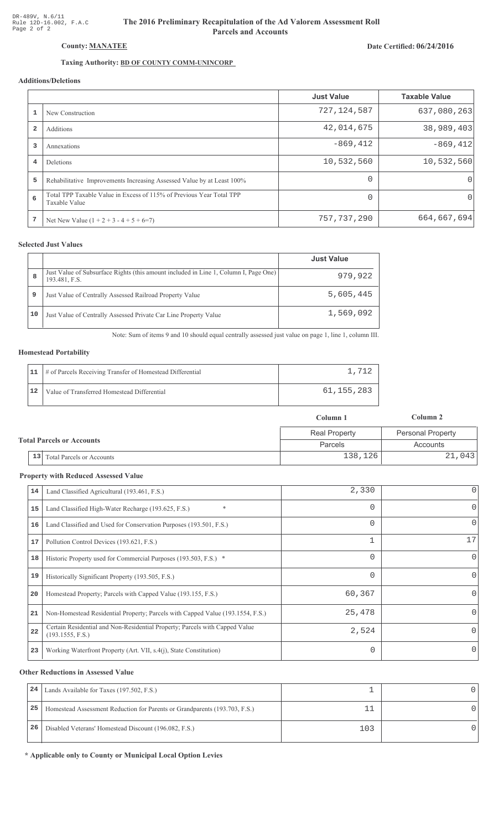# The 2016 Preliminary Recapitulation of the Ad Valorem Assessment Roll **Parcels and Accounts**

# Date Certified: 06/24/2016

# Taxing Authority: **BD OF COUNTY COMM-UNINCORP**

# Additions/Deletions

|                         |                                                                                       | <b>Just Value</b> | <b>Taxable Value</b> |
|-------------------------|---------------------------------------------------------------------------------------|-------------------|----------------------|
|                         | New Construction                                                                      | 727, 124, 587     | 637,080,263          |
| $\overline{\mathbf{2}}$ | Additions                                                                             | 42,014,675        | 38,989,403           |
| 3                       | Annexations                                                                           | $-869, 412$       | $-869, 412$          |
| 4                       | <b>Deletions</b>                                                                      | 10,532,560        | 10,532,560           |
| 5                       | Rehabilitative Improvements Increasing Assessed Value by at Least 100%                | $\Omega$          | $\Omega$             |
| 6                       | Total TPP Taxable Value in Excess of 115% of Previous Year Total TPP<br>Taxable Value | $\Omega$          | 0                    |
| 7                       | Net New Value $(1 + 2 + 3 - 4 + 5 + 6=7)$                                             | 757, 737, 290     | 664,667,694          |

## **Selected Just Values**

|    |                                                                                                       | <b>Just Value</b> |
|----|-------------------------------------------------------------------------------------------------------|-------------------|
| 8  | Just Value of Subsurface Rights (this amount included in Line 1, Column I, Page One)<br>193.481, F.S. | 979,922           |
| 9  | Just Value of Centrally Assessed Railroad Property Value                                              | 5,605,445         |
| 10 | Just Value of Centrally Assessed Private Car Line Property Value                                      | 1,569,092         |

Note: Sum of items 9 and 10 should equal centrally assessed just value on page 1, line 1, column III.

### **Homestead Portability**

| 11 | # of Parcels Receiving Transfer of Homestead Differential |            |
|----|-----------------------------------------------------------|------------|
|    | Value of Transferred Homestead Differential               | 61,155,283 |

|  |                                            | Column 1             | Column 2                 |  |
|--|--------------------------------------------|----------------------|--------------------------|--|
|  |                                            | <b>Real Property</b> | <b>Personal Property</b> |  |
|  | <b>Total Parcels or Accounts</b>           | Parcels              | Accounts                 |  |
|  | $\vert 13 \vert$ Total Parcels or Accounts | 138,126              | 21,043                   |  |

#### **Property with Reduced Assessed Value**

| 14 | Land Classified Agricultural (193.461, F.S.)                                                    | 2,330    | $\overline{0}$ |
|----|-------------------------------------------------------------------------------------------------|----------|----------------|
| 15 | *<br>Land Classified High-Water Recharge (193.625, F.S.)                                        | $\Omega$ | 0              |
| 16 | Land Classified and Used for Conservation Purposes (193.501, F.S.)                              | 0        | 0              |
| 17 | Pollution Control Devices (193.621, F.S.)                                                       | 1        | 17             |
| 18 | Historic Property used for Commercial Purposes (193.503, F.S.) *                                | $\Omega$ | 0              |
| 19 | Historically Significant Property (193.505, F.S.)                                               | $\Omega$ | 0              |
| 20 | Homestead Property; Parcels with Capped Value (193.155, F.S.)                                   | 60,367   | Ω              |
| 21 | Non-Homestead Residential Property; Parcels with Capped Value (193.1554, F.S.)                  | 25,478   |                |
| 22 | Certain Residential and Non-Residential Property; Parcels with Capped Value<br>(193.1555, F.S.) | 2,524    | 0              |
| 23 | Working Waterfront Property (Art. VII, s.4(j), State Constitution)                              |          |                |

#### **Other Reductions in Assessed Value**

| 24 | Lands Available for Taxes (197.502, F.S.)                                  |     |  |
|----|----------------------------------------------------------------------------|-----|--|
| 25 | Homestead Assessment Reduction for Parents or Grandparents (193.703, F.S.) |     |  |
| 26 | Disabled Veterans' Homestead Discount (196.082, F.S.)                      | 103 |  |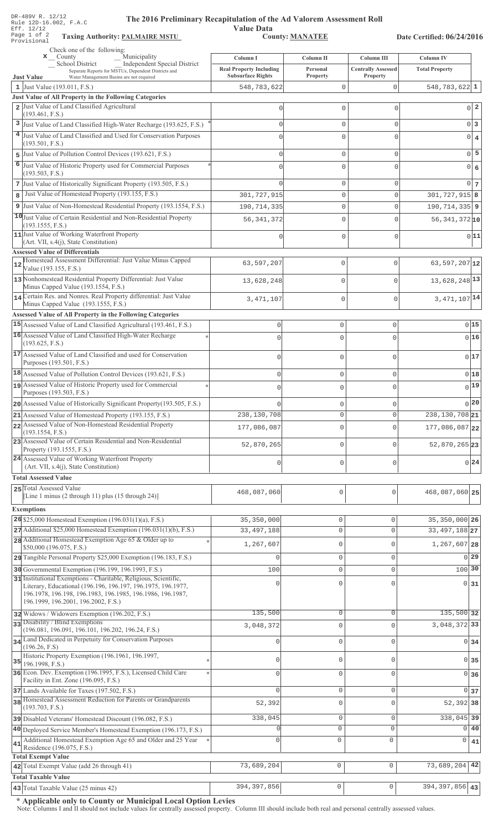|    | DR-489V R. 12/12<br>The 2016 Preliminary Recapitulation of the Ad Valorem Assessment Roll<br>Rule 12D-16.002, F.A.C<br>Eff. 12/12 | <b>Value Data</b>                                          |                             |                                       |                            |                            |
|----|-----------------------------------------------------------------------------------------------------------------------------------|------------------------------------------------------------|-----------------------------|---------------------------------------|----------------------------|----------------------------|
|    | Page 1 of 2<br><b>Taxing Authority: PALMAIRE MSTU</b><br>Provisional                                                              |                                                            | <b>County: MANATEE</b>      |                                       | Date Certified: 06/24/2016 |                            |
|    | Check one of the following:<br>Municipality<br>$\mathbf{x}$ County                                                                | Column I                                                   | Column <sub>II</sub>        | Column III                            | <b>Column IV</b>           |                            |
|    | School District<br>Independent Special District                                                                                   |                                                            |                             |                                       |                            |                            |
|    | Separate Reports for MSTUs, Dependent Districts and<br>Water Management Basins are not required<br><b>Just Value</b>              | <b>Real Property Including</b><br><b>Subsurface Rights</b> | Personal<br><b>Property</b> | <b>Centrally Assessed</b><br>Property | <b>Total Property</b>      |                            |
|    | 1 Just Value (193.011, F.S.)                                                                                                      | 548,783,622                                                | $\mathsf{O}\xspace$         | $\mathbf 0$                           | $548,783,622$ 1            |                            |
|    | Just Value of All Property in the Following Categories                                                                            |                                                            |                             |                                       |                            |                            |
|    | 2 Just Value of Land Classified Agricultural                                                                                      | $\circ$                                                    | $\mathbf 0$                 | $\mathbf 0$                           |                            | $\overline{2}$<br>$\Omega$ |
| 3  | (193.461, F.S.)<br>Just Value of Land Classified High-Water Recharge (193.625, F.S.)                                              | $\mathbf{0}$                                               | $\mathsf{O}\xspace$         | $\mathbf{0}$                          |                            | 0 <sup>3</sup>             |
| 4  | Just Value of Land Classified and Used for Conservation Purposes                                                                  | $\Omega$                                                   | $\mathbf{0}$                | $\mathbf 0$                           |                            | $\overline{0}$             |
|    | (193.501, F.S.)                                                                                                                   |                                                            |                             |                                       |                            | $\overline{4}$             |
| 5  | Just Value of Pollution Control Devices (193.621, F.S.)                                                                           | $\mathbf{0}$                                               | $\mathsf{O}\xspace$         | $\mathsf{O}\xspace$                   |                            | 5<br>$\overline{0}$        |
| 6  | Just Value of Historic Property used for Commercial Purposes                                                                      | $\Omega$                                                   | $\mathbf 0$                 | $\mathbf{0}$                          |                            | $\Omega$<br>6              |
|    | (193.503, F.S.)                                                                                                                   |                                                            |                             |                                       |                            |                            |
|    | 7 Just Value of Historically Significant Property (193.505, F.S.)                                                                 | $\Omega$                                                   | $\mathsf{O}\xspace$         | $\mathbf 0$                           |                            | 0 <sup>1</sup><br>7        |
| 8  | Just Value of Homestead Property (193.155, F.S.)                                                                                  | 301,727,915                                                | $\mathbf{0}$                | $\mathbf{0}$                          | $301, 727, 915$ 8          |                            |
|    | 9 Just Value of Non-Homestead Residential Property (193.1554, F.S.)                                                               | 190, 714, 335                                              | $\mathbb O$                 | $\mathbf{0}$                          | 190, 714, 335 9            |                            |
|    | 10 Just Value of Certain Residential and Non-Residential Property<br>(193.1555, F.S.)                                             | 56, 341, 372                                               | $\mathbb O$                 | $\mathbf{0}$                          | $56,341,372$ 10            |                            |
|    | 11 Just Value of Working Waterfront Property                                                                                      | $\circ$                                                    | $\mathsf{O}\xspace$         | $\mathsf{O}\xspace$                   |                            | 0 11                       |
|    | (Art. VII, s.4(j), State Constitution)                                                                                            |                                                            |                             |                                       |                            |                            |
|    | <b>Assessed Value of Differentials</b><br>Homestead Assessment Differential: Just Value Minus Capped                              |                                                            |                             |                                       |                            |                            |
| 12 | Value (193.155, F.S.)                                                                                                             | 63,597,207                                                 | 0                           | $\mathsf{O}\xspace$                   | 63, 597, 207 $12$          |                            |
|    | 13 Nonhomestead Residential Property Differential: Just Value                                                                     | 13,628,248                                                 | 0                           | $\mathbf 0$                           | 13,628,248 13              |                            |
|    | Minus Capped Value (193.1554, F.S.)                                                                                               |                                                            |                             |                                       |                            |                            |
|    | 14 Certain Res. and Nonres. Real Property differential: Just Value<br>Minus Capped Value (193.1555, F.S.)                         | 3, 471, 107                                                | 0                           | $\mathbf 0$                           | 3, 471, 107 14             |                            |
|    | <b>Assessed Value of All Property in the Following Categories</b>                                                                 |                                                            |                             |                                       |                            |                            |
|    | 15 Assessed Value of Land Classified Agricultural (193.461, F.S.)                                                                 | 0                                                          | $\mathsf{O}\xspace$         | $\circ$                               |                            | 015                        |
|    | 16 Assessed Value of Land Classified High-Water Recharge                                                                          | O                                                          | $\Omega$                    | $\mathbf 0$                           |                            | 016                        |
|    | (193.625, F.S.)                                                                                                                   |                                                            |                             |                                       |                            |                            |
|    | 17 Assessed Value of Land Classified and used for Conservation                                                                    | 0                                                          | $\mathbf{0}$                | $\mathbb O$                           |                            | 017                        |
|    | Purposes (193.501, F.S.)                                                                                                          |                                                            |                             |                                       |                            |                            |
|    | 18 Assessed Value of Pollution Control Devices (193.621, F.S.)<br>19 Assessed Value of Historic Property used for Commercial      | 0                                                          | $\mathbb O$                 | $\mathbb O$                           |                            | 018                        |
|    | Purposes (193.503, F.S.)                                                                                                          |                                                            | 0                           | $\mathbf 0$                           |                            | 0 19                       |
|    | 20 Assessed Value of Historically Significant Property (193.505, F.S.)                                                            |                                                            | 0                           | $\mathbb O$                           |                            | 0 20                       |
|    | 21 Assessed Value of Homestead Property (193.155, F.S.)                                                                           | 238,130,708                                                | $\circ$                     | $\circ$                               | 238, 130, 708 21           |                            |
|    | 22 Assessed Value of Non-Homestead Residential Property                                                                           | 177,086,087                                                | $\mathbf 0$                 | $\mathsf{O}\xspace$                   | 177,086,087 22             |                            |
|    | (193.1554, F.S.)<br>23 Assessed Value of Certain Residential and Non-Residential                                                  |                                                            |                             |                                       |                            |                            |
|    | Property (193.1555, F.S.)                                                                                                         | 52,870,265                                                 | $\circ$                     | $\circ$                               | 52,870,265 23              |                            |
|    | 24 Assessed Value of Working Waterfront Property                                                                                  | 0                                                          | $\circ$                     | $\circ$                               |                            | 0 24                       |
|    | (Art. VII, s.4(j), State Constitution)                                                                                            |                                                            |                             |                                       |                            |                            |
|    | <b>Total Assessed Value</b>                                                                                                       |                                                            |                             |                                       |                            |                            |
|    | 25 Total Assessed Value<br>[Line 1 minus (2 through 11) plus (15 through 24)]                                                     | 468,087,060                                                | $\mathbf 0$                 | 0                                     | 468,087,060 25             |                            |
|    |                                                                                                                                   |                                                            |                             |                                       |                            |                            |
|    | <b>Exemptions</b><br>26 \$25,000 Homestead Exemption $(196.031(1)(a), F.S.)$                                                      | 35,350,000                                                 | $\mathbb O$                 | 0                                     | 35, 350, 000 26            |                            |
|    | 27 Additional \$25,000 Homestead Exemption (196.031(1)(b), F.S.)                                                                  | 33, 497, 188                                               | $\mathbf 0$                 | $\mathbf 0$                           | 33, 497, 188 27            |                            |
|    | 28 Additional Homestead Exemption Age 65 & Older up to                                                                            |                                                            |                             |                                       |                            |                            |
|    | \$50,000 (196.075, F.S.)                                                                                                          | 1,267,607                                                  | $\mathbf 0$                 | 0                                     | 1,267,607 28               |                            |
|    | 29 Tangible Personal Property \$25,000 Exemption (196.183, F.S.)                                                                  |                                                            | $\mathbf{0}$                | $\mathbf 0$                           |                            | $0$ 29                     |
|    | 30 Governmental Exemption (196.199, 196.1993, F.S.)                                                                               | 100                                                        | $\mathbf{0}$                | 0                                     | 100 30                     |                            |
|    | 31 Institutional Exemptions - Charitable, Religious, Scientific,<br>Literary, Educational (196.196, 196.197, 196.1975, 196.1977,  | 0                                                          | $\mathbf 0$                 | 0                                     |                            | $0$ 31                     |
|    | 196.1978, 196.198, 196.1983, 196.1985, 196.1986, 196.1987,                                                                        |                                                            |                             |                                       |                            |                            |
|    | 196.1999, 196.2001, 196.2002, F.S.)                                                                                               |                                                            |                             |                                       |                            |                            |
|    | 32 Widows / Widowers Exemption (196.202, F.S.)<br>33 Disability / Blind Exemptions                                                | 135,500                                                    | $\mathbb O$                 | 0                                     | 135,500 32                 |                            |
|    | (196.081, 196.091, 196.101, 196.202, 196.24, F.S.)                                                                                | 3,048,372                                                  | $\mathbf{0}$                | $\overline{0}$                        | 3,048,372 33               |                            |
|    | 34 Land Dedicated in Perpetuity for Conservation Purposes                                                                         |                                                            | $\mathbf{0}$                | 0                                     |                            | $0 \overline{\smash{34}}$  |
|    | (196.26, F.S)<br>Historic Property Exemption (196.1961, 196.1997,                                                                 |                                                            |                             |                                       |                            |                            |
| 35 | 196.1998, F.S.)                                                                                                                   | O                                                          | $\mathbf 0$                 | 0                                     | $\Omega$                   | 35                         |
|    | 36 Econ. Dev. Exemption (196.1995, F.S.), Licensed Child Care                                                                     |                                                            | $\mathbf 0$                 | 0                                     |                            | 0 36                       |
|    | Facility in Ent. Zone (196.095, F.S.)                                                                                             |                                                            |                             |                                       |                            |                            |
|    | 37 Lands Available for Taxes (197.502, F.S.)<br>38 Homestead Assessment Reduction for Parents or Grandparents                     | $\Omega$                                                   | $\mathbf{0}$                | $\mathbf 0$                           |                            | 0 <sub>37</sub>            |
|    | (193.703, F.S.)                                                                                                                   | 52,392                                                     | $\mathbf 0$                 | 0                                     | 52, 392 38                 |                            |
|    | 39 Disabled Veterans' Homestead Discount (196.082, F.S.)                                                                          | 338,045                                                    | $\mathbf 0$                 | $\mathsf{O}\xspace$                   | 338,045 39                 |                            |
|    | 40 Deployed Service Member's Homestead Exemption (196.173, F.S.)                                                                  |                                                            | $\mathbf 0$                 | $\mathbf{0}$                          |                            | $0$   40                   |
| 41 | Additional Homestead Exemption Age 65 and Older and 25 Year                                                                       |                                                            | $\mathbf 0$                 | $\mathbf{0}$                          | 0                          | 41                         |
|    | Residence (196.075, F.S.)                                                                                                         |                                                            |                             |                                       |                            |                            |
|    | <b>Total Exempt Value</b><br>42 Total Exempt Value (add 26 through 41)                                                            | 73,689,204                                                 | 0                           | $\mathsf{O}\xspace$                   | 73,689,204                 | 42                         |
|    | <b>Total Taxable Value</b>                                                                                                        |                                                            |                             |                                       |                            |                            |

Note: Columns I and II should not include values for centrally assessed property. Column III should include both real and personal centrally assessed values.

5
-5
:
<--1'-# -+1!- **43** 394,397,856 0 0 394,397,856 **43**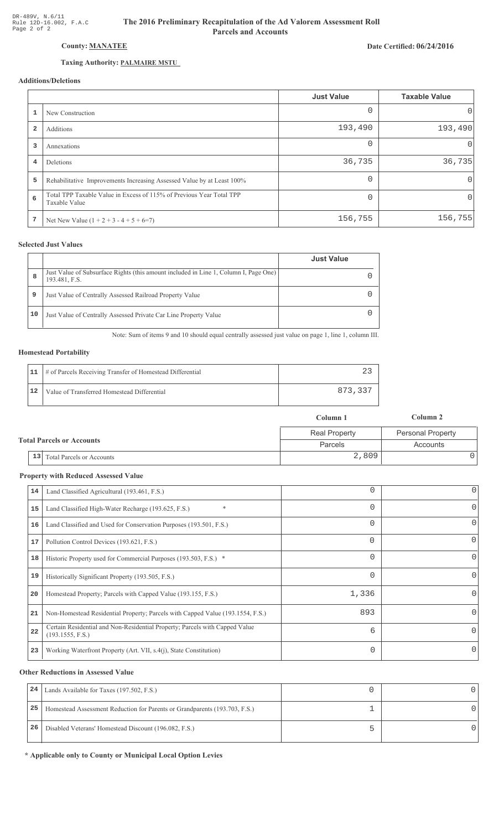## County: MANATEE

### Taxing Authority: PALMAIRE MSTU

## Additions/Deletions

|                         |                                                                                       | <b>Just Value</b> | <b>Taxable Value</b> |
|-------------------------|---------------------------------------------------------------------------------------|-------------------|----------------------|
|                         | New Construction                                                                      |                   | 0                    |
| $\overline{\mathbf{2}}$ | Additions                                                                             | 193,490           | 193,490              |
| 3                       | Annexations                                                                           | $\Omega$          | 0                    |
| 4                       | Deletions                                                                             | 36,735            | 36,735               |
| 5                       | Rehabilitative Improvements Increasing Assessed Value by at Least 100%                |                   | $\Omega$             |
| 6                       | Total TPP Taxable Value in Excess of 115% of Previous Year Total TPP<br>Taxable Value |                   | 0                    |
| 7                       | Net New Value $(1 + 2 + 3 - 4 + 5 + 6=7)$                                             | 156,755           | 156, 755             |

#### **Selected Just Values**

|    |                                                                                                       | <b>Just Value</b> |
|----|-------------------------------------------------------------------------------------------------------|-------------------|
| 8  | Just Value of Subsurface Rights (this amount included in Line 1, Column I, Page One)<br>193.481, F.S. |                   |
| 9  | Just Value of Centrally Assessed Railroad Property Value                                              |                   |
| 10 | Just Value of Centrally Assessed Private Car Line Property Value                                      |                   |

Note: Sum of items 9 and 10 should equal centrally assessed just value on page 1, line 1, column III.

#### **Homestead Portability**

|    | 11   # of Parcels Receiving Transfer of Homestead Differential |         |
|----|----------------------------------------------------------------|---------|
| 12 | Value of Transferred Homestead Differential                    | 873,337 |

| <b>Total Parcels or Accounts</b> | Column 1             | Column 2                 |  |
|----------------------------------|----------------------|--------------------------|--|
|                                  | <b>Real Property</b> | <b>Personal Property</b> |  |
|                                  | Parcels              | Accounts                 |  |
| 13 Total Parcels or Accounts     | 2,809                |                          |  |

#### **Property with Reduced Assessed Value**

| 14 | Land Classified Agricultural (193.461, F.S.)                                                    |          | 0        |
|----|-------------------------------------------------------------------------------------------------|----------|----------|
| 15 | $\ast$<br>Land Classified High-Water Recharge (193.625, F.S.)                                   |          | 0        |
| 16 | Land Classified and Used for Conservation Purposes (193.501, F.S.)                              |          | 0        |
| 17 | Pollution Control Devices (193.621, F.S.)                                                       | $\Omega$ | 0        |
| 18 | Historic Property used for Commercial Purposes (193.503, F.S.) *                                | 0        | 0        |
| 19 | Historically Significant Property (193.505, F.S.)                                               |          | 0        |
| 20 | Homestead Property; Parcels with Capped Value (193.155, F.S.)                                   | 1,336    | 0        |
| 21 | Non-Homestead Residential Property; Parcels with Capped Value (193.1554, F.S.)                  | 893      | 0        |
| 22 | Certain Residential and Non-Residential Property; Parcels with Capped Value<br>(193.1555, F.S.) | 6        | $\Omega$ |
| 23 | Working Waterfront Property (Art. VII, s.4(j), State Constitution)                              | 0        | 0        |
|    |                                                                                                 |          |          |

#### **Other Reductions in Assessed Value**

| 24 | Lands Available for Taxes (197.502, F.S.)                                  |  |
|----|----------------------------------------------------------------------------|--|
| 25 | Homestead Assessment Reduction for Parents or Grandparents (193.703, F.S.) |  |
| 26 | Disabled Veterans' Homestead Discount (196.082, F.S.)                      |  |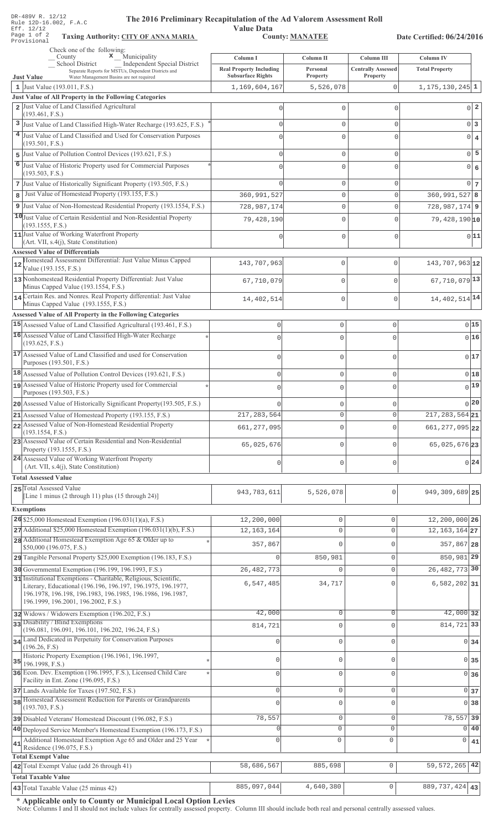| DR-489V R. 12/12<br>Rule 12D-16.002, F.A.C<br>Eff. 12/12<br>Page 1 of 2                                                         | The 2016 Preliminary Recapitulation of the Ad Valorem Assessment Roll<br><b>Value Data</b><br><b>County: MANATEE</b><br><b>Taxing Authority: CITY OF ANNA MARIA</b> |                      |                                       | Date Certified: 06/24/2016     |  |
|---------------------------------------------------------------------------------------------------------------------------------|---------------------------------------------------------------------------------------------------------------------------------------------------------------------|----------------------|---------------------------------------|--------------------------------|--|
| Provisional<br>Check one of the following:                                                                                      |                                                                                                                                                                     |                      |                                       |                                |  |
| $\mathbf x$ Municipality<br>County<br>School District<br>Independent Special District                                           | Column I                                                                                                                                                            | Column II            | Column III                            | Column IV                      |  |
| Separate Reports for MSTUs, Dependent Districts and<br>Water Management Basins are not required<br><b>Just Value</b>            | <b>Real Property Including</b><br><b>Subsurface Rights</b>                                                                                                          | Personal<br>Property | <b>Centrally Assessed</b><br>Property | <b>Total Property</b>          |  |
| 1 Just Value (193.011, F.S.)                                                                                                    | 1,169,604,167                                                                                                                                                       | 5,526,078            | 0                                     | $1, 175, 130, 245$ 1           |  |
| Just Value of All Property in the Following Categories                                                                          |                                                                                                                                                                     |                      |                                       |                                |  |
| 2 Just Value of Land Classified Agricultural<br>(193.461, F.S.)                                                                 | $\mathbf 0$                                                                                                                                                         | $\mathbb O$          | $\mathbf{0}$                          | $0^{\dagger}$ 2                |  |
| 3 Just Value of Land Classified High-Water Recharge (193.625, F.S.)                                                             | $\mathbf 0$                                                                                                                                                         | $\mathbf{0}$         | $\mathbf{0}$                          | 0 <sup>3</sup>                 |  |
| 4 Just Value of Land Classified and Used for Conservation Purposes                                                              | $\mathbf 0$                                                                                                                                                         | $\mathbf{0}$         | $\mathbf 0$                           | $\circ$<br>$\overline{4}$      |  |
| (193.501, F.S.)                                                                                                                 |                                                                                                                                                                     |                      |                                       | 5<br>$\overline{0}$            |  |
| 5 Just Value of Pollution Control Devices (193.621, F.S.)<br>6 Just Value of Historic Property used for Commercial Purposes     | $\mathbf 0$<br>$\bigcap$                                                                                                                                            | $\mathsf{O}\xspace$  | $\mathbf{0}$                          |                                |  |
| (193.503, F.S.)                                                                                                                 |                                                                                                                                                                     | $\mathbf{0}$         | $\mathbf 0$                           | $\circ$<br>6                   |  |
| 7 Just Value of Historically Significant Property (193.505, F.S.)                                                               | $\cap$                                                                                                                                                              | $\mathbb O$          | $\mathbf{0}$                          | 0 <sub>7</sub>                 |  |
| Just Value of Homestead Property (193.155, F.S.)<br>8                                                                           | 360,991,527                                                                                                                                                         | $\mathbb O$          | $\mathbf 0$                           | $360, 991, 527$ 8              |  |
| 9 Just Value of Non-Homestead Residential Property (193.1554, F.S.)                                                             | 728,987,174                                                                                                                                                         | 0                    | $\mathbf 0$                           | $728,987,174$ 9                |  |
| 10 Just Value of Certain Residential and Non-Residential Property<br>(193.1555, F.S.)                                           | 79,428,190                                                                                                                                                          | $\mathsf{O}\xspace$  | $\mathbf{0}$                          | $79,428,190 $ 10               |  |
| 11 Just Value of Working Waterfront Property                                                                                    | $\mathbf 0$                                                                                                                                                         | $\mathsf{O}\xspace$  | $\mathbf 0$                           | 0 11                           |  |
| (Art. VII, s.4(j), State Constitution)<br><b>Assessed Value of Differentials</b>                                                |                                                                                                                                                                     |                      |                                       |                                |  |
| Homestead Assessment Differential: Just Value Minus Capped<br>12                                                                | 143,707,963                                                                                                                                                         | 0                    | $\mathbf 0$                           | 143,707,963 12                 |  |
| Value (193.155, F.S.)                                                                                                           |                                                                                                                                                                     |                      |                                       |                                |  |
| 13 Nonhomestead Residential Property Differential: Just Value<br>Minus Capped Value (193.1554, F.S.)                            | 67,710,079                                                                                                                                                          | 0                    | $\Omega$                              | $67,710,079$ <sup>13</sup>     |  |
| 14 Certain Res. and Nonres. Real Property differential: Just Value                                                              | 14,402,514                                                                                                                                                          | 0                    | $\Omega$                              | 14, 402, 514 14                |  |
| Minus Capped Value (193.1555, F.S.)                                                                                             |                                                                                                                                                                     |                      |                                       |                                |  |
| Assessed Value of All Property in the Following Categories<br>15 Assessed Value of Land Classified Agricultural (193.461, F.S.) | 0                                                                                                                                                                   | $\mathbb O$          | 0                                     | 015                            |  |
| 16 Assessed Value of Land Classified High-Water Recharge                                                                        | $\Omega$                                                                                                                                                            | $\mathbf{0}$         | $\circ$                               | 016                            |  |
| (193.625, F.S.)                                                                                                                 |                                                                                                                                                                     |                      |                                       |                                |  |
| 17 Assessed Value of Land Classified and used for Conservation<br>Purposes (193.501, F.S.)                                      | $\mathsf 0$                                                                                                                                                         | $\mathbf 0$          | $\mathsf{O}\xspace$                   | 0 17                           |  |
| 18 Assessed Value of Pollution Control Devices (193.621, F.S.)                                                                  | 0                                                                                                                                                                   | $\mathbf 0$          | $\mathsf{O}\xspace$                   | 0 18                           |  |
| 19 Assessed Value of Historic Property used for Commercial                                                                      |                                                                                                                                                                     | 0                    | 0                                     | $0$ <sup>19</sup>              |  |
| Purposes (193.503, F.S.)                                                                                                        |                                                                                                                                                                     |                      |                                       |                                |  |
| 20 Assessed Value of Historically Significant Property (193.505, F.S.)                                                          | U                                                                                                                                                                   | $\mathbf 0$          | $\circ$                               | $\bigcap$ 20                   |  |
| 21 Assessed Value of Homestead Property (193.155, F.S.)<br>22 Assessed Value of Non-Homestead Residential Property              | 217, 283, 564                                                                                                                                                       | $\mathbf{0}$         | $\mathbf 0$                           | $\overline{217}$ , 283, 564 21 |  |
| (193.1554, F.S.)                                                                                                                | 661, 277, 095                                                                                                                                                       | $\mathbf{0}$         | $\circ$                               | 661, 277, 095 22               |  |
| 23 Assessed Value of Certain Residential and Non-Residential                                                                    | 65,025,676                                                                                                                                                          | $\mathbb O$          | $\circ$                               | 65,025,676 23                  |  |
| Property (193.1555, F.S.)<br>24 Assessed Value of Working Waterfront Property                                                   |                                                                                                                                                                     |                      |                                       |                                |  |
| (Art. VII, s.4(j), State Constitution)                                                                                          | $\mathbf 0$                                                                                                                                                         | $\mathbf 0$          | $\mathbf{0}$                          | 0 24                           |  |
| <b>Total Assessed Value</b>                                                                                                     |                                                                                                                                                                     |                      |                                       |                                |  |
| 25 Total Assessed Value<br>[Line 1 minus (2 through 11) plus (15 through 24)]                                                   | 943,783,611                                                                                                                                                         | 5,526,078            | 0                                     | 949, 309, 689 25               |  |
| <b>Exemptions</b>                                                                                                               |                                                                                                                                                                     |                      |                                       |                                |  |
| 26 \$25,000 Homestead Exemption $(196.031(1)(a), F.S.)$                                                                         | 12,200,000                                                                                                                                                          | 0                    | 0                                     | 12,200,000 26                  |  |
| $27$ Additional \$25,000 Homestead Exemption (196.031(1)(b), F.S.)                                                              | 12, 163, 164                                                                                                                                                        | $\mathbb O$          | $\mathsf{O}\xspace$                   | 12, 163, 164 27                |  |
| 28 Additional Homestead Exemption Age 65 & Older up to                                                                          | 357,867                                                                                                                                                             | $\mathbf 0$          | $\mathbf{0}$                          | 357,867 28                     |  |
| \$50,000 (196.075, F.S.)<br>29 Tangible Personal Property \$25,000 Exemption (196.183, F.S.)                                    |                                                                                                                                                                     | 850,981              | $\mathbf{0}$                          | 850,981 29                     |  |
| 30 Governmental Exemption (196.199, 196.1993, F.S.)                                                                             | 26, 482, 773                                                                                                                                                        | 0                    | $\mathbb O$                           | 26, 482, 773 30                |  |
| 31 Institutional Exemptions - Charitable, Religious, Scientific,                                                                | 6,547,485                                                                                                                                                           | 34,717               | $\Omega$                              | $6,582,202$ 31                 |  |
| Literary, Educational (196.196, 196.197, 196.1975, 196.1977,<br>196.1978, 196.198, 196.1983, 196.1985, 196.1986, 196.1987,      |                                                                                                                                                                     |                      |                                       |                                |  |
| 196.1999, 196.2001, 196.2002, F.S.)                                                                                             |                                                                                                                                                                     |                      |                                       |                                |  |
| 32 Widows / Widowers Exemption (196.202, F.S.)                                                                                  | 42,000                                                                                                                                                              | $\circ$              | $\mathbf{0}$                          | 42,000 32                      |  |
| 33 Disability / Blind Exemptions<br>(196.081, 196.091, 196.101, 196.202, 196.24, F.S.)                                          | 814,721                                                                                                                                                             | 0                    | $\Omega$                              | 814,721 33                     |  |
| 34 Land Dedicated in Perpetuity for Conservation Purposes                                                                       | $\Omega$                                                                                                                                                            | 0                    | $\mathbf{0}$                          | $\overline{0}$<br>34           |  |
| (196.26, F.S)<br>Historic Property Exemption (196.1961, 196.1997,                                                               |                                                                                                                                                                     |                      |                                       |                                |  |
| $35$ 196.1998, F.S.)                                                                                                            | 0                                                                                                                                                                   | $\mathbb O$          | $\mathbf{0}$                          | 0<br>35                        |  |
| 36 Econ. Dev. Exemption (196.1995, F.S.), Licensed Child Care<br>Facility in Ent. Zone (196.095, F.S.)                          | $\Omega$                                                                                                                                                            | $\mathbf{0}$         | $\mathbf 0$                           | $\overline{0}$<br>36           |  |
| 37 Lands Available for Taxes (197.502, F.S.)                                                                                    | $\mathbf 0$                                                                                                                                                         | $\mathbf 0$          | $\mathbf 0$                           | $\mathbf 0$<br>37              |  |
| 38 Homestead Assessment Reduction for Parents or Grandparents                                                                   | $\cap$                                                                                                                                                              | 0                    | $\mathbf{0}$                          | $\overline{0}$<br>38           |  |
| (193.703, F.S.)<br>39 Disabled Veterans' Homestead Discount (196.082, F.S.)                                                     | 78,557                                                                                                                                                              | $\mathbb O$          | $\mathsf{O}\xspace$                   | 78,557<br>39                   |  |
| 40 Deployed Service Member's Homestead Exemption (196.173, F.S.)                                                                | $\Omega$                                                                                                                                                            | $\circ$              | $\mathbf 0$                           | 0<br>40                        |  |
| Additional Homestead Exemption Age 65 and Older and 25 Year                                                                     | $\cap$                                                                                                                                                              | $\mathbf 0$          | 0                                     | 0<br>41                        |  |
| 41<br>Residence (196.075, F.S.)                                                                                                 |                                                                                                                                                                     |                      |                                       |                                |  |
| <b>Total Exempt Value</b><br>42 Total Exempt Value (add 26 through 41)                                                          | 58,686,567                                                                                                                                                          | 885,698              | $\mathbf 0$                           | 59, 572, 265<br>42             |  |
| <b>Total Taxable Value</b>                                                                                                      |                                                                                                                                                                     |                      |                                       |                                |  |
| 43 Total Taxable Value (25 minus 42)                                                                                            | 885,097,044                                                                                                                                                         | 4,640,380            | $\mathsf{O}\xspace$                   | 889, 737, 424 43               |  |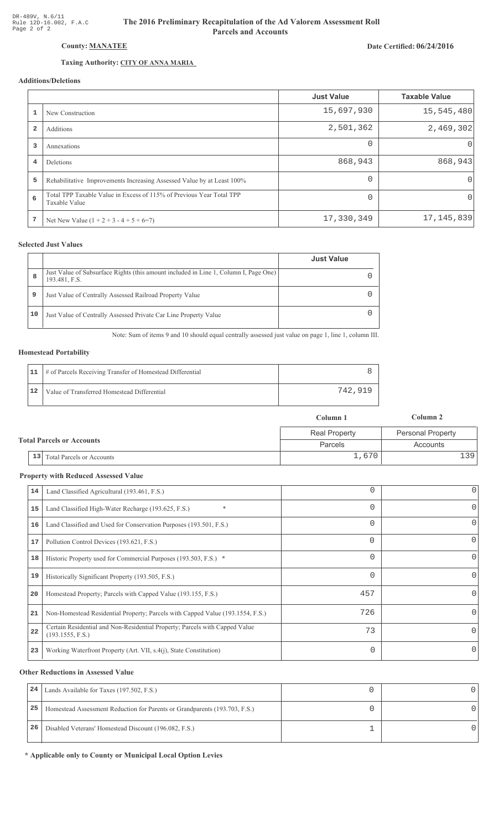# Date Certified: 06/24/2016

# County: MANATEE

## Taxing Authority: CITY OF ANNA MARIA

## Additions/Deletions

|                |                                                                                       | <b>Just Value</b> | <b>Taxable Value</b> |
|----------------|---------------------------------------------------------------------------------------|-------------------|----------------------|
|                | New Construction                                                                      | 15,697,930        | 15,545,480           |
| $\overline{2}$ | Additions                                                                             | 2,501,362         | 2,469,302            |
| 3              | Annexations                                                                           | $\Omega$          | 0                    |
| 4              | Deletions                                                                             | 868,943           | 868,943              |
| 5              | Rehabilitative Improvements Increasing Assessed Value by at Least 100%                | $\Omega$          | $\Omega$             |
| 6              | Total TPP Taxable Value in Excess of 115% of Previous Year Total TPP<br>Taxable Value | $\Omega$          | 0                    |
| 7              | Net New Value $(1 + 2 + 3 - 4 + 5 + 6=7)$                                             | 17,330,349        | 17, 145, 839         |

#### **Selected Just Values**

|    |                                                                                                       | <b>Just Value</b> |
|----|-------------------------------------------------------------------------------------------------------|-------------------|
| 8  | Just Value of Subsurface Rights (this amount included in Line 1, Column I, Page One)<br>193.481, F.S. |                   |
| 9  | Just Value of Centrally Assessed Railroad Property Value                                              |                   |
| 10 | Just Value of Centrally Assessed Private Car Line Property Value                                      |                   |

Note: Sum of items 9 and 10 should equal centrally assessed just value on page 1, line 1, column III.

#### **Homestead Portability**

|    | 11   # of Parcels Receiving Transfer of Homestead Differential |         |
|----|----------------------------------------------------------------|---------|
| 12 | Value of Transferred Homestead Differential                    | 742,919 |

|                                  |                              | Column 1             | Column 2                 |
|----------------------------------|------------------------------|----------------------|--------------------------|
|                                  |                              | <b>Real Property</b> | <b>Personal Property</b> |
| <b>Total Parcels or Accounts</b> |                              | Parcels              | Accounts                 |
|                                  | 13 Total Parcels or Accounts | 1,670                | 139'                     |

#### **Property with Reduced Assessed Value**

| 14 | Land Classified Agricultural (193.461, F.S.)                                                    |          | 0        |
|----|-------------------------------------------------------------------------------------------------|----------|----------|
| 15 | $\ast$<br>Land Classified High-Water Recharge (193.625, F.S.)                                   | 0        | 0        |
| 16 | Land Classified and Used for Conservation Purposes (193.501, F.S.)                              |          | 0        |
| 17 | Pollution Control Devices (193.621, F.S.)                                                       | $\Omega$ | 0        |
| 18 | Historic Property used for Commercial Purposes (193.503, F.S.) *                                | 0        | 0        |
| 19 | Historically Significant Property (193.505, F.S.)                                               |          | 0        |
| 20 | Homestead Property; Parcels with Capped Value (193.155, F.S.)                                   | 457      | 0        |
| 21 | Non-Homestead Residential Property; Parcels with Capped Value (193.1554, F.S.)                  | 726      | 0        |
| 22 | Certain Residential and Non-Residential Property; Parcels with Capped Value<br>(193.1555, F.S.) | 73       | $\Omega$ |
| 23 | Working Waterfront Property (Art. VII, s.4(j), State Constitution)                              | 0        | 0        |
|    |                                                                                                 |          |          |

#### **Other Reductions in Assessed Value**

| 24 | Lands Available for Taxes (197.502, F.S.)                                  |  |
|----|----------------------------------------------------------------------------|--|
| 25 | Homestead Assessment Reduction for Parents or Grandparents (193.703, F.S.) |  |
| 26 | Disabled Veterans' Homestead Discount (196.082, F.S.)                      |  |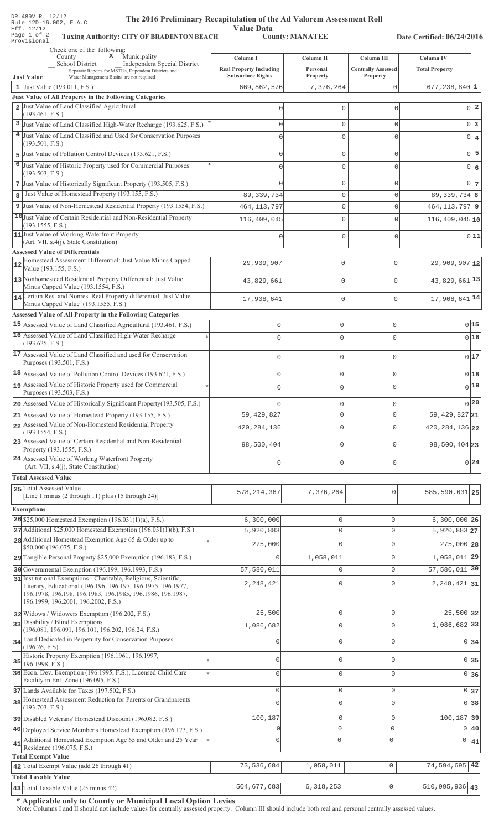| $DK-489V$ K. $LZ/LZ$<br>The 2016 Preliminary Recapitulation of the Ad Valorem Assessment Roll<br>Rule 12D-16.002, F.A.C<br>Eff. 12/12<br>Page 1 of 2<br><b>Taxing Authority: CITY OF BRADENTON BEACH</b><br>Provisional | <b>Value Data</b>                          | <b>County: MANATEE</b>      |                                         | Date Certified: 06/24/2016         |                               |
|-------------------------------------------------------------------------------------------------------------------------------------------------------------------------------------------------------------------------|--------------------------------------------|-----------------------------|-----------------------------------------|------------------------------------|-------------------------------|
| Check one of the following:                                                                                                                                                                                             |                                            |                             |                                         |                                    |                               |
| $\mathbf{x}$ Municipality<br>$\overline{\phantom{a}}$ County<br><b>School District</b><br><b>Independent Special District</b><br>Separate Reports for MSTUs, Dependent Districts and                                    | Column I<br><b>Real Property Including</b> | Column II<br>Personal       | Column III<br><b>Centrally Assessed</b> | Column IV<br><b>Total Property</b> |                               |
| <b>Just Value</b><br>Water Management Basins are not required                                                                                                                                                           | <b>Subsurface Rights</b><br>669,862,576    | Property                    | Property                                |                                    |                               |
| 1 Just Value (193.011, F.S.)<br>Just Value of All Property in the Following Categories                                                                                                                                  |                                            | 7,376,264                   | 0                                       | $677, 238, 840$ 1                  |                               |
| 2 Just Value of Land Classified Agricultural                                                                                                                                                                            | $\Omega$                                   | $\mathbf 0$                 | U                                       |                                    | -2<br>$\circ$                 |
| (193.461, F.S.)                                                                                                                                                                                                         |                                            |                             |                                         |                                    |                               |
| 3 Just Value of Land Classified High-Water Recharge (193.625, F.S.)                                                                                                                                                     | 0                                          | $\mathbb O$                 | $\Omega$                                |                                    | $\mathbb O$<br>3              |
| <sup>4</sup> Just Value of Land Classified and Used for Conservation Purposes<br>(193.501, F.S.)                                                                                                                        | $\Omega$                                   | $\mathbf 0$                 | $\Omega$                                |                                    | $\mathbf 0$<br>$\overline{4}$ |
| Just Value of Pollution Control Devices (193.621, F.S.)<br>5                                                                                                                                                            | 0                                          | $\mathbb O$                 | $\Omega$                                |                                    | 5<br>$\mathbf{0}$             |
| 6 Just Value of Historic Property used for Commercial Purposes<br>(193.503, F.S.)                                                                                                                                       | $\Omega$                                   | $\mathbb O$                 | C                                       |                                    | $\mathbf 0$<br>6              |
| 7 Just Value of Historically Significant Property (193.505, F.S.)                                                                                                                                                       | $\Omega$                                   | $\mathbb O$                 | $\Omega$                                |                                    | $\Omega$<br>$\vert$ 7         |
| Just Value of Homestead Property (193.155, F.S.)<br>8                                                                                                                                                                   | 89, 339, 734                               | $\mathbb O$                 | $\mathbf{0}$                            | $89,339,734$ 8                     |                               |
| 9 Just Value of Non-Homestead Residential Property (193.1554, F.S.)                                                                                                                                                     | 464, 113, 797                              | $\mathbf 0$                 | $\Omega$                                | 464, 113, 797 9                    |                               |
| 10 Just Value of Certain Residential and Non-Residential Property                                                                                                                                                       | 116,409,045                                | $\mathbb O$                 | $\Omega$                                | $116,409,045$ <sub>10</sub>        |                               |
| (193.1555, F.S.)<br>11 Just Value of Working Waterfront Property                                                                                                                                                        | $\Omega$                                   | $\mathbf 0$                 | $\Omega$                                |                                    | 0 11                          |
| (Art. VII, s.4(j), State Constitution)                                                                                                                                                                                  |                                            |                             |                                         |                                    |                               |
| <b>Assessed Value of Differentials</b>                                                                                                                                                                                  |                                            |                             |                                         |                                    |                               |
| Homestead Assessment Differential: Just Value Minus Capped<br>12<br>Value (193.155, F.S.)                                                                                                                               | 29,909,907                                 | $\mathbb O$                 | $\mathbf 0$                             | $29,909,907$ <sup>12</sup>         |                               |
| 13 Nonhomestead Residential Property Differential: Just Value<br>Minus Capped Value (193.1554, F.S.)                                                                                                                    | 43,829,661                                 | $\mathbb O$                 | $\mathbf 0$                             | 43, 829, 661 13                    |                               |
| 14 Certain Res. and Nonres. Real Property differential: Just Value<br>Minus Capped Value (193.1555, F.S.)                                                                                                               | 17,908,641                                 | $\mathbb O$                 | $\mathbf 0$                             | $17,908,641$ <sup>14</sup>         |                               |
| Assessed Value of All Property in the Following Categories                                                                                                                                                              |                                            |                             |                                         |                                    |                               |
| 15 Assessed Value of Land Classified Agricultural (193.461, F.S.)<br>16 Assessed Value of Land Classified High-Water Recharge                                                                                           | 0                                          | $\mathsf{O}\xspace$         | $\mathsf{O}\xspace$                     |                                    | 0 15                          |
| (193.625, F.S.)                                                                                                                                                                                                         | $\cap$                                     | $\Omega$                    | $\mathbf 0$                             |                                    | 0 16                          |
| 17 Assessed Value of Land Classified and used for Conservation<br>Purposes (193.501, F.S.)                                                                                                                              | $\mathbf 0$                                | $\circ$                     | $\mathsf 0$                             |                                    | 017                           |
| 18 Assessed Value of Pollution Control Devices (193.621, F.S.)                                                                                                                                                          | 0                                          | $\mathbb O$                 | $\mathsf{O}\xspace$                     |                                    | 0 18                          |
| 19 Assessed Value of Historic Property used for Commercial                                                                                                                                                              |                                            | 0                           | U                                       |                                    | 0 19                          |
| Purposes (193.503, F.S.)                                                                                                                                                                                                |                                            |                             |                                         |                                    |                               |
| 20 Assessed Value of Historically Significant Property (193.505, F.S.)                                                                                                                                                  |                                            | $\mathbf{0}$                | $\mathbf 0$                             |                                    | $\bigcap$ 20                  |
| 21 Assessed Value of Homestead Property (193.155, F.S.)<br>22 Assessed Value of Non-Homestead Residential Property                                                                                                      | 59, 429, 827                               | $\circ$                     | $\mathbf 0$                             | 59, 429, 827 21                    |                               |
| (193.1554, F.S.)                                                                                                                                                                                                        | 420, 284, 136                              | $\circ$                     | $\mathbf 0$                             | 420, 284, 136 22                   |                               |
| 23 Assessed Value of Certain Residential and Non-Residential<br>Property (193.1555, F.S.)                                                                                                                               | 98,500,404                                 | $\circ$                     | $\mathbf 0$                             | 98,500,404 23                      |                               |
| 24 Assessed Value of Working Waterfront Property<br>(Art. VII, s.4(j), State Constitution)                                                                                                                              | 0                                          | $\circ$                     | $\mathbf{0}$                            |                                    | 0 24                          |
| <b>Total Assessed Value</b>                                                                                                                                                                                             |                                            |                             |                                         |                                    |                               |
| 25 Total Assessed Value<br>[Line 1 minus (2 through 11) plus (15 through 24)]                                                                                                                                           | 578, 214, 367                              | 7,376,264                   | $\mathbf 0$                             | 585, 590, 631 25                   |                               |
|                                                                                                                                                                                                                         |                                            |                             |                                         |                                    |                               |
| <b>Exemptions</b>                                                                                                                                                                                                       |                                            |                             |                                         |                                    |                               |
| 26 \$25,000 Homestead Exemption $(196.031(1)(a), F.S.)$<br>$27$ Additional \$25,000 Homestead Exemption (196.031(1)(b), F.S.)                                                                                           | 6,300,000<br>5,920,883                     | $\mathbb O$<br>$\mathbf{0}$ | $\mathsf{O}\xspace$<br>$\mathbf{0}$     | $6,300,000$ 26<br>5,920,883 27     |                               |
| 28 Additional Homestead Exemption Age 65 & Older up to                                                                                                                                                                  |                                            |                             |                                         |                                    |                               |
| \$50,000 (196.075, F.S.)                                                                                                                                                                                                | 275,000                                    | $\Omega$                    | $\mathsf 0$                             | $275,000$ 28                       |                               |
| 29 Tangible Personal Property \$25,000 Exemption (196.183, F.S.)                                                                                                                                                        | 0                                          | 1,058,011                   | $\mathsf{O}\xspace$                     | 1,058,011 29                       |                               |
| 30 Governmental Exemption (196.199, 196.1993, F.S.)                                                                                                                                                                     | 57,580,011                                 | 0                           | $\mathbb O$                             | 57,580,011 30                      |                               |
| 31 Institutional Exemptions - Charitable, Religious, Scientific,<br>Literary, Educational (196.196, 196.197, 196.1975, 196.1977,<br>196.1978, 196.198, 196.1983, 196.1985, 196.1986, 196.1987,                          | 2,248,421                                  | 0                           | $\mathbf 0$                             | 2, 248, 421 31                     |                               |
| 196.1999, 196.2001, 196.2002, F.S.)                                                                                                                                                                                     | 25,500                                     | $\mathbb O$                 | 0                                       | 25,500 32                          |                               |
| 32 Widows / Widowers Exemption (196.202, F.S.)<br>33 Disability / Blind Exemptions                                                                                                                                      |                                            |                             |                                         | 1,086,682 33                       |                               |
| (196.081, 196.091, 196.101, 196.202, 196.24, F.S.)                                                                                                                                                                      | 1,086,682                                  | 0                           | $\mathbf 0$                             |                                    |                               |
| 34 Land Dedicated in Perpetuity for Conservation Purposes<br>(196.26, F.S)                                                                                                                                              | $\Omega$                                   | $\mathbf{0}$                | $\mathbf 0$                             |                                    | 0 34                          |
| Historic Property Exemption (196.1961, 196.1997,<br>35<br>196.1998, F.S.)                                                                                                                                               | 0                                          | 0                           | $\mathbf 0$                             | $\overline{0}$                     | 35                            |
| 36 Econ. Dev. Exemption (196.1995, F.S.), Licensed Child Care                                                                                                                                                           | $\mathbf 0$                                | $\mathbb O$                 | $\mathbf{0}$                            | $\Omega$                           | 36                            |
| Facility in Ent. Zone (196.095, F.S.)                                                                                                                                                                                   | $\Omega$                                   |                             |                                         |                                    |                               |
| 37 Lands Available for Taxes (197.502, F.S.)<br>38 Homestead Assessment Reduction for Parents or Grandparents                                                                                                           |                                            | $\mathbb O$                 | $\mathsf 0$                             |                                    | 0 37                          |
| (193.703, F.S.)                                                                                                                                                                                                         | 0                                          | 0                           | $\mathbf 0$                             |                                    | $0$ 38                        |
| 39 Disabled Veterans' Homestead Discount (196.082, F.S.)                                                                                                                                                                | 100,187                                    | $\mathbb O$                 | $\mathsf{O}\xspace$                     | 100,187 39                         |                               |
| 40 Deployed Service Member's Homestead Exemption (196.173, F.S.)                                                                                                                                                        | $\Omega$                                   | $\mathbf 0$                 | $\circ$                                 | $\Omega$                           | 40                            |
| Additional Homestead Exemption Age 65 and Older and 25 Year<br>41<br>Residence (196.075, F.S.)<br><b>Total Exempt Value</b>                                                                                             | $\mathbf 0$                                | $\mathbf 0$                 | $\circ$                                 | 0                                  | 41                            |
| 42 Total Exempt Value (add 26 through 41)                                                                                                                                                                               | 73,536,684                                 | 1,058,011                   | $\mathsf{O}\xspace$                     | 74,594,695                         | 42                            |
| <b>Total Taxable Value</b>                                                                                                                                                                                              |                                            |                             |                                         |                                    |                               |
| 43 Total Taxable Value (25 minus 42)                                                                                                                                                                                    | 504,677,683                                | 6, 318, 253                 | $\mathsf{O}$                            | $510, 995, 936$ 43                 |                               |

DR-489V R. 12/12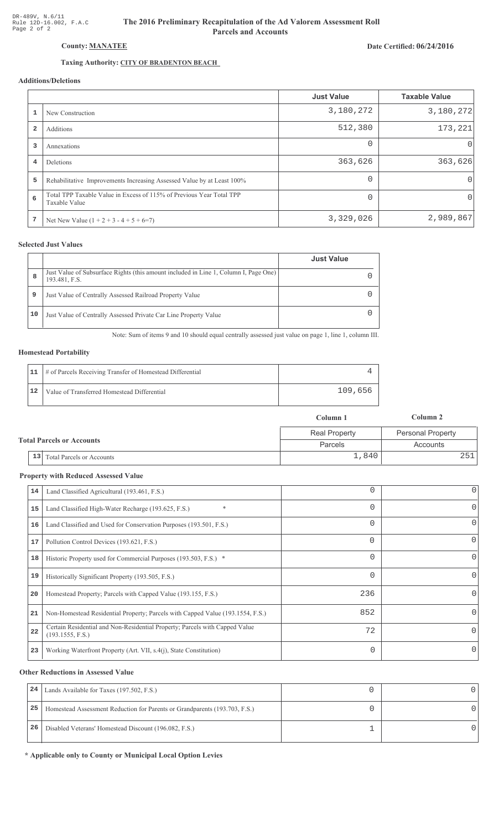# Date Certified: 06/24/2016

# Taxing Authority: CITY OF BRADENTON BEACH

County: MANATEE

# Additions/Deletions

|              |                                                                                       | <b>Just Value</b> | <b>Taxable Value</b> |
|--------------|---------------------------------------------------------------------------------------|-------------------|----------------------|
| $\mathbf{1}$ | New Construction                                                                      | 3,180,272         | 3,180,272            |
| 2            | Additions                                                                             | 512,380           | 173,221              |
| 3            | Annexations                                                                           | $\Omega$          | 0                    |
| 4            | Deletions                                                                             | 363,626           | 363,626              |
| 5            | Rehabilitative Improvements Increasing Assessed Value by at Least 100%                | $\Omega$          | $\Omega$             |
| 6            | Total TPP Taxable Value in Excess of 115% of Previous Year Total TPP<br>Taxable Value |                   | 0                    |
| 7            | Net New Value $(1 + 2 + 3 - 4 + 5 + 6=7)$                                             | 3,329,026         | 2,989,867            |

### **Selected Just Values**

|    |                                                                                                       | <b>Just Value</b> |
|----|-------------------------------------------------------------------------------------------------------|-------------------|
| 8  | Just Value of Subsurface Rights (this amount included in Line 1, Column I, Page One)<br>193.481, F.S. |                   |
| 9  | Just Value of Centrally Assessed Railroad Property Value                                              |                   |
| 10 | Just Value of Centrally Assessed Private Car Line Property Value                                      |                   |

Note: Sum of items 9 and 10 should equal centrally assessed just value on page 1, line 1, column III.

### **Homestead Portability**

|    | 11   # of Parcels Receiving Transfer of Homestead Differential |         |
|----|----------------------------------------------------------------|---------|
| 12 | Value of Transferred Homestead Differential                    | 109,656 |

|                                  |                                        | Column 1             | Column 2                 |
|----------------------------------|----------------------------------------|----------------------|--------------------------|
| <b>Total Parcels or Accounts</b> |                                        | <b>Real Property</b> | <b>Personal Property</b> |
|                                  |                                        | Parcels              | Accounts                 |
|                                  | 13<br><b>Total Parcels or Accounts</b> | 1,840                |                          |

#### **Property with Reduced Assessed Value**

| 14 | Land Classified Agricultural (193.461, F.S.)                                                    |          | 0        |
|----|-------------------------------------------------------------------------------------------------|----------|----------|
| 15 | $\ast$<br>Land Classified High-Water Recharge (193.625, F.S.)                                   | 0        | 0        |
| 16 | Land Classified and Used for Conservation Purposes (193.501, F.S.)                              |          | 0        |
| 17 | Pollution Control Devices (193.621, F.S.)                                                       | $\Omega$ | 0        |
| 18 | Historic Property used for Commercial Purposes (193.503, F.S.) *                                | 0        | 0        |
| 19 | Historically Significant Property (193.505, F.S.)                                               |          | 0        |
| 20 | Homestead Property; Parcels with Capped Value (193.155, F.S.)                                   | 236      | 0        |
| 21 | Non-Homestead Residential Property; Parcels with Capped Value (193.1554, F.S.)                  | 852      | 0        |
| 22 | Certain Residential and Non-Residential Property; Parcels with Capped Value<br>(193.1555, F.S.) | 72       | $\Omega$ |
| 23 | Working Waterfront Property (Art. VII, s.4(j), State Constitution)                              | 0        | 0        |
|    |                                                                                                 |          |          |

#### **Other Reductions in Assessed Value**

| 24 | Lands Available for Taxes (197.502, F.S.)                                  |  |
|----|----------------------------------------------------------------------------|--|
| 25 | Homestead Assessment Reduction for Parents or Grandparents (193.703, F.S.) |  |
| 26 | Disabled Veterans' Homestead Discount (196.082, F.S.)                      |  |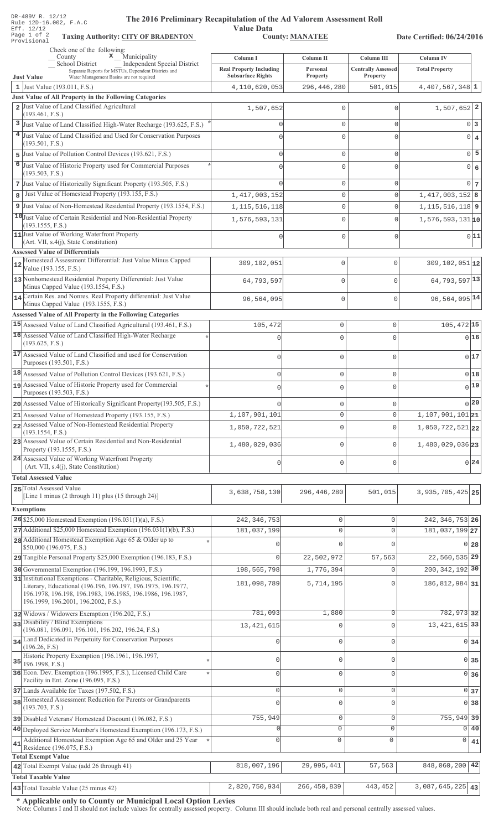| DR-489V R. 12/12<br>The 2016 Preliminary Recapitulation of the Ad Valorem Assessment Roll<br>Rule 12D-16.002, F.A.C<br>Eff. 12/12<br>Page 1 of 2<br><b>Taxing Authority: CITY OF BRADENTON</b>                                        | <b>Value Data</b>              | <b>County: MANATEE</b> |                           | Date Certified: 06/24/2016         |  |
|---------------------------------------------------------------------------------------------------------------------------------------------------------------------------------------------------------------------------------------|--------------------------------|------------------------|---------------------------|------------------------------------|--|
| Provisional                                                                                                                                                                                                                           |                                |                        |                           |                                    |  |
| Check one of the following:<br>$\boldsymbol{\mathsf{x}}$ Municipality<br>$\sqrt{\frac{1}{1}}$ County                                                                                                                                  | Column I                       | Column II              | Column III                | <b>Column IV</b>                   |  |
| School District<br><b>Independent Special District</b><br>Separate Reports for MSTUs, Dependent Districts and                                                                                                                         | <b>Real Property Including</b> | Personal               | <b>Centrally Assessed</b> | <b>Total Property</b>              |  |
| Water Management Basins are not required<br><b>Just Value</b>                                                                                                                                                                         | <b>Subsurface Rights</b>       | <b>Property</b>        | Property                  |                                    |  |
| 1 Just Value $(193.011, F.S.)$                                                                                                                                                                                                        | 4,110,620,053                  | 296, 446, 280          | 501,015                   | 4,407,567,348 1                    |  |
| Just Value of All Property in the Following Categories<br>2 Just Value of Land Classified Agricultural                                                                                                                                |                                |                        |                           |                                    |  |
| (193.461, F.S.)                                                                                                                                                                                                                       | 1,507,652                      | $\mathbf 0$            | $\mathbf 0$               | $1,507,652$ 2                      |  |
| 3 Just Value of Land Classified High-Water Recharge (193.625, F.S.)                                                                                                                                                                   | 0                              | 0                      | $\mathbf{0}$              | 0<br>3                             |  |
| 4 Just Value of Land Classified and Used for Conservation Purposes                                                                                                                                                                    | $\cap$                         | $\mathbf 0$            | $\Omega$                  | $\overline{0}$<br>$\overline{4}$   |  |
| (193.501, F.S.)                                                                                                                                                                                                                       |                                |                        |                           | 5                                  |  |
| Just Value of Pollution Control Devices (193.621, F.S.)<br>5<br>6                                                                                                                                                                     | 0                              | $\mathbb O$            | $\mathbf 0$               | 0                                  |  |
| Just Value of Historic Property used for Commercial Purposes<br>(193.503, F.S.)                                                                                                                                                       | $\Omega$                       | $\mathbf 0$            | $\mathbf 0$               | $\circ$<br>6                       |  |
| 7 Just Value of Historically Significant Property (193.505, F.S.)                                                                                                                                                                     |                                | $\mathbb O$            | $\mathbf 0$               | 0<br>$7\phantom{.0}$               |  |
| Just Value of Homestead Property (193.155, F.S.)<br>8                                                                                                                                                                                 | 1, 417, 003, 152               | $\mathbb O$            | $\mathbf 0$               | $1,417,003,152$ 8                  |  |
| 9 Just Value of Non-Homestead Residential Property (193.1554, F.S.)                                                                                                                                                                   | 1, 115, 516, 118               | $\mathbb O$            | $\mathbf 0$               | $1, 115, 516, 118$ 9               |  |
| 10 Just Value of Certain Residential and Non-Residential Property                                                                                                                                                                     | 1,576,593,131                  | $\mathbf 0$            | $\mathbf 0$               | $1,576,593,131$ <sub>10</sub>      |  |
| (193.1555, F.S.)                                                                                                                                                                                                                      |                                |                        |                           |                                    |  |
| 11 Just Value of Working Waterfront Property<br>(Art. VII, s.4(j), State Constitution)                                                                                                                                                | 0                              | $\mathsf 0$            | $\mathbf 0$               | 0 11                               |  |
| <b>Assessed Value of Differentials</b>                                                                                                                                                                                                |                                |                        |                           |                                    |  |
| Homestead Assessment Differential: Just Value Minus Capped<br>Value (193.155, F.S.)                                                                                                                                                   | 309,102,051                    | $\mathbb O$            | $\mathbf 0$               | $309, 102, 051$ 12                 |  |
| 13 Nonhomestead Residential Property Differential: Just Value<br>Minus Capped Value (193.1554, F.S.)                                                                                                                                  | 64,793,597                     | $\mathbb O$            | $\mathbf 0$               | 64, 793, 597 13                    |  |
| 14 Certain Res. and Nonres. Real Property differential: Just Value<br>Minus Capped Value (193.1555, F.S.)                                                                                                                             | 96,564,095                     | $\mathbf{0}$           | $\mathbf 0$               | 96, 564, 095 14                    |  |
| Assessed Value of All Property in the Following Categories                                                                                                                                                                            |                                |                        |                           |                                    |  |
| 15 Assessed Value of Land Classified Agricultural (193.461, F.S.)                                                                                                                                                                     | 105,472                        | $\mathbf 0$            | $\mathbf 0$               | 105,472 15                         |  |
| 16 Assessed Value of Land Classified High-Water Recharge<br>(193.625, F.S.)                                                                                                                                                           | $\Omega$                       | $\mathbf 0$            | $\Omega$                  | 0 16                               |  |
| 17 Assessed Value of Land Classified and used for Conservation<br>Purposes (193.501, F.S.)                                                                                                                                            | $\mathbf 0$                    | $\mathbf 0$            | $\mathbf{0}$              | 017                                |  |
| 18 Assessed Value of Pollution Control Devices (193.621, F.S.)                                                                                                                                                                        | $\mathbf 0$                    | $\mathbb O$            | $\mathsf{O}\xspace$       | 0 18                               |  |
| 19 Assessed Value of Historic Property used for Commercial                                                                                                                                                                            | U                              | $\mathbf 0$            | $\Omega$                  | 0 19                               |  |
| Purposes (193.503, F.S.)                                                                                                                                                                                                              |                                |                        |                           |                                    |  |
| 20 Assessed Value of Historically Significant Property (193.505, F.S.)                                                                                                                                                                |                                | $\mathbf 0$            | 0                         | 0 20                               |  |
| 21 Assessed Value of Homestead Property (193.155, F.S.)<br>22 Assessed Value of Non-Homestead Residential Property                                                                                                                    | 1,107,901,101                  | $\mathbf 0$            | $\mathsf{O}\xspace$       | $1,107,901,101$ <sub>21</sub>      |  |
| (193.1554, F.S.)                                                                                                                                                                                                                      | 1,050,722,521                  | $\mathbf 0$            | $\circ$                   | $1,050,722,521$ 22                 |  |
| 23 Assessed Value of Certain Residential and Non-Residential<br>Property (193.1555, F.S.)                                                                                                                                             | 1,480,029,036                  | $\mathbf{0}$           | $\circ$                   | 1,480,029,036 23                   |  |
| 24 Assessed Value of Working Waterfront Property                                                                                                                                                                                      | $\mathbf 0$                    | $\mathbf 0$            |                           | 0 <sup>24</sup>                    |  |
| (Art. VII, s.4(j), State Constitution)                                                                                                                                                                                                |                                |                        | 0                         |                                    |  |
| <b>Total Assessed Value</b>                                                                                                                                                                                                           |                                |                        |                           |                                    |  |
| 25 Total Assessed Value<br>[Line 1 minus (2 through 11) plus (15 through 24)]                                                                                                                                                         | 3,638,758,130                  | 296, 446, 280          | 501,015                   | $3,935,705,425$ 25                 |  |
|                                                                                                                                                                                                                                       |                                |                        |                           |                                    |  |
| <b>Exemptions</b>                                                                                                                                                                                                                     |                                | $\mathbb O$            | $\circ$                   |                                    |  |
| 26 \$25,000 Homestead Exemption $(196.031(1)(a), F.S.)$<br>$27$ Additional \$25,000 Homestead Exemption (196.031(1)(b), F.S.)                                                                                                         | 242, 346, 753<br>181,037,199   | $\mathbf{0}$           | $\mathbf 0$               | 242, 346, 753 26<br>181,037,199 27 |  |
| 28 Additional Homestead Exemption Age 65 & Older up to                                                                                                                                                                                |                                |                        |                           |                                    |  |
| \$50,000 (196.075, F.S.)                                                                                                                                                                                                              |                                | $\Omega$               | $\Omega$                  | 28<br>01                           |  |
| 29 Tangible Personal Property \$25,000 Exemption (196.183, F.S.)                                                                                                                                                                      | 0                              | 22,502,972             | 57,563                    | 22,560,535 29                      |  |
| 30 Governmental Exemption (196.199, 196.1993, F.S.)                                                                                                                                                                                   | 198,565,798                    | 1,776,394              | $\mathbf 0$               | 200, 342, 192 30                   |  |
| 31 Institutional Exemptions - Charitable, Religious, Scientific,<br>Literary, Educational (196.196, 196.197, 196.1975, 196.1977,<br>196.1978, 196.198, 196.1983, 196.1985, 196.1986, 196.1987,<br>196.1999, 196.2001, 196.2002, F.S.) | 181,098,789                    | 5,714,195              | $\Omega$                  | 186, 812, 984 31                   |  |
| 32 Widows / Widowers Exemption (196.202, F.S.)                                                                                                                                                                                        | 781,093                        | 1,880                  | $\circ$                   | 782, 973 32                        |  |
| 33 Disability / Blind Exemptions                                                                                                                                                                                                      | 13, 421, 615                   | $\mathbf 0$            | $\circ$                   | 13, 421, 615 33                    |  |
| (196.081, 196.091, 196.101, 196.202, 196.24, F.S.)                                                                                                                                                                                    |                                |                        |                           |                                    |  |
| 34 Land Dedicated in Perpetuity for Conservation Purposes<br>(196.26, F.S)                                                                                                                                                            | O                              | $\Omega$               | $\circ$                   | $0 \mid 34$                        |  |
| Historic Property Exemption (196.1961, 196.1997,<br>35<br>196.1998, F.S.)                                                                                                                                                             | 0                              | $\mathbf 0$            | $\circ$                   | $\overline{0}$<br>35               |  |
| 36 Econ. Dev. Exemption (196.1995, F.S.), Licensed Child Care                                                                                                                                                                         | 0                              | $\mathbf{0}$           | $\circ$                   | $0 \overline{\smash)36}$           |  |
| Facility in Ent. Zone (196.095, F.S.)                                                                                                                                                                                                 |                                |                        |                           |                                    |  |
| 37 Lands Available for Taxes (197.502, F.S.)<br>38 Homestead Assessment Reduction for Parents or Grandparents                                                                                                                         | $\Omega$                       | $\mathbf 0$            | $\mathsf{O}\xspace$       | $0 \overline{\smash{\big)}\ 37}$   |  |
| (193.703, F.S.)                                                                                                                                                                                                                       | $\Omega$                       | 0                      | $\mathbf 0$               | $0$ 38                             |  |
| 39 Disabled Veterans' Homestead Discount (196.082, F.S.)                                                                                                                                                                              | 755,949                        | $\mathbf{0}$           | $\circ$                   | 755,949 39                         |  |
| 40 Deployed Service Member's Homestead Exemption (196.173, F.S.)                                                                                                                                                                      | C                              | 0                      | 0                         | $\circ$<br>40                      |  |
| Additional Homestead Exemption Age 65 and Older and 25 Year<br>41<br>Residence (196.075, F.S.)                                                                                                                                        | $\Omega$                       | $\mathbf 0$            | 0                         | 0<br>41                            |  |
| <b>Total Exempt Value</b>                                                                                                                                                                                                             |                                |                        |                           |                                    |  |
| 42 Total Exempt Value (add 26 through 41)                                                                                                                                                                                             | 818,007,196                    | 29,995,441             | 57,563                    | 848,060,200<br>42                  |  |
| <b>Total Taxable Value</b>                                                                                                                                                                                                            |                                |                        |                           |                                    |  |
| 43 Total Taxable Value (25 minus 42)                                                                                                                                                                                                  | 2,820,750,934                  | 266, 450, 839          | 443,452                   | 3,087,645,225<br>43                |  |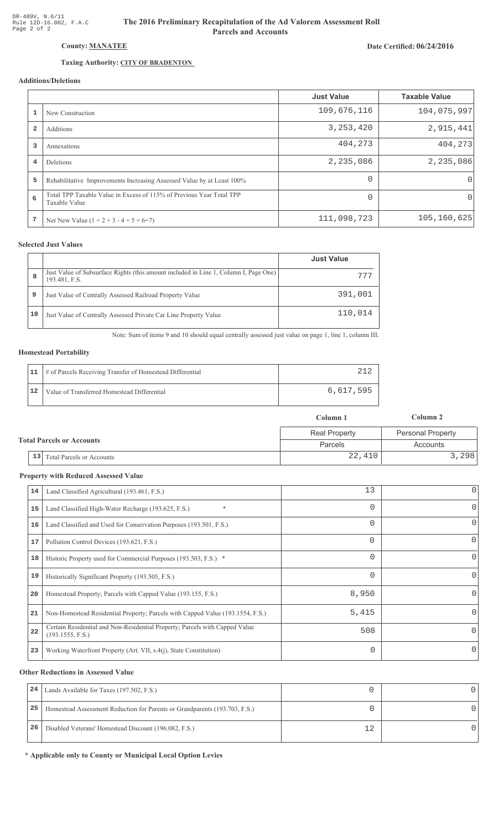# Date Certified: 06/24/2016

# County: MANATEE

# Taxing Authority: CITY OF BRADENTON

# Additions/Deletions

|                |                                                                                       | <b>Just Value</b> | <b>Taxable Value</b> |
|----------------|---------------------------------------------------------------------------------------|-------------------|----------------------|
|                | New Construction                                                                      | 109,676,116       | 104,075,997          |
| $\overline{2}$ | Additions                                                                             | 3, 253, 420       | 2,915,441            |
| 3              | Annexations                                                                           | 404,273           | 404,273              |
| 4              | <b>Deletions</b>                                                                      | 2,235,086         | 2,235,086            |
| 5              | Rehabilitative Improvements Increasing Assessed Value by at Least 100%                | $\Omega$          | 0                    |
| 6              | Total TPP Taxable Value in Excess of 115% of Previous Year Total TPP<br>Taxable Value | $\Omega$          | 0                    |
| 7              | Net New Value $(1 + 2 + 3 - 4 + 5 + 6=7)$                                             | 111,098,723       | 105, 160, 625        |

## **Selected Just Values**

|    |                                                                                                       | <b>Just Value</b> |
|----|-------------------------------------------------------------------------------------------------------|-------------------|
| 8  | Just Value of Subsurface Rights (this amount included in Line 1, Column I, Page One)<br>193.481, F.S. | 777               |
| 9  | Just Value of Centrally Assessed Railroad Property Value                                              | 391,001           |
| 10 | Just Value of Centrally Assessed Private Car Line Property Value                                      | 110,014           |

Note: Sum of items 9 and 10 should equal centrally assessed just value on page 1, line 1, column III.

### **Homestead Portability**

|    | 11   # of Parcels Receiving Transfer of Homestead Differential |           |
|----|----------------------------------------------------------------|-----------|
| 12 | Value of Transferred Homestead Differential                    | 6,617,595 |

|                                  |    |                                  | Column 1             | Column 2                 |
|----------------------------------|----|----------------------------------|----------------------|--------------------------|
|                                  |    |                                  | <b>Real Property</b> | <b>Personal Property</b> |
| <b>Total Parcels or Accounts</b> |    |                                  | Parcels              | Accounts                 |
|                                  | 13 | <b>Total Parcels or Accounts</b> | 22,410               | 3,298                    |

#### **Property with Reduced Assessed Value**

| 14 | Land Classified Agricultural (193.461, F.S.)                                                    | 13       | $\overline{0}$ |
|----|-------------------------------------------------------------------------------------------------|----------|----------------|
| 15 | $\ast$<br>Land Classified High-Water Recharge (193.625, F.S.)                                   | $\Omega$ | 0              |
| 16 | Land Classified and Used for Conservation Purposes (193.501, F.S.)                              | $\Omega$ | 0              |
| 17 | Pollution Control Devices (193.621, F.S.)                                                       | $\Omega$ | 0              |
| 18 | Historic Property used for Commercial Purposes (193.503, F.S.) *                                | $\Omega$ | 0              |
| 19 | Historically Significant Property (193.505, F.S.)                                               | $\Omega$ | 0              |
| 20 | Homestead Property; Parcels with Capped Value (193.155, F.S.)                                   | 8,950    |                |
| 21 | Non-Homestead Residential Property; Parcels with Capped Value (193.1554, F.S.)                  | 5,415    |                |
| 22 | Certain Residential and Non-Residential Property; Parcels with Capped Value<br>(193.1555, F.S.) | 508      | Ω              |
| 23 | Working Waterfront Property (Art. VII, s.4(j), State Constitution)                              | 0        |                |

#### **Other Reductions in Assessed Value**

| 24 | Lands Available for Taxes (197.502, F.S.)                                  |   |  |
|----|----------------------------------------------------------------------------|---|--|
| 25 | Homestead Assessment Reduction for Parents or Grandparents (193.703, F.S.) |   |  |
| 26 | Disabled Veterans' Homestead Discount (196.082, F.S.)                      | ാ |  |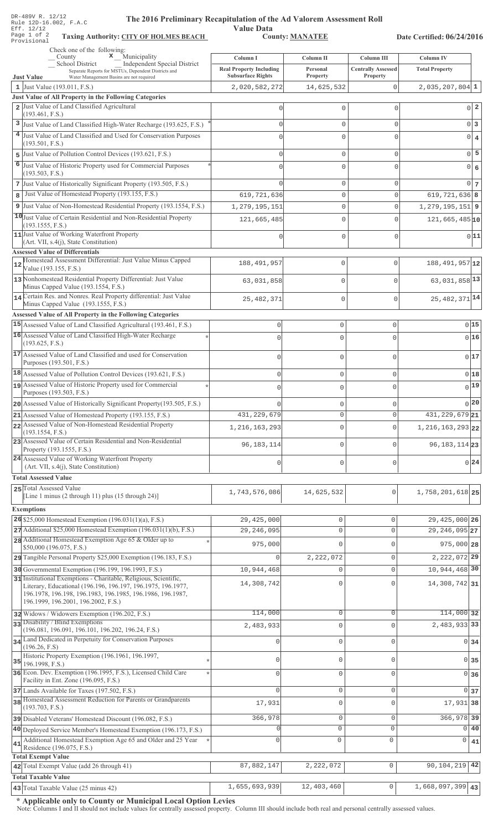|    | DR-489V R. 12/12<br>The 2016 Preliminary Recapitulation of the Ad Valorem Assessment Roll<br>Rule 12D-16.002, F.A.C                                               |                                                            |                            |                                       |                                    |
|----|-------------------------------------------------------------------------------------------------------------------------------------------------------------------|------------------------------------------------------------|----------------------------|---------------------------------------|------------------------------------|
|    | Eff. 12/12<br>Page 1 of 2<br><b>Taxing Authority: CITY OF HOLMES BEACH</b>                                                                                        | <b>Value Data</b>                                          | <b>County: MANATEE</b>     |                                       | Date Certified: 06/24/2016         |
|    | Provisional<br>Check one of the following:                                                                                                                        |                                                            |                            |                                       |                                    |
|    | $\mathbf x$ Municipality<br>County<br>Independent Special District<br>School District                                                                             | Column I                                                   | Column II                  | Column III                            | <b>Column IV</b>                   |
|    | Separate Reports for MSTUs, Dependent Districts and<br><b>Just Value</b><br>Water Management Basins are not required                                              | <b>Real Property Including</b><br><b>Subsurface Rights</b> | Personal<br>Property       | <b>Centrally Assessed</b><br>Property | <b>Total Property</b>              |
|    | 1 Just Value (193.011, F.S.)                                                                                                                                      | 2,020,582,272                                              | 14,625,532                 | $\mathbf 0$                           | $2,035,207,804$ 1                  |
|    | <b>Just Value of All Property in the Following Categories</b><br>2 Just Value of Land Classified Agricultural                                                     |                                                            |                            |                                       |                                    |
|    | (193.461, F.S.)                                                                                                                                                   | $\circ$                                                    | $\mathbf{0}$               | $\mathbf{0}$                          | 0 <sup>2</sup>                     |
|    | 3 Just Value of Land Classified High-Water Recharge (193.625, F.S.)                                                                                               | $\circ$                                                    | $\mathbf{0}$               | $\mathbf 0$                           | 0 <sup>3</sup>                     |
|    | 4 Just Value of Land Classified and Used for Conservation Purposes<br>(193.501, F.S.)                                                                             | 0                                                          | $\mathbf{0}$               | $\mathbf{0}$                          | $\overline{0}$<br>$\overline{4}$   |
|    | 5 Just Value of Pollution Control Devices (193.621, F.S.)                                                                                                         | 0                                                          | $\mathbb O$                | $\mathbf 0$                           | 5<br>$\Omega$                      |
|    | 6 Just Value of Historic Property used for Commercial Purposes                                                                                                    | 0                                                          | $\mathbf{0}$               | $\mathbf{0}$                          | $\Omega$<br>6                      |
|    | (193.503, F.S.)                                                                                                                                                   |                                                            |                            |                                       |                                    |
| 8  | 7 Just Value of Historically Significant Property (193.505, F.S.)<br>Just Value of Homestead Property (193.155, F.S.)                                             | $\Omega$<br>619, 721, 636                                  | $\mathbb O$<br>$\mathbf 0$ | $\mathsf 0$<br>$\mathsf 0$            | 0 <sub>7</sub><br>$619,721,636$ 8  |
|    | 9 Just Value of Non-Homestead Residential Property (193.1554, F.S.)                                                                                               | 1, 279, 195, 151                                           | 0                          | $\mathsf 0$                           | $1, 279, 195, 151$   9             |
|    | 10 Just Value of Certain Residential and Non-Residential Property                                                                                                 | 121,665,485                                                | $\mathbb O$                | $\mathsf{O}\xspace$                   | $121,665,485$ <sup>10</sup>        |
|    | (193.1555, F.S.)                                                                                                                                                  |                                                            |                            |                                       |                                    |
|    | 11 Just Value of Working Waterfront Property<br>$(Art. VII, s.4(j), State Constitution)$                                                                          | $\circ$                                                    | $\mathbb O$                | $\mathsf{O}\xspace$                   | 0 11                               |
|    | <b>Assessed Value of Differentials</b>                                                                                                                            |                                                            |                            |                                       |                                    |
| 12 | Homestead Assessment Differential: Just Value Minus Capped<br>Value (193.155, F.S.)                                                                               | 188, 491, 957                                              | $\mathbb O$                | $\mathbb O$                           | 188, 491, 957 12                   |
|    | 13 Nonhomestead Residential Property Differential: Just Value                                                                                                     | 63,031,858                                                 | $\mathbb O$                | $\mathsf{O}\xspace$                   | 63,031,858 13                      |
|    | Minus Capped Value (193.1554, F.S.)                                                                                                                               |                                                            |                            |                                       |                                    |
|    | 14 Certain Res. and Nonres. Real Property differential: Just Value<br>Minus Capped Value (193.1555, F.S.)                                                         | 25, 482, 371                                               | $\mathbb O$                | $\mathsf{O}\xspace$                   | $25,482,371$ <sup>14</sup>         |
|    | Assessed Value of All Property in the Following Categories                                                                                                        |                                                            |                            |                                       |                                    |
|    | 15 Assessed Value of Land Classified Agricultural (193.461, F.S.)                                                                                                 | $\mathsf{O}\xspace$                                        | $\mathbf 0$                | 0                                     | 015                                |
|    | 16 Assessed Value of Land Classified High-Water Recharge<br>(193.625, F.S.)                                                                                       | $\mathbf 0$                                                | $\mathbf 0$                | $\Omega$                              | 016                                |
|    | 17 Assessed Value of Land Classified and used for Conservation<br>Purposes (193.501, F.S.)                                                                        | $\mathbf 0$                                                | $\mathbf 0$                | 0                                     | 017                                |
|    | 18 Assessed Value of Pollution Control Devices (193.621, F.S.)                                                                                                    | $\mathbf 0$                                                | $\mathbf 0$                | 0                                     | 018                                |
|    | assessed Value of Historic Property used for Commercial<br>Purposes (193.503, F.S.)                                                                               |                                                            | 0                          | C                                     | $0$ 19                             |
|    | 20 Assessed Value of Historically Significant Property (193.505, F.S.)                                                                                            |                                                            | $\mathbf 0$                | $\mathbf{0}$                          | 0 20                               |
|    | 21 Assessed Value of Homestead Property (193.155, F.S.)                                                                                                           | 431, 229, 679                                              | $\mathbf 0$                | $\mathbf 0$                           | 431, 229, 679 21                   |
|    | 22 Assessed Value of Non-Homestead Residential Property                                                                                                           | 1, 216, 163, 293                                           | $\mathbf 0$                | $\mathbf 0$                           | 1, 216, 163, 293 22                |
|    | (193.1554, F.S.)<br>23 Assessed Value of Certain Residential and Non-Residential                                                                                  |                                                            |                            |                                       |                                    |
|    | Property (193.1555, F.S.)                                                                                                                                         | 96, 183, 114                                               | $\mathbf 0$                | $\mathbf 0$                           | 96, 183, 114 23                    |
|    | 24 Assessed Value of Working Waterfront Property<br>(Art. VII, s.4(j), State Constitution)                                                                        | $\mathbf 0$                                                | $\mathbf 0$                | $\mathbf 0$                           | $0^{24}$                           |
|    | <b>Total Assessed Value</b>                                                                                                                                       |                                                            |                            |                                       |                                    |
|    | 25 Total Assessed Value                                                                                                                                           | 1,743,576,086                                              | 14,625,532                 | $\circ$                               | 1,758,201,618 25                   |
|    | [Line 1 minus (2 through 11) plus (15 through 24)]                                                                                                                |                                                            |                            |                                       |                                    |
|    | <b>Exemptions</b>                                                                                                                                                 |                                                            |                            |                                       |                                    |
|    | 26 \$25,000 Homestead Exemption $(196.031(1)(a), F.S.)$<br>$27$ Additional \$25,000 Homestead Exemption (196.031(1)(b), F.S.)                                     | 29,425,000<br>29, 246, 095                                 | 0<br>$\mathsf{O}\xspace$   | 0<br>$\mathbf 0$                      | 29, 425, 000 26<br>29, 246, 095 27 |
|    | 28 Additional Homestead Exemption Age 65 & Older up to                                                                                                            |                                                            |                            |                                       |                                    |
|    | \$50,000 (196.075, F.S.)                                                                                                                                          | 975,000                                                    | $\Omega$                   | $\mathbf 0$                           | 975,000 28                         |
|    | 29 Tangible Personal Property \$25,000 Exemption (196.183, F.S.)                                                                                                  |                                                            | 2,222,072                  | $\mathbf 0$                           | 2, 222, 072 29                     |
|    | 30 Governmental Exemption (196.199, 196.1993, F.S.)<br>31 Institutional Exemptions - Charitable, Religious, Scientific,                                           | 10,944,468                                                 | 0                          | $\mathsf{O}\xspace$                   | 10,944,468 30                      |
|    | Literary, Educational (196.196, 196.197, 196.1975, 196.1977,<br>196.1978, 196.198, 196.1983, 196.1985, 196.1986, 196.1987,<br>196.1999, 196.2001, 196.2002, F.S.) | 14,308,742                                                 | $\Omega$                   | 0                                     | 14,308,742 31                      |
|    | 32 Widows / Widowers Exemption (196.202, F.S.)                                                                                                                    | 114,000                                                    | $\mathbf 0$                | $\circ$                               | 114,000 32                         |
|    | 33 Disability / Blind Exemptions                                                                                                                                  | 2,483,933                                                  | 0                          | $\overline{0}$                        | 2,483,933 33                       |
|    | (196.081, 196.091, 196.101, 196.202, 196.24, F.S.)<br>34 Land Dedicated in Perpetuity for Conservation Purposes                                                   | $\Omega$                                                   | $\mathbf{0}$               | $\mathbf 0$                           | 0 34                               |
|    | (196.26, F.S)                                                                                                                                                     |                                                            |                            |                                       |                                    |
|    | Historic Property Exemption (196.1961, 196.1997,<br>$35$ 196.1998, F.S.)                                                                                          | O                                                          | $\mathbf 0$                | 0                                     | 0 35                               |
|    | 36 Econ. Dev. Exemption (196.1995, F.S.), Licensed Child Care<br>Facility in Ent. Zone (196.095, F.S.)                                                            | O                                                          | $\mathbf{0}$               | $\mathbf 0$                           | 0 36                               |
|    | 37 Lands Available for Taxes (197.502, F.S.)                                                                                                                      | $\Omega$                                                   | $\mathbf{0}$               | $\mathbf 0$                           | 0 <sub>37</sub>                    |
|    | 38 Homestead Assessment Reduction for Parents or Grandparents<br>(193.703, F.S.)                                                                                  | 17,931                                                     | 0                          | $\overline{0}$                        | 17,931 38                          |
|    | 39 Disabled Veterans' Homestead Discount (196.082, F.S.)                                                                                                          | 366,978                                                    | $\mathsf{O}\xspace$        | $\mathsf{O}\xspace$                   | 366,978 39                         |
|    | 40 Deployed Service Member's Homestead Exemption (196.173, F.S.)                                                                                                  | O                                                          | $\circ$                    | $\circ$                               | $0\overline{40}$                   |
| 41 | Additional Homestead Exemption Age 65 and Older and 25 Year<br>Residence (196.075, F.S.)                                                                          | O                                                          | $\mathbf 0$                | 0                                     | 0<br>41                            |
|    | <b>Total Exempt Value</b>                                                                                                                                         |                                                            |                            |                                       |                                    |
|    | 42 Total Exempt Value (add 26 through 41)                                                                                                                         | 87,882,147                                                 | 2,222,072                  | $\mathsf{O}\xspace$                   | 42<br>90,104,219                   |
|    | <b>Total Taxable Value</b>                                                                                                                                        |                                                            |                            |                                       |                                    |

Note: Columns I and II should not include values for centrally assessed property. Column III should include both real and personal centrally assessed values.

43 Total Taxable Value (25 minus 42) **1,655,693**,939 **12,403,460** 0 1,668,097,399 **43**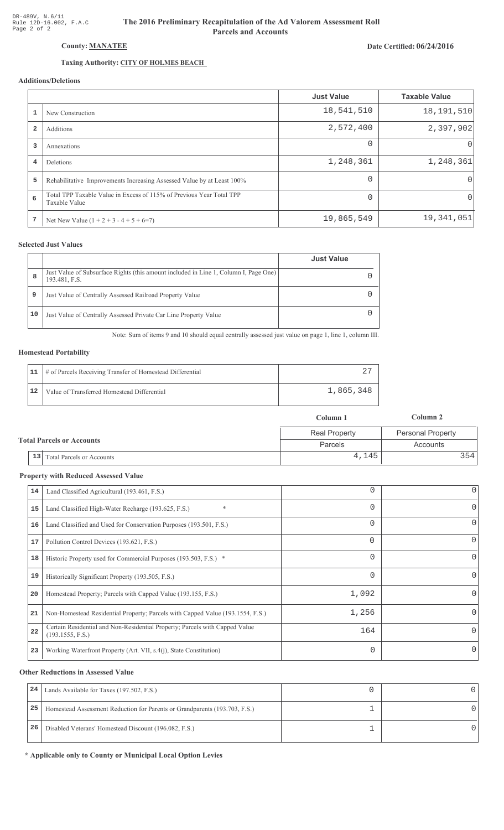# Date Certified: 06/24/2016

# Taxing Authority: CITY OF HOLMES BEACH County: MANATEE

# Additions/Deletions

|                |                                                                                       | <b>Just Value</b> | <b>Taxable Value</b> |
|----------------|---------------------------------------------------------------------------------------|-------------------|----------------------|
| $\mathbf{1}$   | New Construction                                                                      | 18,541,510        | 18, 191, 510         |
| $\overline{2}$ | Additions                                                                             | 2,572,400         | 2,397,902            |
| 3              | Annexations                                                                           | $\Omega$          | $\cup$               |
| $\overline{4}$ | Deletions                                                                             | 1,248,361         | 1,248,361            |
| 5              | Rehabilitative Improvements Increasing Assessed Value by at Least 100%                | $\Omega$          | $\Omega$             |
| 6              | Total TPP Taxable Value in Excess of 115% of Previous Year Total TPP<br>Taxable Value | $\Omega$          | 0                    |
| 7              | Net New Value $(1 + 2 + 3 - 4 + 5 + 6=7)$                                             | 19,865,549        | 19,341,051           |

## **Selected Just Values**

|    |                                                                                                       | <b>Just Value</b> |
|----|-------------------------------------------------------------------------------------------------------|-------------------|
| 8  | Just Value of Subsurface Rights (this amount included in Line 1, Column I, Page One)<br>193.481, F.S. |                   |
| 9  | Just Value of Centrally Assessed Railroad Property Value                                              |                   |
| 10 | Just Value of Centrally Assessed Private Car Line Property Value                                      |                   |

Note: Sum of items 9 and 10 should equal centrally assessed just value on page 1, line 1, column III.

#### **Homestead Portability**

|    | 11   # of Parcels Receiving Transfer of Homestead Differential |           |
|----|----------------------------------------------------------------|-----------|
| 12 | Value of Transferred Homestead Differential                    | 1,865,348 |

|                                  |                                      | Column 1             | Column 2                 |
|----------------------------------|--------------------------------------|----------------------|--------------------------|
|                                  |                                      | <b>Real Property</b> | <b>Personal Property</b> |
| <b>Total Parcels or Accounts</b> | <b>Parcels</b>                       | Accounts             |                          |
|                                  | $\vert$ 13 Total Parcels or Accounts | 4,145                | 3541                     |

#### **Property with Reduced Assessed Value**

| 14 | Land Classified Agricultural (193.461, F.S.)                                                    |          | 0        |
|----|-------------------------------------------------------------------------------------------------|----------|----------|
| 15 | $\ast$<br>Land Classified High-Water Recharge (193.625, F.S.)                                   | 0        | 0        |
| 16 | Land Classified and Used for Conservation Purposes (193.501, F.S.)                              | 0        | 0        |
| 17 | Pollution Control Devices (193.621, F.S.)                                                       | $\Omega$ | 0        |
| 18 | Historic Property used for Commercial Purposes (193.503, F.S.) *                                | 0        | 0        |
| 19 | Historically Significant Property (193.505, F.S.)                                               |          | 0        |
| 20 | Homestead Property; Parcels with Capped Value (193.155, F.S.)                                   | 1,092    | 0        |
| 21 | Non-Homestead Residential Property; Parcels with Capped Value (193.1554, F.S.)                  | 1,256    | 0        |
| 22 | Certain Residential and Non-Residential Property; Parcels with Capped Value<br>(193.1555, F.S.) | 164      | $\Omega$ |
| 23 | Working Waterfront Property (Art. VII, s.4(j), State Constitution)                              | 0        | 0        |
|    |                                                                                                 |          |          |

#### **Other Reductions in Assessed Value**

| 24 | Lands Available for Taxes (197.502, F.S.)                                  |  |
|----|----------------------------------------------------------------------------|--|
| 25 | Homestead Assessment Reduction for Parents or Grandparents (193.703, F.S.) |  |
| 26 | Disabled Veterans' Homestead Discount (196.082, F.S.)                      |  |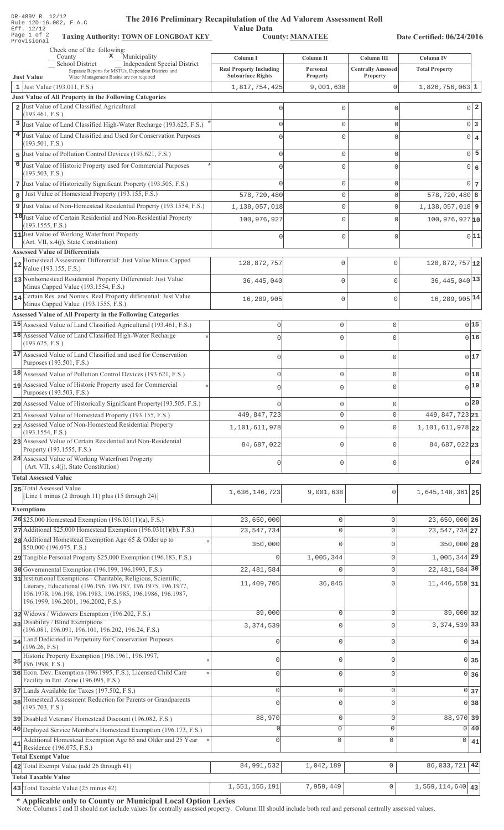| DR-489V R. 12/12<br>The 2016 Preliminary Recapitulation of the Ad Valorem Assessment Roll<br>Rule 12D-16.002, F.A.C                                                                                                                   |                                |                        |                           |                             |                                   |
|---------------------------------------------------------------------------------------------------------------------------------------------------------------------------------------------------------------------------------------|--------------------------------|------------------------|---------------------------|-----------------------------|-----------------------------------|
| Eff. 12/12<br>Page 1 of 2<br><b>Taxing Authority: TOWN OF LONGBOAT KEY</b><br>Provisional                                                                                                                                             | <b>Value Data</b>              | <b>County: MANATEE</b> |                           | Date Certified: 06/24/2016  |                                   |
| Check one of the following:<br>$\mathbf{x}$ Municipality<br>County                                                                                                                                                                    | Column I                       | Column II              | Column III                | <b>Column IV</b>            |                                   |
| Independent Special District<br>School District<br>Separate Reports for MSTUs, Dependent Districts and                                                                                                                                | <b>Real Property Including</b> | Personal               | <b>Centrally Assessed</b> | <b>Total Property</b>       |                                   |
| <b>Just Value</b><br>Water Management Basins are not required                                                                                                                                                                         | <b>Subsurface Rights</b>       | Property               | Property                  |                             |                                   |
| 1 Just Value (193.011, F.S.)<br>Just Value of All Property in the Following Categories                                                                                                                                                | 1,817,754,425                  | 9,001,638              | $\mathbf{0}$              | $1,826,756,063$ 1           |                                   |
| 2 Just Value of Land Classified Agricultural<br>(193.461, F.S.)                                                                                                                                                                       | C                              | $\mathbf 0$            | $\Omega$                  |                             | $\overline{a}$<br>$\Omega$        |
| 3 Just Value of Land Classified High-Water Recharge (193.625, F.S.)                                                                                                                                                                   | $\Omega$                       | $\mathbf{0}$           | 0                         |                             | $0\vert 3$                        |
| 4 Just Value of Land Classified and Used for Conservation Purposes                                                                                                                                                                    |                                | $\Omega$               | $\Omega$                  |                             | $\overline{0}$<br>$\overline{4}$  |
| (193.501, F.S.)                                                                                                                                                                                                                       |                                |                        |                           |                             | 5                                 |
| 5 Just Value of Pollution Control Devices (193.621, F.S.)<br>Just Value of Historic Property used for Commercial Purposes<br>6                                                                                                        | $\Omega$                       | $\mathbf{0}$           | 0                         |                             | $\overline{0}$                    |
| (193.503, F.S.)                                                                                                                                                                                                                       |                                | $\mathbf 0$            | $\Omega$                  |                             | $6\phantom{1}6$<br>$\overline{0}$ |
| 7 Just Value of Historically Significant Property (193.505, F.S.)                                                                                                                                                                     |                                | $\mathbf 0$            | 0                         |                             | $0\vert 7$                        |
| Just Value of Homestead Property (193.155, F.S.)<br>8                                                                                                                                                                                 | 578,720,480                    | $\mathbb O$            | 0                         | $578, 720, 480$ 8           |                                   |
| 9 Just Value of Non-Homestead Residential Property (193.1554, F.S.)                                                                                                                                                                   | 1,138,057,018                  | $\mathbf 0$            | $\mathbf 0$               | $1,138,057,018$   9         |                                   |
| 10 Just Value of Certain Residential and Non-Residential Property<br>(193.1555, F.S.)                                                                                                                                                 | 100,976,927                    | $\mathbf 0$            | $\Omega$                  | $100,976,927$ <sub>10</sub> |                                   |
| 11 Just Value of Working Waterfront Property                                                                                                                                                                                          | U                              | $\mathbf 0$            | 0                         |                             | 0 11                              |
| (Art. VII, s.4(j), State Constitution)<br><b>Assessed Value of Differentials</b>                                                                                                                                                      |                                |                        |                           |                             |                                   |
| Homestead Assessment Differential: Just Value Minus Capped<br>12<br>Value (193.155, F.S.)                                                                                                                                             | 128,872,757                    | 0                      | 0                         | 128,872,757 12              |                                   |
| 13 Nonhomestead Residential Property Differential: Just Value<br>Minus Capped Value (193.1554, F.S.)                                                                                                                                  | 36, 445, 040                   | $\mathbf 0$            | O                         | $36,445,040$ <sup>13</sup>  |                                   |
| 14 Certain Res. and Nonres. Real Property differential: Just Value<br>Minus Capped Value (193.1555, F.S.)                                                                                                                             | 16,289,905                     | $\mathbf 0$            | $\mathbf 0$               | 16, 289, 905 14             |                                   |
| Assessed Value of All Property in the Following Categories                                                                                                                                                                            |                                |                        |                           |                             |                                   |
| 15 Assessed Value of Land Classified Agricultural (193.461, F.S.)                                                                                                                                                                     | 0                              | $\mathbf 0$            | $\mathbf 0$               |                             | 015                               |
| 16 Assessed Value of Land Classified High-Water Recharge<br>(193.625, F.S.)                                                                                                                                                           | $\Omega$                       | $\mathbf 0$            | $\mathbf 0$               |                             | 0 16                              |
| 17 Assessed Value of Land Classified and used for Conservation<br>Purposes (193.501, F.S.)                                                                                                                                            | $\circ$                        | $\mathsf{O}\xspace$    | $\mathbf 0$               |                             | 017                               |
| 18 Assessed Value of Pollution Control Devices (193.621, F.S.)                                                                                                                                                                        | $\mathbf{0}$                   | $\mathsf{O}\xspace$    | $\circ$                   |                             | 0 18                              |
| Assessed Value of Historic Property used for Commercial                                                                                                                                                                               |                                | Ω                      | C                         |                             | 0 19                              |
| Purposes (193.503, F.S.)<br>20 Assessed Value of Historically Significant Property (193.505, F.S.)                                                                                                                                    |                                |                        |                           |                             | $\bigcap$ 20                      |
| 21 Assessed Value of Homestead Property (193.155, F.S.)                                                                                                                                                                               | 449,847,723                    | 0<br>$\circ$           | $\circ$<br>$\mathbf{0}$   | 449,847,723 21              |                                   |
| 22 Assessed Value of Non-Homestead Residential Property                                                                                                                                                                               | 1,101,611,978                  | $\circ$                | $\mathbf{0}$              | 1, 101, 611, 978 22         |                                   |
| (193.1554, F.S.)<br>23 Assessed Value of Certain Residential and Non-Residential                                                                                                                                                      |                                |                        |                           |                             |                                   |
| Property (193.1555, F.S.)<br>24 Assessed Value of Working Waterfront Property                                                                                                                                                         | 84,687,022                     | $\circ$                | $\mathbf{0}$              | 84,687,02223                |                                   |
| (Art. VII, s.4(j), State Constitution)                                                                                                                                                                                                | 0                              | $\mathsf{O}\xspace$    | $\circ$                   |                             | 0 24                              |
| <b>Total Assessed Value</b>                                                                                                                                                                                                           |                                |                        |                           |                             |                                   |
| 25 Total Assessed Value<br>[Line 1 minus (2 through 11) plus (15 through 24)]                                                                                                                                                         | 1,636,146,723                  | 9,001,638              | 0                         | 1,645,148,361 25            |                                   |
| <b>Exemptions</b>                                                                                                                                                                                                                     |                                |                        |                           |                             |                                   |
| 26 \$25,000 Homestead Exemption $(196.031(1)(a), F.S.)$                                                                                                                                                                               | 23,650,000                     | 0                      | 0                         | 23,650,000 26               |                                   |
| $27$ Additional \$25,000 Homestead Exemption (196.031(1)(b), F.S.)                                                                                                                                                                    | 23, 547, 734                   | $\mathbb O$            | $\mathbf 0$               | 23, 547, 734 27             |                                   |
| 28 Additional Homestead Exemption Age 65 & Older up to<br>\$50,000 (196.075, F.S.)                                                                                                                                                    | 350,000                        | $\Omega$               | $\mathbf{0}$              | 350,000 28                  |                                   |
| 29 Tangible Personal Property \$25,000 Exemption (196.183, F.S.)                                                                                                                                                                      |                                | 1,005,344              | $\mathbf 0$               | 1,005,344 29                |                                   |
| 30 Governmental Exemption (196.199, 196.1993, F.S.)                                                                                                                                                                                   | 22, 481, 584                   | $\mathbf{0}$           | $\mathsf{O}\xspace$       | 22, 481, 584 30             |                                   |
| 31 Institutional Exemptions - Charitable, Religious, Scientific,<br>Literary, Educational (196.196, 196.197, 196.1975, 196.1977,<br>196.1978, 196.198, 196.1983, 196.1985, 196.1986, 196.1987,<br>196.1999, 196.2001, 196.2002, F.S.) | 11,409,705                     | 36,845                 | $\Omega$                  | 11, 446, 550 31             |                                   |
| 32 Widows / Widowers Exemption (196.202, F.S.)                                                                                                                                                                                        | 89,000                         | $\circ$                | $\mathbf 0$               | $89,000$ 32                 |                                   |
| 33 Disability / Blind Exemptions                                                                                                                                                                                                      | 3, 374, 539                    | $\mathbf 0$            | $\Omega$                  | 3, 374, 539 33              |                                   |
| (196.081, 196.091, 196.101, 196.202, 196.24, F.S.)                                                                                                                                                                                    |                                |                        |                           |                             |                                   |
| 34 Land Dedicated in Perpetuity for Conservation Purposes<br>(196.26, F.S)<br>Historic Property Exemption (196.1961, 196.1997,                                                                                                        | $\Omega$                       | $\mathbf 0$            | 0                         |                             | $0\overline{34}$                  |
| 35<br>196.1998, F.S.)                                                                                                                                                                                                                 | $\mathbf 0$                    | $\mathbf 0$            | 0                         |                             | $0 \overline{\smash{\big)}\ 35}$  |
| 36 Econ. Dev. Exemption (196.1995, F.S.), Licensed Child Care<br>Facility in Ent. Zone (196.095, F.S.)                                                                                                                                | U                              | $\mathbf{0}$           | 0                         |                             | $0 \overline{\smash)36}$          |
| 37 Lands Available for Taxes (197.502, F.S.)                                                                                                                                                                                          | $\mathbf{0}$                   | $\mathsf{O}\xspace$    | 0                         |                             | 0 <sub>37</sub>                   |
| 38 Homestead Assessment Reduction for Parents or Grandparents<br>(193.703, F.S.)                                                                                                                                                      | $\Omega$                       | $\mathbf 0$            | $\Omega$                  |                             | 0 38                              |
| 39 Disabled Veterans' Homestead Discount (196.082, F.S.)                                                                                                                                                                              | 88,970                         | $\mathbb O$            | $\mathsf{O}\xspace$       | 88,970 39                   |                                   |
| 40 Deployed Service Member's Homestead Exemption (196.173, F.S.)                                                                                                                                                                      |                                | 0                      | $\mathsf{O}\xspace$       | $\overline{0}$              | 40                                |
| Additional Homestead Exemption Age 65 and Older and 25 Year<br>41                                                                                                                                                                     | $\Omega$                       | 0                      | $\mathsf 0$               | 0                           | 41                                |
| Residence (196.075, F.S.)<br><b>Total Exempt Value</b>                                                                                                                                                                                |                                |                        |                           |                             |                                   |
| 42 Total Exempt Value (add 26 through 41)                                                                                                                                                                                             | 84,991,532                     | 1,042,189              | $\mathsf{O}\xspace$       | 86,033,721                  | 42                                |
| <b>Total Taxable Value</b>                                                                                                                                                                                                            |                                |                        |                           |                             |                                   |
| 43 Total Taxable Value (25 minus 42)                                                                                                                                                                                                  | 1,551,155,191                  | 7,959,449              | $\mathsf{O}\xspace$       | $1,559,114,640$ 43          |                                   |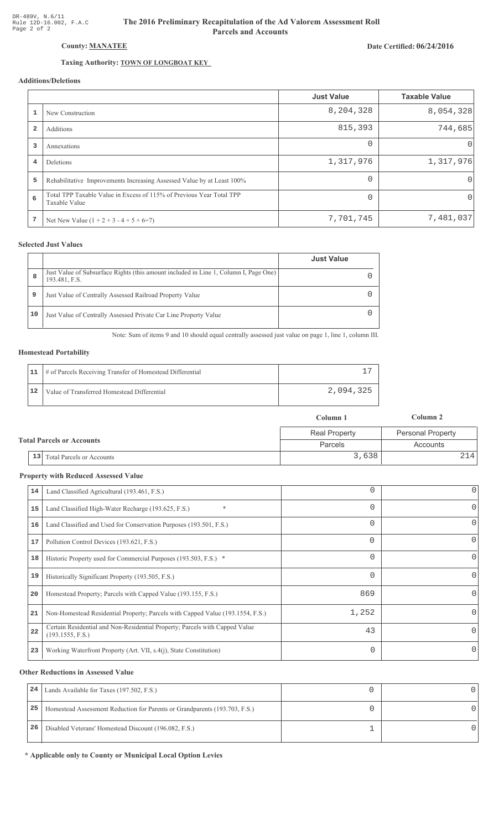# Date Certified: 06/24/2016

# Taxing Authority: **TOWN OF LONGBOAT KEY**

County: MANATEE

# Additions/Deletions

|                |                                                                                       | <b>Just Value</b> | <b>Taxable Value</b> |
|----------------|---------------------------------------------------------------------------------------|-------------------|----------------------|
|                | New Construction                                                                      | 8,204,328         | 8,054,328            |
| $\overline{2}$ | Additions                                                                             | 815,393           | 744,685              |
| 3              | Annexations                                                                           | $\Omega$          | $\cup$               |
| 4              | Deletions                                                                             | 1,317,976         | 1,317,976            |
| 5              | Rehabilitative Improvements Increasing Assessed Value by at Least 100%                | $\Omega$          | 0                    |
| 6              | Total TPP Taxable Value in Excess of 115% of Previous Year Total TPP<br>Taxable Value | $\Omega$          | 0                    |
| 7              | Net New Value $(1 + 2 + 3 - 4 + 5 + 6=7)$                                             | 7,701,745         | 7,481,037            |

### **Selected Just Values**

|    |                                                                                                       | <b>Just Value</b> |
|----|-------------------------------------------------------------------------------------------------------|-------------------|
| 8  | Just Value of Subsurface Rights (this amount included in Line 1, Column I, Page One)<br>193.481, F.S. |                   |
| 9  | Just Value of Centrally Assessed Railroad Property Value                                              |                   |
| 10 | Just Value of Centrally Assessed Private Car Line Property Value                                      |                   |

Note: Sum of items 9 and 10 should equal centrally assessed just value on page 1, line 1, column III.

### **Homestead Portability**

|    | 11   # of Parcels Receiving Transfer of Homestead Differential |           |
|----|----------------------------------------------------------------|-----------|
| 12 | Value of Transferred Homestead Differential                    | 2,094,325 |

|                                  |                              | Column 1             | Column 2          |
|----------------------------------|------------------------------|----------------------|-------------------|
| <b>Total Parcels or Accounts</b> |                              | <b>Real Property</b> | Personal Property |
|                                  |                              | Parcels              | Accounts          |
|                                  | 13 Total Parcels or Accounts | 3,638                | 2141              |

#### **Property with Reduced Assessed Value**

| 14 | Land Classified Agricultural (193.461, F.S.)                                                    | 0        | $\overline{0}$ |
|----|-------------------------------------------------------------------------------------------------|----------|----------------|
| 15 | $\ast$<br>Land Classified High-Water Recharge (193.625, F.S.)                                   | $\Omega$ | 0              |
| 16 | Land Classified and Used for Conservation Purposes (193.501, F.S.)                              | $\Omega$ | 0              |
| 17 | Pollution Control Devices (193.621, F.S.)                                                       | $\Omega$ | 0              |
| 18 | Historic Property used for Commercial Purposes (193.503, F.S.) *                                | $\Omega$ | 0              |
| 19 | Historically Significant Property (193.505, F.S.)                                               | $\Omega$ | Ω              |
| 20 | Homestead Property; Parcels with Capped Value (193.155, F.S.)                                   | 869      |                |
| 21 | Non-Homestead Residential Property; Parcels with Capped Value (193.1554, F.S.)                  | 1,252    |                |
| 22 | Certain Residential and Non-Residential Property; Parcels with Capped Value<br>(193.1555, F.S.) | 43       | 0              |
| 23 | Working Waterfront Property (Art. VII, s.4(j), State Constitution)                              | 0        |                |

#### **Other Reductions in Assessed Value**

| 24 | Lands Available for Taxes (197.502, F.S.)                                  |  |
|----|----------------------------------------------------------------------------|--|
| 25 | Homestead Assessment Reduction for Parents or Grandparents (193.703, F.S.) |  |
| 26 | Disabled Veterans' Homestead Discount (196.082, F.S.)                      |  |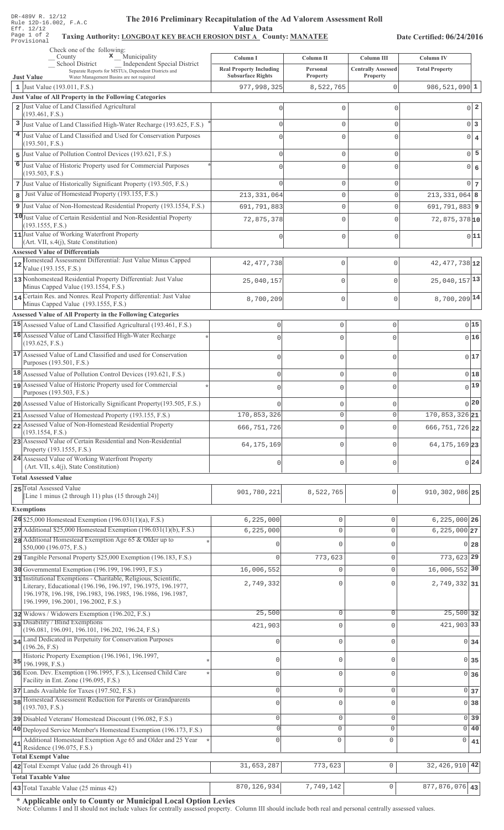## The 2016 Preliminary Recapitulation of the Ad Valorem Assessment Roll **Value Data**

## Taxing Authority: LONGBOAT KEY BEACH EROSION DIST A County: MANATEE

Date Certified: 06/24/2016

| Check one of the following:<br>$\mathbf x$ Municipality<br>County                                                                                                              | Column I                                                   | Column II                  | Column III                            | Column IV                  |            |
|--------------------------------------------------------------------------------------------------------------------------------------------------------------------------------|------------------------------------------------------------|----------------------------|---------------------------------------|----------------------------|------------|
| <b>School District</b><br>Independent Special District<br>Separate Reports for MSTUs, Dependent Districts and<br>Water Management Basins are not required<br><b>Just Value</b> | <b>Real Property Including</b><br><b>Subsurface Rights</b> | Personal<br>Property       | <b>Centrally Assessed</b><br>Property | <b>Total Property</b>      |            |
| 1 Just Value $(193.011, F.S.)$                                                                                                                                                 | 977,998,325                                                | 8,522,765                  | $\Omega$                              | $986, 521, 090$ 1          |            |
| Just Value of All Property in the Following Categories                                                                                                                         |                                                            |                            |                                       |                            |            |
| 2 Just Value of Land Classified Agricultural                                                                                                                                   | U                                                          | 0                          | 0                                     | $0\vert 2$                 |            |
| (193.461, F.S.)<br>3 Just Value of Land Classified High-Water Recharge (193.625, F.S.)                                                                                         | U                                                          | $\mathbf 0$                | 0                                     | $0\vert 3$                 |            |
| 4 Just Value of Land Classified and Used for Conservation Purposes                                                                                                             | U                                                          | $\mathbf 0$                | $\Omega$                              | $0 \mid 4$                 |            |
| (193.501, F.S.)                                                                                                                                                                |                                                            |                            |                                       |                            |            |
| 5 Just Value of Pollution Control Devices (193.621, F.S.)                                                                                                                      | U                                                          | $\mathbf 0$                | $\Omega$                              | $0\overline{5}$            |            |
| 6 Just Value of Historic Property used for Commercial Purposes<br>(193.503, F.S.)                                                                                              |                                                            | $\mathbf 0$                | $\Omega$                              | $\overline{0}$             | $\epsilon$ |
| 7 Just Value of Historically Significant Property (193.505, F.S.)                                                                                                              | ∩                                                          | $\mathbf 0$                | $\Omega$                              | $0\overline{7}$            |            |
| Just Value of Homestead Property (193.155, F.S.)<br>8                                                                                                                          | 213, 331, 064                                              | $\mathbf 0$                | $\Omega$                              | $213, 331, 064$ 8          |            |
| 9 Just Value of Non-Homestead Residential Property (193.1554, F.S.)                                                                                                            | 691,791,883                                                | 0                          | $\Omega$                              | $691,791,883$   9          |            |
| 10 Just Value of Certain Residential and Non-Residential Property<br>(193.1555, F.S.)                                                                                          | 72,875,378                                                 | $\mathbf 0$                | $\cap$                                | $72,875,378$ <sup>10</sup> |            |
| 11 Just Value of Working Waterfront Property                                                                                                                                   |                                                            | $\mathbf 0$                | $\Omega$                              | 0 11                       |            |
| (Art. VII, s.4(j), State Constitution)                                                                                                                                         |                                                            |                            |                                       |                            |            |
| <b>Assessed Value of Differentials</b><br>Homestead Assessment Differential: Just Value Minus Capped                                                                           |                                                            |                            |                                       | 42, 477, 738 12            |            |
| 12<br>Value (193.155, F.S.)                                                                                                                                                    | 42, 477, 738                                               | 0                          | $\mathbf 0$                           |                            |            |
| 13 Nonhomestead Residential Property Differential: Just Value<br>Minus Capped Value (193.1554, F.S.)                                                                           | 25,040,157                                                 | 0                          | $\Omega$                              | $25,040,157$ <sup>13</sup> |            |
| 14 Certain Res. and Nonres. Real Property differential: Just Value<br>Minus Capped Value (193.1555, F.S.)                                                                      | 8,700,209                                                  | $\mathbf 0$                | $\mathbf 0$                           | $8,700,209$ <sup>14</sup>  |            |
| Assessed Value of All Property in the Following Categories                                                                                                                     |                                                            |                            |                                       |                            |            |
| 15 Assessed Value of Land Classified Agricultural (193.461, F.S.)                                                                                                              | $\mathbf 0$                                                | $\mathbf 0$                | 0                                     | 0 15                       |            |
| 16 Assessed Value of Land Classified High-Water Recharge                                                                                                                       | $\cap$                                                     | $\mathbf 0$                | 0                                     | 0 16                       |            |
| (193.625, F.S.)<br>17 Assessed Value of Land Classified and used for Conservation                                                                                              |                                                            |                            |                                       |                            |            |
| Purposes (193.501, F.S.)                                                                                                                                                       | $\Omega$                                                   | $\mathbf 0$                | $\mathbf 0$                           | 017                        |            |
| 18 Assessed Value of Pollution Control Devices (193.621, F.S.)                                                                                                                 | $\mathbf 0$                                                | $\mathbf 0$                | $\mathsf 0$                           | 0 18                       |            |
| 19 Assessed Value of Historic Property used for Commercial                                                                                                                     | $\Omega$                                                   | 0                          | 0                                     | $0$ 19                     |            |
| Purposes (193.503, F.S.)<br>20 Assessed Value of Historically Significant Property (193.505, F.S.)                                                                             |                                                            | $\mathbf 0$                | 0                                     | 0 20                       |            |
| 21 Assessed Value of Homestead Property (193.155, F.S.)                                                                                                                        | 170,853,326                                                | $\mathbf 0$                | 0                                     | 170, 853, 326 21           |            |
| 22 Assessed Value of Non-Homestead Residential Property                                                                                                                        | 666, 751, 726                                              | $\mathbf 0$                | 0                                     | 666, 751, 726 22           |            |
| (193.1554, F.S.)<br>23 Assessed Value of Certain Residential and Non-Residential                                                                                               |                                                            |                            |                                       |                            |            |
| Property (193.1555, F.S.)<br>24 Assessed Value of Working Waterfront Property                                                                                                  | 64, 175, 169                                               | $\mathbf 0$                | $\Omega$                              | 64, 175, 169 23            |            |
| (Art. VII, s.4(j), State Constitution)                                                                                                                                         | 0                                                          | $\mathbf 0$                | $\mathsf 0$                           | $0\vert 24$                |            |
| <b>Total Assessed Value</b>                                                                                                                                                    |                                                            |                            |                                       |                            |            |
| 25 Total Assessed Value<br>[Line 1 minus (2 through 11) plus (15 through 24)]                                                                                                  | 901,780,221                                                | 8,522,765                  | $\mathbf{0}$                          | 910, 302, 986 25           |            |
| <b>Exemptions</b>                                                                                                                                                              |                                                            |                            |                                       |                            |            |
| 26 \$25,000 Homestead Exemption $(196.031(1)(a), F.S.)$                                                                                                                        | 6, 225, 000                                                | $\mathbb O$                | $\Omega$                              | $6,225,000$ 26             |            |
| 27 Additional \$25,000 Homestead Exemption (196.031(1)(b), F.S.)                                                                                                               | 6, 225, 000                                                | $\mathbf 0$                | $\Omega$                              | $6,225,000$ 27             |            |
| 28 Additional Homestead Exemption Age 65 & Older up to<br>\$50,000 (196.075, F.S.)                                                                                             |                                                            | $\Omega$                   | U                                     | $0$ 28                     |            |
| 29 Tangible Personal Property \$25,000 Exemption (196.183, F.S.)                                                                                                               | $\cap$                                                     | 773,623                    | $\Omega$                              | 773,623 29                 |            |
| 30 Governmental Exemption (196.199, 196.1993, F.S.)                                                                                                                            | 16,006,552                                                 | $\mathbf{0}$               | $\Omega$                              | 16,006,552 30              |            |
| 31 Institutional Exemptions - Charitable, Religious, Scientific,                                                                                                               | 2,749,332                                                  | $\Omega$                   | U                                     | 2,749,332 31               |            |
| Literary, Educational (196.196, 196.197, 196.1975, 196.1977,<br>196.1978, 196.198, 196.1983, 196.1985, 196.1986, 196.1987,                                                     |                                                            |                            |                                       |                            |            |
| 196.1999, 196.2001, 196.2002, F.S.)                                                                                                                                            |                                                            |                            |                                       |                            |            |
| 32 Widows / Widowers Exemption (196.202, F.S.)<br>33 Disability / Blind Exemptions                                                                                             | 25,500                                                     | $\mathbb O$                | $\Omega$                              | $25,500$ 32                |            |
| (196.081, 196.091, 196.101, 196.202, 196.24, F.S.)                                                                                                                             | 421,903                                                    | $\mathbf 0$                | $\cap$                                | 421,903 33                 |            |
| 34 Land Dedicated in Perpetuity for Conservation Purposes<br>(196.26, F.S)                                                                                                     | $\Omega$                                                   | $\mathbf{0}$               | C                                     | $0 \overline{\smash{34}}$  |            |
| Historic Property Exemption (196.1961, 196.1997,<br>$35$ 196.1998, F.S.)                                                                                                       | $\mathbf{0}$                                               | $\mathbf 0$                | $\Omega$                              | $0\overline{35}$           |            |
| 36 Econ. Dev. Exemption (196.1995, F.S.), Licensed Child Care                                                                                                                  | $\mathbf{0}$                                               | $\mathbb O$                | $\Omega$                              | 0 <sub>36</sub>            |            |
| Facility in Ent. Zone (196.095, F.S.)                                                                                                                                          |                                                            |                            |                                       |                            |            |
| 37 Lands Available for Taxes (197.502, F.S.)<br>38 Homestead Assessment Reduction for Parents or Grandparents                                                                  | $\mathbf 0$                                                | $\circ$<br>$\mathbf 0$     | $\mathbf 0$<br>$\Omega$               | 0 <sub>37</sub>            |            |
| (193.703, F.S.)                                                                                                                                                                | $\mathbf{0}$                                               |                            |                                       | 0 <sub>38</sub>            |            |
| 39 Disabled Veterans' Homestead Discount (196.082, F.S.)                                                                                                                       | $\mathbb O$<br>$\Omega$                                    | $\mathbb O$<br>$\mathbf 0$ | $\Omega$<br>$\mathbf 0$               | 0 <sup>39</sup><br>0 40    |            |
| 40 Deployed Service Member's Homestead Exemption (196.173, F.S.)<br>Additional Homestead Exemption Age 65 and Older and 25 Year                                                | $\Omega$                                                   | $\Omega$                   | $\mathbf{0}$                          | 0                          |            |
| 41<br>Residence (196.075, F.S.)                                                                                                                                                |                                                            |                            |                                       | 41                         |            |
| <b>Total Exempt Value</b>                                                                                                                                                      |                                                            |                            | $\mathbb O$                           | 32, 426, 910 42            |            |
| 42 Total Exempt Value (add 26 through 41)<br><b>Total Taxable Value</b>                                                                                                        | 31,653,287                                                 | 773,623                    |                                       |                            |            |
| $\vert$ 43 Total Taxable Value (25 minus 42)                                                                                                                                   | 870, 126, 934                                              | 7,749,142                  | $\circ$                               | $\boxed{877,876,076}$ 43   |            |

\* Applicable only to County or Municipal Local Option Levies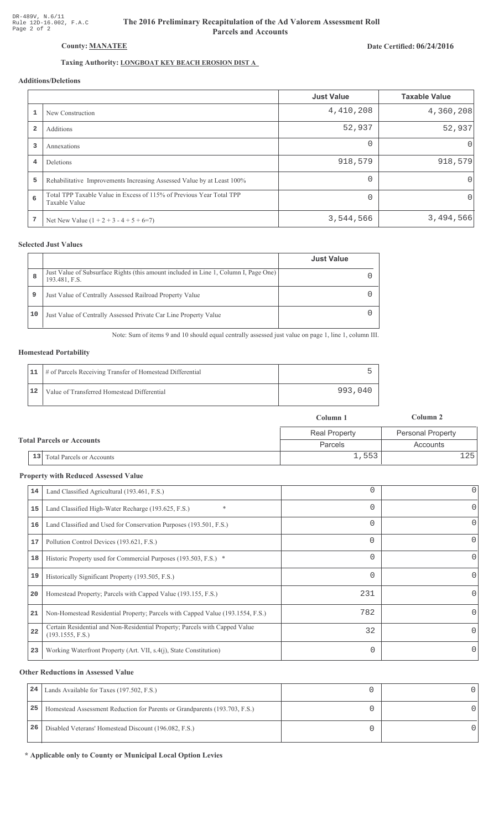# The 2016 Preliminary Recapitulation of the Ad Valorem Assessment Roll **Parcels and Accounts**

# Date Certified: 06/24/2016

# Taxing Authority: LONGBOAT KEY BEACH EROSION DIST A

# Additions/Deletions

|                         |                                                                                       | <b>Just Value</b> | <b>Taxable Value</b> |
|-------------------------|---------------------------------------------------------------------------------------|-------------------|----------------------|
|                         | New Construction                                                                      | 4,410,208         | 4,360,208            |
| $\overline{\mathbf{2}}$ | Additions                                                                             | 52,937            | 52,937               |
| 3                       | Annexations                                                                           | $\Omega$          | $\Omega$             |
| $\overline{4}$          | Deletions                                                                             | 918,579           | 918,579              |
| 5                       | Rehabilitative Improvements Increasing Assessed Value by at Least 100%                | $\Omega$          | 0                    |
| 6                       | Total TPP Taxable Value in Excess of 115% of Previous Year Total TPP<br>Taxable Value |                   | 0                    |
| 7                       | Net New Value $(1 + 2 + 3 - 4 + 5 + 6=7)$                                             | 3,544,566         | 3,494,566            |

#### **Selected Just Values**

|    |                                                                                                       | <b>Just Value</b> |
|----|-------------------------------------------------------------------------------------------------------|-------------------|
| 8  | Just Value of Subsurface Rights (this amount included in Line 1, Column I, Page One)<br>193.481, F.S. |                   |
| 9  | Just Value of Centrally Assessed Railroad Property Value                                              |                   |
| 10 | Just Value of Centrally Assessed Private Car Line Property Value                                      |                   |

Note: Sum of items 9 and 10 should equal centrally assessed just value on page 1, line 1, column III.

#### **Homestead Portability**

|    | 11   # of Parcels Receiving Transfer of Homestead Differential |         |
|----|----------------------------------------------------------------|---------|
| 12 | Value of Transferred Homestead Differential                    | 993,040 |

|                                  |                              | Column 1             | Column 2          |
|----------------------------------|------------------------------|----------------------|-------------------|
| <b>Total Parcels or Accounts</b> |                              | <b>Real Property</b> | Personal Property |
|                                  |                              | Parcels              | Accounts          |
|                                  | 13 Total Parcels or Accounts | 1,553                | 1251              |

#### **Property with Reduced Assessed Value**

| 14 | Land Classified Agricultural (193.461, F.S.)                                                    |          | 0        |
|----|-------------------------------------------------------------------------------------------------|----------|----------|
| 15 | $\ast$<br>Land Classified High-Water Recharge (193.625, F.S.)                                   | 0        | 0        |
| 16 | Land Classified and Used for Conservation Purposes (193.501, F.S.)                              |          | 0        |
| 17 | Pollution Control Devices (193.621, F.S.)                                                       | $\Omega$ | 0        |
| 18 | Historic Property used for Commercial Purposes (193.503, F.S.) *                                | 0        | 0        |
| 19 | Historically Significant Property (193.505, F.S.)                                               |          | 0        |
| 20 | Homestead Property; Parcels with Capped Value (193.155, F.S.)                                   | 231      | 0        |
| 21 | Non-Homestead Residential Property; Parcels with Capped Value (193.1554, F.S.)                  | 782      | 0        |
| 22 | Certain Residential and Non-Residential Property; Parcels with Capped Value<br>(193.1555, F.S.) | 32       | $\Omega$ |
| 23 | Working Waterfront Property (Art. VII, s.4(j), State Constitution)                              | 0        | 0        |
|    |                                                                                                 |          |          |

#### **Other Reductions in Assessed Value**

| 24 | Lands Available for Taxes (197.502, F.S.)                                  |  |
|----|----------------------------------------------------------------------------|--|
| 25 | Homestead Assessment Reduction for Parents or Grandparents (193.703, F.S.) |  |
| 26 | Disabled Veterans' Homestead Discount (196.082, F.S.)                      |  |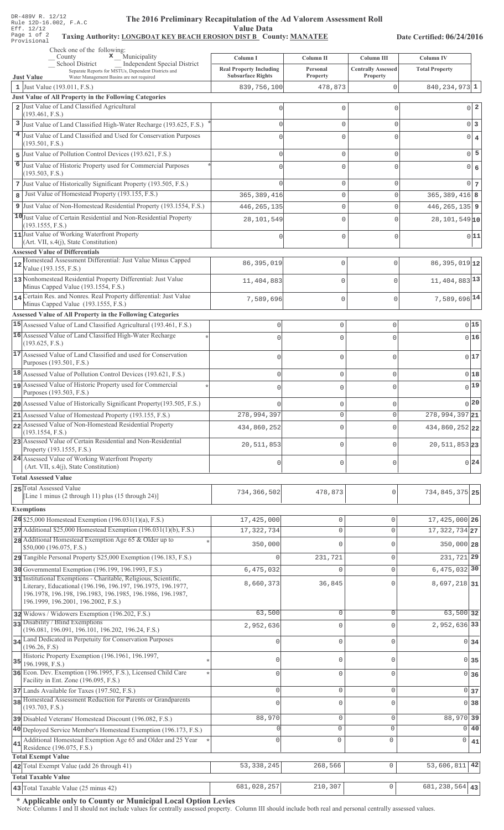#### The 2016 Preliminary Recapitulation of the Ad Valor The 2016 Preliminary Recapitulation of the Ad Valorem Assessment Roll **Value Data**

## Taxing Authority: LONGBOAT KEY BEACH EROSION DIST B County: MANATEE

Date Certified: 06/24/2016

|    | Check one of the following:<br>$\mathbf{x}$ Municipality<br>County                                                                                                      | Column I                                                   | Column II                          | Column III                            | Column IV                        |                |
|----|-------------------------------------------------------------------------------------------------------------------------------------------------------------------------|------------------------------------------------------------|------------------------------------|---------------------------------------|----------------------------------|----------------|
|    | School District<br>Independent Special District<br>Separate Reports for MSTUs, Dependent Districts and<br>Water Management Basins are not required<br><b>Just Value</b> | <b>Real Property Including</b><br><b>Subsurface Rights</b> | Personal<br>Property               | <b>Centrally Assessed</b><br>Property | <b>Total Property</b>            |                |
|    | 1 Just Value $(193.011, F.S.)$                                                                                                                                          | 839,756,100                                                | 478,873                            | $\Omega$                              | $840, 234, 973$ 1                |                |
|    | Just Value of All Property in the Following Categories                                                                                                                  |                                                            |                                    |                                       |                                  |                |
|    | 2 Just Value of Land Classified Agricultural                                                                                                                            |                                                            | 0                                  | $\mathbf{0}$                          | $0\vert 2$                       |                |
|    | (193.461, F.S.)<br>3 Just Value of Land Classified High-Water Recharge (193.625, F.S.)                                                                                  |                                                            | $\mathbf{0}$                       | $\mathbf 0$                           | $0\vert 3$                       |                |
|    | 4 Just Value of Land Classified and Used for Conservation Purposes                                                                                                      |                                                            | $\mathbf{0}$                       | $\Omega$                              | $0 \mid 4$                       |                |
|    | (193.501, F.S.)                                                                                                                                                         |                                                            |                                    |                                       |                                  |                |
|    | 5 Just Value of Pollution Control Devices (193.621, F.S.)                                                                                                               |                                                            | $\mathbf{0}$                       | $\mathbf 0$                           | $\overline{0}$                   | $\overline{5}$ |
|    | 6 Just Value of Historic Property used for Commercial Purposes<br>(193.503, F.S.)                                                                                       |                                                            | $\mathbf{0}$                       | $\Omega$                              | $\overline{0}$                   | $\epsilon$     |
|    | 7 Just Value of Historically Significant Property (193.505, F.S.)                                                                                                       |                                                            | $\mathbf{0}$                       | $\mathbf 0$                           | $0\overline{7}$                  |                |
| 8  | Just Value of Homestead Property (193.155, F.S.)                                                                                                                        | 365, 389, 416                                              | $\mathbf{0}$                       | $\Omega$                              | $365, 389, 416$ 8                |                |
|    | 9 Just Value of Non-Homestead Residential Property (193.1554, F.S.)                                                                                                     | 446, 265, 135                                              | 0                                  | $\Omega$                              | $446, 265, 135$   9              |                |
|    | 10 Just Value of Certain Residential and Non-Residential Property<br>(193.1555, F.S.)                                                                                   | 28,101,549                                                 | $\mathbf{0}$                       | $\Omega$                              | 28, 101, 549 10                  |                |
|    | 11 Just Value of Working Waterfront Property                                                                                                                            |                                                            | $\mathbf 0$                        | $\mathbf{0}$                          | 0 11                             |                |
|    | $(Art. VII, s.4(j), State Constitution)$                                                                                                                                |                                                            |                                    |                                       |                                  |                |
|    | <b>Assessed Value of Differentials</b><br>Homestead Assessment Differential: Just Value Minus Capped                                                                    |                                                            |                                    |                                       |                                  |                |
| 12 | Value (193.155, F.S.)                                                                                                                                                   | 86, 395, 019                                               | $\mathbf 0$                        | $\mathbf{0}$                          | 86, 395, 019 12                  |                |
|    | 13 Nonhomestead Residential Property Differential: Just Value<br>Minus Capped Value (193.1554, F.S.)                                                                    | 11,404,883                                                 | 0                                  | $\Omega$                              | 11, 404, 883 13                  |                |
|    | 14 Certain Res. and Nonres. Real Property differential: Just Value<br>Minus Capped Value (193.1555, F.S.)                                                               | 7,589,696                                                  | $\mathbf 0$                        | $\mathbf 0$                           | 7,589,696 14                     |                |
|    | Assessed Value of All Property in the Following Categories                                                                                                              |                                                            |                                    |                                       |                                  |                |
|    | 15 Assessed Value of Land Classified Agricultural (193.461, F.S.)                                                                                                       | $\mathbf 0$                                                | $\mathbf 0$                        | $\mathsf{O}\xspace$                   | 015                              |                |
|    | 16 Assessed Value of Land Classified High-Water Recharge                                                                                                                | $\cap$                                                     | 0                                  | $\mathbf 0$                           | 0 16                             |                |
|    | (193.625, F.S.)                                                                                                                                                         |                                                            |                                    |                                       |                                  |                |
|    | 17 Assessed Value of Land Classified and used for Conservation<br>Purposes (193.501, F.S.)                                                                              | $\Omega$                                                   | $\mathbf 0$                        | $\mathbf 0$                           | 017                              |                |
|    | 18 Assessed Value of Pollution Control Devices (193.621, F.S.)                                                                                                          | 0                                                          | $\mathbf 0$                        | $\mathsf 0$                           | 018                              |                |
|    | 19 Assessed Value of Historic Property used for Commercial                                                                                                              | $\Omega$                                                   | 0                                  | $\mathbf{0}$                          | $0$ 19                           |                |
|    | Purposes (193.503, F.S.)                                                                                                                                                |                                                            |                                    |                                       |                                  |                |
|    | 20 Assessed Value of Historically Significant Property (193.505, F.S.)                                                                                                  |                                                            | $\mathbf 0$                        | 0                                     | 0 20                             |                |
|    | 21 Assessed Value of Homestead Property (193.155, F.S.)<br>22 Assessed Value of Non-Homestead Residential Property                                                      | 278,994,397                                                | 0                                  | 0                                     | 278,994,397 21                   |                |
|    | (193.1554, F.S.)                                                                                                                                                        | 434,860,252                                                | $\mathbf 0$                        | $\mathbf 0$                           | 434,860,252 22                   |                |
|    | 23 Assessed Value of Certain Residential and Non-Residential<br>Property (193.1555, F.S.)                                                                               | 20, 511, 853                                               | $\mathbf 0$                        | $\Omega$                              | 20, 511, 853 23                  |                |
|    | 24 Assessed Value of Working Waterfront Property<br>(Art. VII, s.4(j), State Constitution)                                                                              | $\Omega$                                                   | $\mathbf 0$                        | $\mathbf 0$                           | $0\vert 24$                      |                |
|    | <b>Total Assessed Value</b>                                                                                                                                             |                                                            |                                    |                                       |                                  |                |
|    | 25 Total Assessed Value                                                                                                                                                 | 734, 366, 502                                              | 478,873                            | 0                                     | 734,845,375 25                   |                |
|    | [Line 1 minus (2 through 11) plus (15 through 24)]                                                                                                                      |                                                            |                                    |                                       |                                  |                |
|    | <b>Exemptions</b>                                                                                                                                                       |                                                            |                                    |                                       |                                  |                |
|    | 26 \$25,000 Homestead Exemption $(196.031(1)(a), F.S.)$<br>$27$ Additional \$25,000 Homestead Exemption (196.031(1)(b), F.S.)                                           | 17,425,000<br>17, 322, 734                                 | $\mathsf{O}\xspace$<br>$\mathbf 0$ | $\mathbf{0}$<br>$\Omega$              | 17,425,000 26<br>17, 322, 734 27 |                |
|    | 28 Additional Homestead Exemption Age 65 & Older up to                                                                                                                  |                                                            |                                    |                                       |                                  |                |
|    | \$50,000 (196.075, F.S.)                                                                                                                                                | 350,000                                                    | $\Omega$                           | $\bigcap$                             | 350,000 28                       |                |
|    | 29 Tangible Personal Property \$25,000 Exemption (196.183, F.S.)                                                                                                        | $\Omega$                                                   | 231,721                            | $\mathbf{0}$                          | 231, 721 29                      |                |
|    | 30 Governmental Exemption (196.199, 196.1993, F.S.)<br>31 Institutional Exemptions - Charitable, Religious, Scientific,                                                 | 6,475,032                                                  | $\Omega$                           | $\Omega$                              | $6,475,032$ 30                   |                |
|    | Literary, Educational (196.196, 196.197, 196.1975, 196.1977,                                                                                                            | 8,660,373                                                  | 36,845                             | $\Omega$                              | 8,697,218 31                     |                |
|    | 196.1978, 196.198, 196.1983, 196.1985, 196.1986, 196.1987,<br>196.1999, 196.2001, 196.2002, F.S.)                                                                       |                                                            |                                    |                                       |                                  |                |
|    | 32 Widows / Widowers Exemption (196.202, F.S.)                                                                                                                          | 63,500                                                     | $\mathsf{O}\xspace$                | $\Omega$                              | 63,500 32                        |                |
|    | 33 Disability / Blind Exemptions<br>(196.081, 196.091, 196.101, 196.202, 196.24, F.S.)                                                                                  | 2,952,636                                                  | $\mathbf 0$                        | $\Omega$                              | 2,952,636 33                     |                |
|    | 34 Land Dedicated in Perpetuity for Conservation Purposes                                                                                                               |                                                            | $\mathbf 0$                        | $\cap$                                | $0 \overline{\smash{34}}$        |                |
|    | (196.26, F.S)<br>Historic Property Exemption (196.1961, 196.1997,                                                                                                       |                                                            |                                    |                                       |                                  |                |
|    | $35$ 196.1998, F.S.)                                                                                                                                                    | $\cap$                                                     | $\mathbf 0$                        | $\Omega$                              | 0 35                             |                |
|    | 36 Econ. Dev. Exemption (196.1995, F.S.), Licensed Child Care<br>Facility in Ent. Zone (196.095, F.S.)                                                                  | $\mathbf{0}$                                               | $\mathbf 0$                        | $\Omega$                              | 0 <sub>36</sub>                  |                |
|    | 37 Lands Available for Taxes (197.502, F.S.)                                                                                                                            | 0                                                          | $\mathsf{O}\xspace$                | $\mathbf{0}$                          | 0 <sub>37</sub>                  |                |
|    | 38 Homestead Assessment Reduction for Parents or Grandparents                                                                                                           |                                                            | $\mathbf 0$                        | $\Omega$                              | 0 <sup>38</sup>                  |                |
|    | (193.703, F.S.)                                                                                                                                                         | 88,970                                                     | $\mathbb O$                        | $\mathbf{0}$                          | 88,970 39                        |                |
|    | 39 Disabled Veterans' Homestead Discount (196.082, F.S.)<br>40 Deployed Service Member's Homestead Exemption (196.173, F.S.)                                            |                                                            | $\mathsf{O}\xspace$                | $\mathbf 0$                           | 0 40                             |                |
|    | Additional Homestead Exemption Age 65 and Older and 25 Year                                                                                                             | $\cap$                                                     | $\mathbf 0$                        | $\mathbf 0$                           | 0<br>41                          |                |
| 41 | Residence (196.075, F.S.)                                                                                                                                               |                                                            |                                    |                                       |                                  |                |
|    | <b>Total Exempt Value</b><br>42 Total Exempt Value (add 26 through 41)                                                                                                  | 53, 338, 245                                               | 268,566                            | $\mathbb O$                           | 53,606,811 42                    |                |
|    | <b>Total Taxable Value</b>                                                                                                                                              |                                                            |                                    |                                       |                                  |                |
|    | 43 Total Taxable Value (25 minus 42)                                                                                                                                    | 681,028,257                                                | 210, 307                           | $\circ$                               | $\overline{681}$ , 238, 564 43   |                |

\* Applicable only to County or Municipal Local Option Levies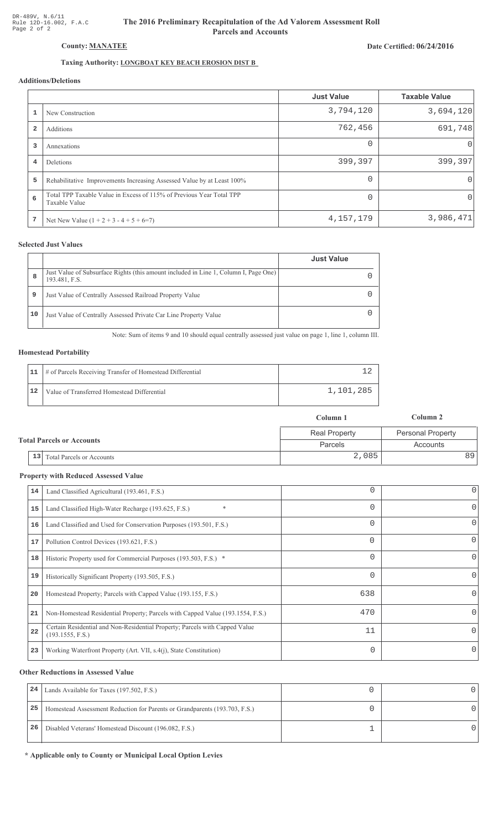# The 2016 Preliminary Recapitulation of the Ad Valorem Assessment Roll **Parcels and Accounts**

# Date Certified: 06/24/2016

# Taxing Authority: LONGBOAT KEY BEACH EROSION DIST B

# **Additions/Deletions**

|                         |                                                                                       | <b>Just Value</b> | <b>Taxable Value</b> |
|-------------------------|---------------------------------------------------------------------------------------|-------------------|----------------------|
|                         | New Construction                                                                      | 3,794,120         | 3,694,120            |
| $\overline{\mathbf{2}}$ | Additions                                                                             | 762,456           | 691,748              |
| 3                       | Annexations                                                                           | $\Omega$          | 0                    |
| 4                       | Deletions                                                                             | 399,397           | 399,397              |
| 5                       | Rehabilitative Improvements Increasing Assessed Value by at Least 100%                | $\Omega$          | 0                    |
| 6                       | Total TPP Taxable Value in Excess of 115% of Previous Year Total TPP<br>Taxable Value | $\Omega$          | 0                    |
| 7                       | Net New Value $(1 + 2 + 3 - 4 + 5 + 6=7)$                                             | 4, 157, 179       | 3,986,471            |

### **Selected Just Values**

|    |                                                                                                       | <b>Just Value</b> |
|----|-------------------------------------------------------------------------------------------------------|-------------------|
| 8  | Just Value of Subsurface Rights (this amount included in Line 1, Column I, Page One)<br>193.481, F.S. |                   |
| 9  | Just Value of Centrally Assessed Railroad Property Value                                              |                   |
| 10 | Just Value of Centrally Assessed Private Car Line Property Value                                      |                   |

Note: Sum of items 9 and 10 should equal centrally assessed just value on page 1, line 1, column III.

### **Homestead Portability**

|    | 11   # of Parcels Receiving Transfer of Homestead Differential |           |
|----|----------------------------------------------------------------|-----------|
| 12 | Value of Transferred Homestead Differential                    | 1,101,285 |

|                                           | Column 1             | Column 2          |
|-------------------------------------------|----------------------|-------------------|
|                                           | <b>Real Property</b> | Personal Property |
| <b>Total Parcels or Accounts</b>          | Parcels              | Accounts          |
| <sup>1</sup> 13 Total Parcels or Accounts | 2,085                | 891               |

#### **Property with Reduced Assessed Value**

|    |                                                                                                 |          | $\mathbf 0$ |
|----|-------------------------------------------------------------------------------------------------|----------|-------------|
| 14 | Land Classified Agricultural (193.461, F.S.)                                                    |          |             |
| 15 | Land Classified High-Water Recharge (193.625, F.S.)                                             | $\Omega$ | 0           |
| 16 | Land Classified and Used for Conservation Purposes (193.501, F.S.)                              |          | 0           |
| 17 | Pollution Control Devices (193.621, F.S.)                                                       | $\Omega$ | 0           |
| 18 | Historic Property used for Commercial Purposes (193.503, F.S.) *                                | 0        | 0           |
| 19 | Historically Significant Property (193.505, F.S.)                                               |          | 0           |
| 20 | Homestead Property; Parcels with Capped Value (193.155, F.S.)                                   | 638      | 0           |
| 21 | Non-Homestead Residential Property; Parcels with Capped Value (193.1554, F.S.)                  | 470      | 0           |
| 22 | Certain Residential and Non-Residential Property; Parcels with Capped Value<br>(193.1555, F.S.) | 11       | 0           |
| 23 | Working Waterfront Property (Art. VII, s.4(j), State Constitution)                              |          | 0           |

#### **Other Reductions in Assessed Value**

| 24 | Lands Available for Taxes (197.502, F.S.)                                  |  |
|----|----------------------------------------------------------------------------|--|
| 25 | Homestead Assessment Reduction for Parents or Grandparents (193.703, F.S.) |  |
| 26 | Disabled Veterans' Homestead Discount (196.082, F.S.)                      |  |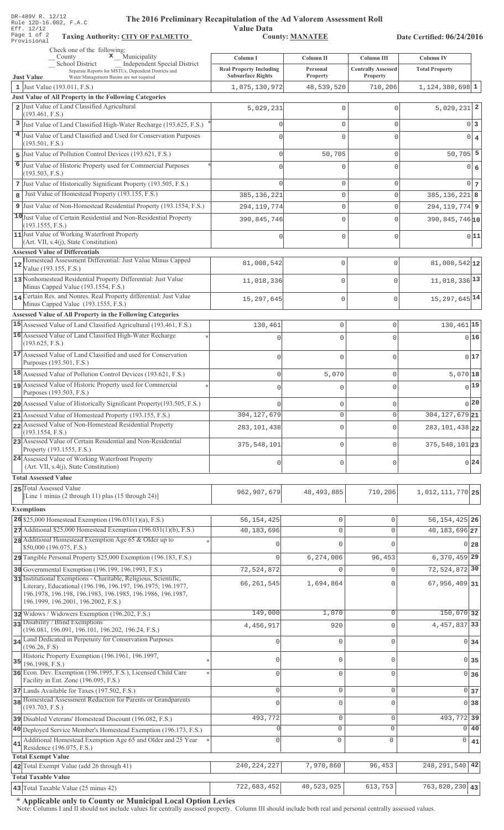| DR-489V R. 12/12<br>The 2016 Preliminary Recapitulation of the Ad Valorem Assessment Roll<br>Rule 12D-16.002, F.A.C<br>Eff. 12/12<br>Page 1 of 2                                               | <b>Value Data</b>              |                            |                            |                                  |
|------------------------------------------------------------------------------------------------------------------------------------------------------------------------------------------------|--------------------------------|----------------------------|----------------------------|----------------------------------|
| <b>Taxing Authority: CITY OF PALMETTO</b><br>Provisional                                                                                                                                       |                                | <b>County: MANATEE</b>     |                            | Date Certified: 06/24/2016       |
| Check one of the following:<br>$\boldsymbol{\mathsf{x}}$ Municipality<br>$\_\_$ County                                                                                                         | Column I                       | Column II                  | Column III                 | Column IV                        |
| School District<br>Independent Special District<br>Separate Reports for MSTUs, Dependent Districts and                                                                                         | <b>Real Property Including</b> | Personal                   | <b>Centrally Assessed</b>  | <b>Total Property</b>            |
| Water Management Basins are not required<br><b>Just Value</b>                                                                                                                                  | <b>Subsurface Rights</b>       | Property                   | Property                   |                                  |
| 1 Just Value $(193.011, F.S.)$<br>Just Value of All Property in the Following Categories                                                                                                       | 1,075,130,972                  | 48,539,520                 | 710,206                    | $1,124,380,698$ 1                |
| 2 Just Value of Land Classified Agricultural                                                                                                                                                   | 5,029,231                      | $\mathbb O$                | $\mathbf{0}$               | $5,029,231$ 2                    |
| (193.461, F.S.)                                                                                                                                                                                |                                |                            |                            |                                  |
| 3 Just Value of Land Classified High-Water Recharge (193.625, F.S.)                                                                                                                            | 0                              | $\mathbb O$                | $\mathbf{0}$               | 0 <br>3                          |
| 4 Just Value of Land Classified and Used for Conservation Purposes<br>(193.501, F.S.)                                                                                                          | $\Omega$                       | $\Omega$                   | $\mathbf{0}$               | $\overline{0}$<br>$\overline{4}$ |
| Just Value of Pollution Control Devices (193.621, F.S.)<br>5                                                                                                                                   | $\Omega$                       | 50,705                     | $\circ$                    | $50,705$ 5                       |
| 6<br>Just Value of Historic Property used for Commercial Purposes                                                                                                                              | 0                              | $\mathbf 0$                | $\mathbf{0}$               | 0 <br>6                          |
| (193.503, F.S.)                                                                                                                                                                                |                                |                            |                            |                                  |
| 7 Just Value of Historically Significant Property (193.505, F.S.)                                                                                                                              | O                              | 0                          | $\mathbf{0}$               | $\overline{0}$<br>-7             |
| Just Value of Homestead Property (193.155, F.S.)<br>8                                                                                                                                          | 385, 136, 221                  | $\mathbb O$                | $\mathbf{0}$               | $385, 136, 221$ 8                |
| 9 Just Value of Non-Homestead Residential Property (193.1554, F.S.)                                                                                                                            | 294, 119, 774                  | $\mathsf{O}\xspace$        | $\mathbf{0}$               | $294, 119, 774$ 9                |
| 10 Just Value of Certain Residential and Non-Residential Property<br>(193.1555, F.S.)                                                                                                          | 390,845,746                    | $\mathbf 0$                | $\mathbf 0$                | 390,845,746 10                   |
| 11 Just Value of Working Waterfront Property<br>(Art. VII, s.4(j), State Constitution)<br><b>Assessed Value of Differentials</b>                                                               | 0                              | $\mathsf{O}\xspace$        | $\mathbf 0$                | 0 11                             |
| Homestead Assessment Differential: Just Value Minus Capped<br>Value (193.155, F.S.)                                                                                                            | 81,008,542                     | 0                          | $\mathbf 0$                | 81,008,542 12                    |
| 13 Nonhomestead Residential Property Differential: Just Value                                                                                                                                  | 11,018,336                     | 0                          | $\mathbf 0$                | 11,018,336 13                    |
| Minus Capped Value (193.1554, F.S.)<br>14 Certain Res. and Nonres. Real Property differential: Just Value                                                                                      |                                |                            |                            |                                  |
| Minus Capped Value (193.1555, F.S.)                                                                                                                                                            | 15, 297, 645                   | 0                          | $\mathbf{0}$               | $15,297,645$ <sup>14</sup>       |
| Assessed Value of All Property in the Following Categories                                                                                                                                     |                                |                            |                            |                                  |
| 15 Assessed Value of Land Classified Agricultural (193.461, F.S.)                                                                                                                              | 130,461                        | $\mathbf 0$                | $\mathsf{O}\xspace$        | 130,461 15                       |
| 16 Assessed Value of Land Classified High-Water Recharge<br>(193.625, F.S.)                                                                                                                    | O                              | $\mathbf 0$                | $\mathbf 0$                | 016                              |
| 17 Assessed Value of Land Classified and used for Conservation<br>Purposes (193.501, F.S.)                                                                                                     | $\mathbf 0$                    | $\mathbf 0$                | $\mathsf{O}\xspace$        | 017                              |
| 18 Assessed Value of Pollution Control Devices (193.621, F.S.)                                                                                                                                 | $\mathbf 0$                    | 5,070                      | $\mathsf{O}\xspace$        | $5,070$ 18                       |
| 19 Assessed Value of Historic Property used for Commercial                                                                                                                                     |                                | $\mathbf 0$                | $\mathbf 0$                | $0$ 19                           |
| Purposes (193.503, F.S.)                                                                                                                                                                       |                                |                            |                            |                                  |
| 20 Assessed Value of Historically Significant Property (193.505, F.S.)                                                                                                                         |                                | $\mathbf 0$                | $\mathsf{O}\xspace$        | 0 20                             |
| 21 Assessed Value of Homestead Property (193.155, F.S.)                                                                                                                                        | 304, 127, 679                  | $\mathbf 0$                | $\mathbf 0$                | 304, 127, 679 21                 |
| 22 Assessed Value of Non-Homestead Residential Property<br>(193.1554, F.S.)                                                                                                                    | 283, 101, 438                  | $\mathbf 0$                | $\circ$                    | 283, 101, 438 22                 |
| 23 Assessed Value of Certain Residential and Non-Residential<br>Property (193.1555, F.S.)                                                                                                      | 375, 548, 101                  | $\overline{0}$             | $\mathbf 0$                | 375, 548, 101 23                 |
| 24 Assessed Value of Working Waterfront Property<br>(Art. VII, s.4(j), State Constitution)                                                                                                     | $\mathbf 0$                    | $\mathbf 0$                | $\circ$                    | 0 24                             |
| <b>Total Assessed Value</b>                                                                                                                                                                    |                                |                            |                            |                                  |
| 25 Total Assessed Value                                                                                                                                                                        |                                |                            |                            |                                  |
| [Line 1 minus $(2 \text{ through } 11)$ plus $(15 \text{ through } 24)$ ]                                                                                                                      | 962,907,679                    | 48, 493, 885               | 710,206                    | 1,012,111,770 25                 |
| <b>Exemptions</b>                                                                                                                                                                              |                                |                            |                            |                                  |
| 26 \$25,000 Homestead Exemption $(196.031(1)(a), F.S.)$                                                                                                                                        | 56, 154, 425                   | $\circ$                    | $\mathbf 0$                | 56, 154, 425 26                  |
| $27$ Additional \$25,000 Homestead Exemption (196.031(1)(b), F.S.)                                                                                                                             | 40,183,696                     | $\circ$                    | $\mathbf 0$                | 40, 183, 696 27                  |
| 28 Additional Homestead Exemption Age 65 & Older up to<br>\$50,000 (196.075, F.S.)                                                                                                             | O                              | $\Omega$                   | $\Omega$                   | 01<br>28                         |
| 29 Tangible Personal Property \$25,000 Exemption (196.183, F.S.)                                                                                                                               | $\overline{0}$                 | 6,274,006                  | 96,453                     | $6,370,459$ 29                   |
| 30 Governmental Exemption (196.199, 196.1993, F.S.)                                                                                                                                            | 72,524,872                     | $\mathbf 0$                | $\mathbf 0$                | 72,524,872 30                    |
| 31 Institutional Exemptions - Charitable, Religious, Scientific,<br>Literary, Educational (196.196, 196.197, 196.1975, 196.1977,<br>196.1978, 196.198, 196.1983, 196.1985, 196.1986, 196.1987, | 66, 261, 545                   | 1,694,864                  | $\mathbf{0}$               | $67,956,409$ 31                  |
| 196.1999, 196.2001, 196.2002, F.S.)                                                                                                                                                            | 149,000                        | 1,070                      | $\mathbf 0$                | 150,070 32                       |
| 32 Widows / Widowers Exemption (196.202, F.S.)<br>33 Disability / Blind Exemptions                                                                                                             |                                |                            | $\mathbf 0$                | 4, 457, 837 33                   |
| (196.081, 196.091, 196.101, 196.202, 196.24, F.S.)                                                                                                                                             | 4,456,917                      | 920                        |                            |                                  |
| 34 Land Dedicated in Perpetuity for Conservation Purposes<br>(196.26, F.S)                                                                                                                     | 0                              | $\mathbf 0$                | $\mathsf{O}\xspace$        | $\overline{0}$<br>34             |
| Historic Property Exemption (196.1961, 196.1997,                                                                                                                                               | 0                              | $\mathbf{0}$               | $\mathsf{O}\xspace$        | $\circ$                          |
| 35<br>196.1998, F.S.)<br>36 Econ. Dev. Exemption (196.1995, F.S.), Licensed Child Care                                                                                                         |                                |                            |                            | 35                               |
| Facility in Ent. Zone (196.095, F.S.)                                                                                                                                                          | 0                              | $\mathbf{0}$               | $\mathsf{O}\xspace$        | $\Omega$<br>36                   |
| 37 Lands Available for Taxes (197.502, F.S.)<br>38 Homestead Assessment Reduction for Parents or Grandparents                                                                                  | 0<br>$\Omega$                  | $\mathbb O$<br>$\mathbf 0$ | $\mathbb O$<br>$\mathbf 0$ | $\circ$<br>37<br>38<br>$\Omega$  |
| (193.703, F.S.)                                                                                                                                                                                |                                |                            |                            |                                  |
| 39 Disabled Veterans' Homestead Discount (196.082, F.S.)                                                                                                                                       | 493,772                        | $\mathbb O$                | $\mathbf 0$                | 493, 772 39                      |
| 40 Deployed Service Member's Homestead Exemption (196.173, F.S.)                                                                                                                               | $\Omega$                       | 0                          | $\mathbf 0$                | $\Omega$<br>40                   |
| Additional Homestead Exemption Age 65 and Older and 25 Year<br>41<br>Residence (196.075, F.S.)<br><b>Total Exempt Value</b>                                                                    | 0                              | $\mathbf 0$                | $\circ$                    | 0<br>41                          |
| 42 Total Exempt Value (add 26 through 41)                                                                                                                                                      | 240, 224, 227                  | 7,970,860                  | 96,453                     | 248, 291, 540<br>42              |
| <b>Total Taxable Value</b>                                                                                                                                                                     |                                |                            |                            |                                  |
| 43 Total Taxable Value (25 minus 42)                                                                                                                                                           | 722,683,452                    | 40,523,025                 | 613,753                    | $763,820,230$ 43                 |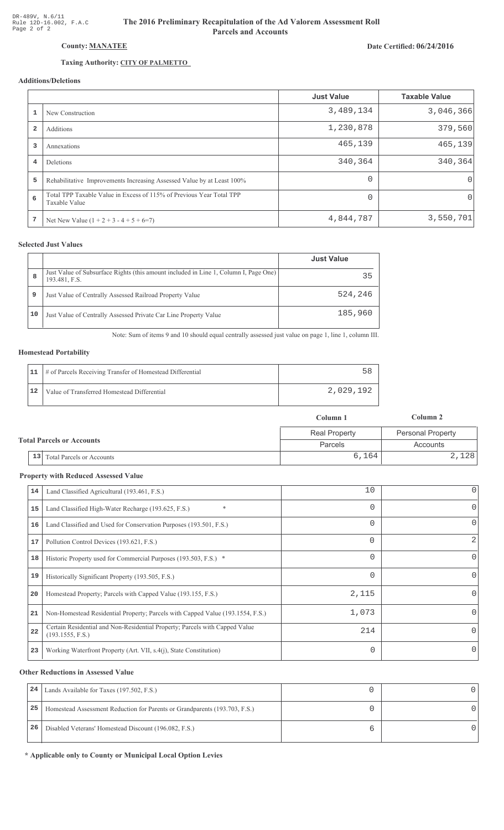## County: MANATEE

## Taxing Authority: CITY OF PALMETTO

### Additions/Deletions

|                         |                                                                                       | <b>Just Value</b> | <b>Taxable Value</b> |
|-------------------------|---------------------------------------------------------------------------------------|-------------------|----------------------|
|                         | New Construction                                                                      | 3,489,134         | 3,046,366            |
| $\overline{\mathbf{2}}$ | Additions                                                                             | 1,230,878         | 379,560              |
| 3                       | Annexations                                                                           | 465,139           | 465,139              |
| 4                       | Deletions                                                                             | 340,364           | 340, 364             |
| 5                       | Rehabilitative Improvements Increasing Assessed Value by at Least 100%                | $\Omega$          | $\Omega$             |
| 6                       | Total TPP Taxable Value in Excess of 115% of Previous Year Total TPP<br>Taxable Value | $\Omega$          | 0                    |
| 7                       | Net New Value $(1 + 2 + 3 - 4 + 5 + 6=7)$                                             | 4,844,787         | 3,550,701            |

### **Selected Just Values**

|    |                                                                                                       | <b>Just Value</b> |
|----|-------------------------------------------------------------------------------------------------------|-------------------|
| 8  | Just Value of Subsurface Rights (this amount included in Line 1, Column I, Page One)<br>193.481, F.S. | 35                |
| 9  | Just Value of Centrally Assessed Railroad Property Value                                              | 524,246           |
| 10 | Just Value of Centrally Assessed Private Car Line Property Value                                      | 185,960           |

Note: Sum of items 9 and 10 should equal centrally assessed just value on page 1, line 1, column III.

#### **Homestead Portability**

|    | 11   # of Parcels Receiving Transfer of Homestead Differential |           |
|----|----------------------------------------------------------------|-----------|
| 12 | Value of Transferred Homestead Differential                    | 2,029,192 |

|                                  |                              | Column 1             | Column 2                 |  |
|----------------------------------|------------------------------|----------------------|--------------------------|--|
| <b>Total Parcels or Accounts</b> |                              | <b>Real Property</b> | <b>Personal Property</b> |  |
|                                  |                              | <b>Parcels</b>       | Accounts                 |  |
|                                  | 13 Total Parcels or Accounts | 6,164                | 2,128                    |  |

#### **Property with Reduced Assessed Value**

| 14 | Land Classified Agricultural (193.461, F.S.)                                                    | 10       | 0        |
|----|-------------------------------------------------------------------------------------------------|----------|----------|
| 15 | $\ast$<br>Land Classified High-Water Recharge (193.625, F.S.)                                   | 0        | 0        |
| 16 | Land Classified and Used for Conservation Purposes (193.501, F.S.)                              | 0        | 0        |
| 17 | Pollution Control Devices (193.621, F.S.)                                                       | $\Omega$ | 2        |
| 18 | Historic Property used for Commercial Purposes (193.503, F.S.) *                                | 0        | 0        |
| 19 | Historically Significant Property (193.505, F.S.)                                               | $\Omega$ | $\Omega$ |
| 20 | Homestead Property; Parcels with Capped Value (193.155, F.S.)                                   | 2,115    | 0        |
| 21 | Non-Homestead Residential Property; Parcels with Capped Value (193.1554, F.S.)                  | 1,073    | 0        |
| 22 | Certain Residential and Non-Residential Property; Parcels with Capped Value<br>(193.1555, F.S.) | 214      | $\Omega$ |
| 23 | Working Waterfront Property (Art. VII, s.4(j), State Constitution)                              | 0        | $\Omega$ |
|    |                                                                                                 |          |          |

#### **Other Reductions in Assessed Value**

| 24 | Lands Available for Taxes (197.502, F.S.)                                  |  |
|----|----------------------------------------------------------------------------|--|
| 25 | Homestead Assessment Reduction for Parents or Grandparents (193.703, F.S.) |  |
| 26 | Disabled Veterans' Homestead Discount (196.082, F.S.)                      |  |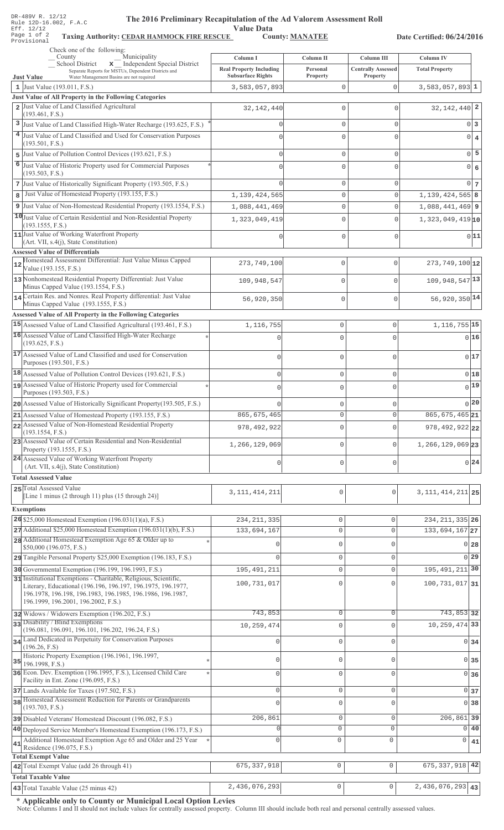| DR-489V R. 12/12 |  |  |                        |
|------------------|--|--|------------------------|
|                  |  |  | Rule 12D-16.002, F.A.C |
| Eff. 12/12       |  |  |                        |
| Page 1 of 2      |  |  | Taxing                 |
| Provisional      |  |  |                        |

# The 2016 Preliminary Recapitulation of the Ad Valorem Assessment Roll

Value Data<br>County: MANATEE

Taxing Authority: CEDAR HAMMOCK FIRE RESCUE County: MANATEE

Date Certified: 06/24/2016

|    | Check one of the following:                                                                                                      |                                                            |                             |                                       |                               |                   |
|----|----------------------------------------------------------------------------------------------------------------------------------|------------------------------------------------------------|-----------------------------|---------------------------------------|-------------------------------|-------------------|
|    | Municipality<br>$\equiv$ County<br>School District<br>x Independent Special District                                             | Column I                                                   | Column II                   | Column III                            | <b>Column IV</b>              |                   |
|    | Separate Reports for MSTUs, Dependent Districts and<br><b>Just Value</b><br>Water Management Basins are not required             | <b>Real Property Including</b><br><b>Subsurface Rights</b> | Personal<br><b>Property</b> | <b>Centrally Assessed</b><br>Property | <b>Total Property</b>         |                   |
|    | 1 Just Value $(193.011, F.S.)$                                                                                                   | 3,583,057,893                                              | $\mathbf{0}$                | $\mathbf{0}$                          | $3,583,057,893$ 1             |                   |
|    | Just Value of All Property in the Following Categories                                                                           |                                                            |                             |                                       |                               |                   |
|    | 2 Just Value of Land Classified Agricultural                                                                                     | 32, 142, 440                                               | $\mathbf 0$                 | 0                                     | $32,142,440$ 2                |                   |
|    | (193.461, F.S.)<br>3 Just Value of Land Classified High-Water Recharge (193.625, F.S.)                                           | $\Omega$                                                   | $\mathbf 0$                 | $\mathbf 0$                           |                               | 0 3               |
|    | 4 Just Value of Land Classified and Used for Conservation Purposes                                                               | $\Omega$                                                   | $\Omega$                    | $\Omega$                              |                               | $0 \mid 4$        |
|    | (193.501, F.S.)                                                                                                                  |                                                            |                             |                                       |                               |                   |
| 5  | Just Value of Pollution Control Devices (193.621, F.S.)                                                                          | $\Omega$                                                   | $\mathbf 0$                 | $\mathbf 0$                           |                               | $0\overline{5}$   |
| 6  | Just Value of Historic Property used for Commercial Purposes                                                                     |                                                            | $\Omega$                    | 0                                     |                               | 0 6               |
|    | (193.503, F.S.)                                                                                                                  |                                                            |                             |                                       |                               |                   |
|    | 7 Just Value of Historically Significant Property (193.505, F.S.)<br>Just Value of Homestead Property (193.155, F.S.)            |                                                            | $\mathbb O$                 | $\circ$                               |                               | $0\vert 7$        |
| 8  |                                                                                                                                  | 1,139,424,565                                              | $\mathbf 0$                 | $\Omega$                              | $1,139,424,565$ 8             |                   |
|    | 9 Just Value of Non-Homestead Residential Property (193.1554, F.S.)                                                              | 1,088,441,469                                              | $\mathbb O$                 | $\mathbf 0$                           | $1,088,441,469$ 9             |                   |
|    | 10 Just Value of Certain Residential and Non-Residential Property<br>(193.1555, F.S.)                                            | 1,323,049,419                                              | $\mathbf 0$                 | $\Omega$                              | $1,323,049,419$ <sub>10</sub> |                   |
|    | 11 Just Value of Working Waterfront Property                                                                                     |                                                            | $\Omega$                    | $\Omega$                              |                               | 0 11              |
|    | (Art. VII, s.4(j), State Constitution)                                                                                           |                                                            |                             |                                       |                               |                   |
|    | <b>Assessed Value of Differentials</b><br>Homestead Assessment Differential: Just Value Minus Capped                             |                                                            |                             |                                       |                               |                   |
|    | Value (193.155, F.S.)                                                                                                            | 273,749,100                                                | 0                           | $\mathbf{0}$                          | $273,749,100$ 12              |                   |
|    | 13 Nonhomestead Residential Property Differential: Just Value                                                                    | 109,948,547                                                | 0                           | $\mathbf 0$                           | 109, 948, 547 13              |                   |
|    | Minus Capped Value (193.1554, F.S.)<br>14 Certain Res. and Nonres. Real Property differential: Just Value                        |                                                            |                             |                                       |                               |                   |
|    | Minus Capped Value (193.1555, F.S.)                                                                                              | 56,920,350                                                 | 0                           | $\mathbf 0$                           | 56,920,350 14                 |                   |
|    | Assessed Value of All Property in the Following Categories                                                                       |                                                            |                             |                                       |                               |                   |
|    | 15 Assessed Value of Land Classified Agricultural (193.461, F.S.)                                                                | 1,116,755                                                  | $\mathbf 0$                 | 0                                     | 1, 116, 755 15                |                   |
|    | 16 Assessed Value of Land Classified High-Water Recharge                                                                         | $\mathbf 0$                                                | $\mathbf 0$                 | $\Omega$                              |                               | 016               |
|    | (193.625, F.S.)                                                                                                                  |                                                            |                             |                                       |                               |                   |
|    | 17 Assessed Value of Land Classified and used for Conservation<br>Purposes (193.501, F.S.)                                       | $\mathbf 0$                                                | $\mathbf 0$                 | 0                                     |                               | 0 17              |
|    | 18 Assessed Value of Pollution Control Devices (193.621, F.S.)                                                                   |                                                            |                             |                                       |                               | $0$ 18            |
|    | 19 Assessed Value of Historic Property used for Commercial                                                                       | $\mathbf 0$                                                | $\mathbf 0$                 | 0                                     |                               | $0$ <sup>19</sup> |
|    | Purposes (193.503, F.S.)                                                                                                         | $\mathbf 0$                                                | $\mathbf 0$                 | $\Omega$                              |                               |                   |
|    | 20 Assessed Value of Historically Significant Property (193.505, F.S.)                                                           | $\mathbf{0}$                                               | $\mathbf 0$                 | 0                                     |                               | 0 20              |
|    | 21 Assessed Value of Homestead Property (193.155, F.S.)                                                                          | 865,675,465                                                | O                           | O                                     | $865, 675, 465$  21           |                   |
|    | 22 Assessed Value of Non-Homestead Residential Property                                                                          | 978, 492, 922                                              | $\Omega$                    | $\Omega$                              | 978, 492, 922 22              |                   |
|    | (193.1554, F.S.)<br>23 Assessed Value of Certain Residential and Non-Residential                                                 |                                                            |                             |                                       |                               |                   |
|    | Property (193.1555, F.S.)                                                                                                        | 1,266,129,069                                              | $\mathbf 0$                 | 0                                     | $1,266,129,069$ 23            |                   |
|    | 24 Assessed Value of Working Waterfront Property                                                                                 | 0                                                          | $\mathbf 0$                 | 0                                     |                               | 0 24              |
|    | (Art. VII, s.4(j), State Constitution)                                                                                           |                                                            |                             |                                       |                               |                   |
|    | <b>Total Assessed Value</b>                                                                                                      |                                                            |                             |                                       |                               |                   |
|    | 25 Total Assessed Value<br>[Line 1 minus (2 through 11) plus (15 through 24)]                                                    | 3, 111, 414, 211                                           | 0                           | $\mathbf 0$                           | 3, 111, 414, 211 25           |                   |
|    | <b>Exemptions</b>                                                                                                                |                                                            |                             |                                       |                               |                   |
|    | 26 \$25,000 Homestead Exemption $(196.031(1)(a), F.S.)$                                                                          | 234, 211, 335                                              | $\mathbb O$                 | $\mathbf 0$                           | 234, 211, 335 26              |                   |
|    | $27$ Additional \$25,000 Homestead Exemption (196.031(1)(b), F.S.)                                                               | 133,694,167                                                | $\mathbb O$                 | $\circ$                               | $133,694,167$ <sub>27</sub>   |                   |
|    | 28 Additional Homestead Exemption Age 65 & Older up to                                                                           |                                                            | $\mathbf{0}$                | U                                     |                               |                   |
|    | \$50,000 (196.075, F.S.)                                                                                                         |                                                            |                             |                                       |                               | 0 <sub>28</sub>   |
|    | 29 Tangible Personal Property \$25,000 Exemption (196.183, F.S.)                                                                 |                                                            | $\mathbf{0}$                | $\mathbf 0$                           |                               | 0 <sub>29</sub>   |
|    | 30 Governmental Exemption (196.199, 196.1993, F.S.)                                                                              | 195, 491, 211                                              | $\mathbb O$                 | $\Omega$                              | 195, 491, 211 30              |                   |
|    | 31 Institutional Exemptions - Charitable, Religious, Scientific,<br>Literary, Educational (196.196, 196.197, 196.1975, 196.1977, | 100,731,017                                                | $\mathbf{0}$                |                                       | $100, 731, 017$ 31            |                   |
|    | 196.1978, 196.198, 196.1983, 196.1985, 196.1986, 196.1987,                                                                       |                                                            |                             |                                       |                               |                   |
|    | 196.1999, 196.2001, 196.2002, F.S.)                                                                                              |                                                            |                             |                                       |                               |                   |
|    | 32 Widows / Widowers Exemption (196.202, F.S.)<br>33 Disability / Blind Exemptions                                               | 743,853                                                    | $\mathbb O$                 | $\mathbf 0$                           | 743,853 32                    |                   |
|    | (196.081, 196.091, 196.101, 196.202, 196.24, F.S.)                                                                               | 10,259,474                                                 | $\mathbf{0}$                | $\Omega$                              | 10, 259, 474 33               |                   |
|    | 34 Land Dedicated in Perpetuity for Conservation Purposes                                                                        | Ω                                                          | $\mathbf{0}$                | $\Omega$                              |                               | $0\overline{34}$  |
|    | (196.26, F.S)<br>Historic Property Exemption (196.1961, 196.1997,                                                                |                                                            |                             |                                       |                               |                   |
| 35 | 196.1998, F.S.)                                                                                                                  | 0                                                          | $\mathbb O$                 | U                                     |                               | $0\overline{35}$  |
|    | 36 Econ. Dev. Exemption (196.1995, F.S.), Licensed Child Care                                                                    | $\Omega$                                                   | $\mathbf 0$                 | $\Omega$                              |                               | 0 36              |
|    | Facility in Ent. Zone (196.095, F.S.)                                                                                            |                                                            |                             |                                       |                               |                   |
|    | 37 Lands Available for Taxes (197.502, F.S.)<br>38 Homestead Assessment Reduction for Parents or Grandparents                    | $\mathbf{0}$                                               | $\mathbb O$                 | $\mathbf 0$                           |                               | $0\vert 37$       |
|    | (193.703, F.S.)                                                                                                                  | $\Omega$                                                   | $\mathbf{0}$                | $\Omega$                              |                               | 0 <sup>38</sup>   |
|    | 39 Disabled Veterans' Homestead Discount (196.082, F.S.)                                                                         | 206,861                                                    | $\mathbb O$                 | $\mathbf 0$                           | 206,861 39                    |                   |
|    | 40 Deployed Service Member's Homestead Exemption (196.173, F.S.)                                                                 |                                                            | $\circ$                     | $\Omega$                              |                               | $0\vert 40$       |
| 41 | Additional Homestead Exemption Age 65 and Older and 25 Year                                                                      | $\circ$                                                    | $\mathbf 0$                 | 0                                     | 0                             | 41                |
|    | Residence (196.075, F.S.)<br><b>Total Exempt Value</b>                                                                           |                                                            |                             |                                       |                               |                   |
|    | 42 Total Exempt Value (add 26 through 41)                                                                                        | 675, 337, 918                                              | $\circ$                     | $\mathbb O$                           | 675, 337, 918 42              |                   |
|    | <b>Total Taxable Value</b>                                                                                                       |                                                            |                             |                                       |                               |                   |
|    | 43 Total Taxable Value (25 minus 42)                                                                                             | 2,436,076,293                                              | $\mathsf{O}\xspace$         | $\mathsf{O}\xspace$                   | $2,436,076,293$ 43            |                   |

\* Applicable only to County or Municipal Local Option Levies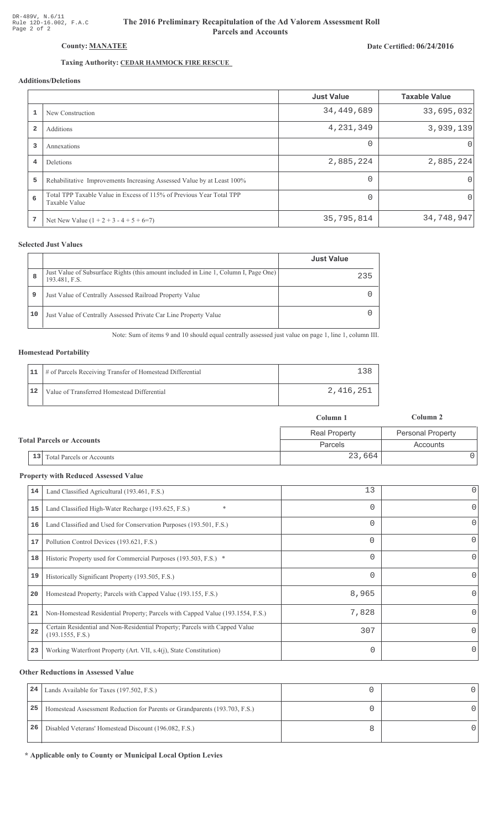# The 2016 Preliminary Recapitulation of the Ad Valorem Assessment Roll **Parcels and Accounts**

### Date Certified: 06/24/2016

# Taxing Authority: CEDAR HAMMOCK FIRE RESCUE

## Additions/Deletions

|                         |                                                                                       | <b>Just Value</b> | <b>Taxable Value</b> |
|-------------------------|---------------------------------------------------------------------------------------|-------------------|----------------------|
|                         | New Construction                                                                      | 34,449,689        | 33,695,032           |
| $\overline{\mathbf{2}}$ | Additions                                                                             | 4,231,349         | 3,939,139            |
| 3                       | Annexations                                                                           | $\Omega$          | $\Omega$             |
| 4                       | Deletions                                                                             | 2,885,224         | 2,885,224            |
| 5                       | Rehabilitative Improvements Increasing Assessed Value by at Least 100%                | $\Omega$          | $\Omega$             |
| 6                       | Total TPP Taxable Value in Excess of 115% of Previous Year Total TPP<br>Taxable Value | $\Omega$          | $\Omega$             |
| 7                       | Net New Value $(1 + 2 + 3 - 4 + 5 + 6=7)$                                             | 35,795,814        | 34,748,947           |

#### **Selected Just Values**

|    |                                                                                                       | <b>Just Value</b> |
|----|-------------------------------------------------------------------------------------------------------|-------------------|
| 8  | Just Value of Subsurface Rights (this amount included in Line 1, Column I, Page One)<br>193.481, F.S. | 235               |
| 9  | Just Value of Centrally Assessed Railroad Property Value                                              |                   |
| 10 | Just Value of Centrally Assessed Private Car Line Property Value                                      |                   |

Note: Sum of items 9 and 10 should equal centrally assessed just value on page 1, line 1, column III.

#### **Homestead Portability**

|    | 11   # of Parcels Receiving Transfer of Homestead Differential |           |
|----|----------------------------------------------------------------|-----------|
| 12 | Value of Transferred Homestead Differential                    | 2,416,251 |

|                                      | Column 1             | Column 2                 |
|--------------------------------------|----------------------|--------------------------|
|                                      | <b>Real Property</b> | <b>Personal Property</b> |
| <b>Total Parcels or Accounts</b>     | Parcels              | Accounts                 |
| $\vert$ 13 Total Parcels or Accounts | 23,664               |                          |

#### **Property with Reduced Assessed Value**

| 14 | Land Classified Agricultural (193.461, F.S.)                                                    | 13       | 0        |
|----|-------------------------------------------------------------------------------------------------|----------|----------|
| 15 | $\ast$<br>Land Classified High-Water Recharge (193.625, F.S.)                                   | 0        | 0        |
| 16 | Land Classified and Used for Conservation Purposes (193.501, F.S.)                              | 0        | 0        |
| 17 | Pollution Control Devices (193.621, F.S.)                                                       | $\Omega$ | 0        |
| 18 | Historic Property used for Commercial Purposes (193.503, F.S.) *                                | 0        | 0        |
| 19 | Historically Significant Property (193.505, F.S.)                                               | 0        | $\Omega$ |
| 20 | Homestead Property; Parcels with Capped Value (193.155, F.S.)                                   | 8,965    | 0        |
| 21 | Non-Homestead Residential Property; Parcels with Capped Value (193.1554, F.S.)                  | 7,828    | 0        |
| 22 | Certain Residential and Non-Residential Property; Parcels with Capped Value<br>(193.1555, F.S.) | 307      | 0        |
| 23 | Working Waterfront Property (Art. VII, s.4(j), State Constitution)                              | 0        | O        |

#### **Other Reductions in Assessed Value**

| 24 | Lands Available for Taxes (197.502, F.S.)                                  |  |
|----|----------------------------------------------------------------------------|--|
| 25 | Homestead Assessment Reduction for Parents or Grandparents (193.703, F.S.) |  |
| 26 | Disabled Veterans' Homestead Discount (196.082, F.S.)                      |  |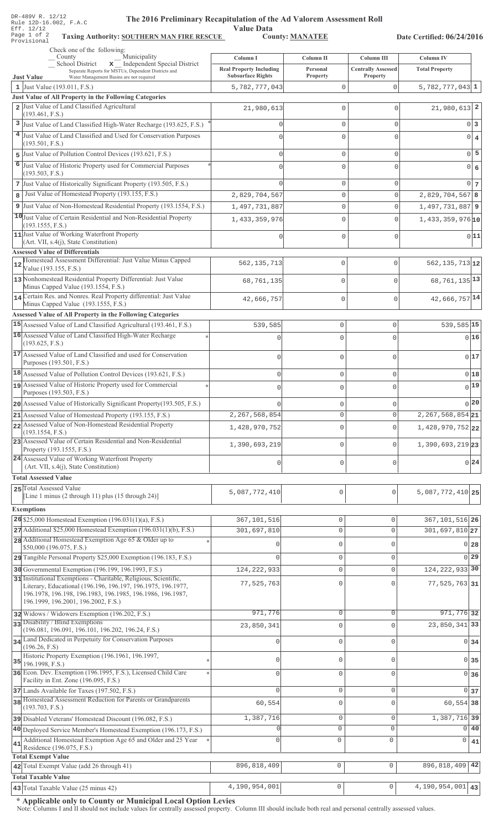| DR-489V R. 12/12<br>The 2016 Preliminary Recapitulation of the Ad Valorem Assessment Roll<br>Rule 12D-16.002, F.A.C                                               |                                            |                            |                                         |                                    |                      |
|-------------------------------------------------------------------------------------------------------------------------------------------------------------------|--------------------------------------------|----------------------------|-----------------------------------------|------------------------------------|----------------------|
| <b>Value Data</b><br>Eff. 12/12<br>Page 1 of 2<br><b>County: MANATEE</b><br><b>Taxing Authority: SOUTHERN MAN FIRE RESCUE</b><br>Date Certified: 06/24/2016       |                                            |                            |                                         |                                    |                      |
| Provisional<br>Check one of the following:                                                                                                                        |                                            |                            |                                         |                                    |                      |
| Municipality<br>County<br>School District<br>x Independent Special District<br>Separate Reports for MSTUs, Dependent Districts and                                | Column I<br><b>Real Property Including</b> | Column II<br>Personal      | Column III<br><b>Centrally Assessed</b> | Column IV<br><b>Total Property</b> |                      |
| <b>Just Value</b><br>Water Management Basins are not required                                                                                                     | <b>Subsurface Rights</b>                   | Property                   | Property                                |                                    |                      |
| 1 Just Value (193.011, F.S.)<br>Just Value of All Property in the Following Categories                                                                            | 5,782,777,043                              | $\mathbf 0$                | $\Omega$                                | $5,782,777,043$ 1                  |                      |
| 2 Just Value of Land Classified Agricultural                                                                                                                      | 21,980,613                                 | $\mathbf{0}$               | $\Omega$                                | $21,980,613$ 2                     |                      |
| (193.461, F.S.)<br><sup>3</sup> Just Value of Land Classified High-Water Recharge (193.625, F.S.)                                                                 |                                            | $\mathbf 0$                | $\Omega$                                |                                    | 0 3                  |
| 4 Just Value of Land Classified and Used for Conservation Purposes                                                                                                |                                            | $\mathbf{0}$               | $\Omega$                                |                                    | 0 <br>$\overline{4}$ |
| (193.501, F.S.)                                                                                                                                                   |                                            |                            |                                         |                                    |                      |
| Just Value of Pollution Control Devices (193.621, F.S.)<br>5<br>Just Value of Historic Property used for Commercial Purposes<br>6                                 | $\cap$                                     | $\mathbf 0$                | 0                                       |                                    | $0$ 5                |
| (193.503, F.S.)                                                                                                                                                   |                                            | $\mathbf{0}$               | $\Omega$                                |                                    | $\overline{0}$<br>6  |
| 7 Just Value of Historically Significant Property (193.505, F.S.)                                                                                                 |                                            | $\mathbf 0$                | 0                                       |                                    | $0\vert 7$           |
| Just Value of Homestead Property (193.155, F.S.)<br>8                                                                                                             | 2,829,704,567                              | $\mathbf 0$                | $\mathbf 0$                             | $2,829,704,567$ 8                  |                      |
| 9 Just Value of Non-Homestead Residential Property (193.1554, F.S.)<br>10 Just Value of Certain Residential and Non-Residential Property                          | 1,497,731,887                              | 0                          | $\mathbf 0$                             | 1,497,731,887 9                    |                      |
| (193.1555, F.S.)                                                                                                                                                  | 1,433,359,976                              | $\mathbf 0$                | $\mathbf 0$                             | $1,433,359,976$ <sup>10</sup>      |                      |
| 11 Just Value of Working Waterfront Property<br>(Art. VII, s.4(j), State Constitution)                                                                            |                                            | $\mathbf 0$                | 0                                       |                                    | 0 11                 |
| <b>Assessed Value of Differentials</b><br>Homestead Assessment Differential: Just Value Minus Capped                                                              |                                            | $\mathbf 0$                | $\mathbf 0$                             | $562, 135, 713$ 12                 |                      |
| 12<br>Value (193.155, F.S.)                                                                                                                                       | 562, 135, 713                              |                            |                                         |                                    |                      |
| 13 Nonhomestead Residential Property Differential: Just Value<br>Minus Capped Value (193.1554, F.S.)                                                              | 68,761,135                                 | $\mathbf 0$                | 0                                       | 68, 761, 135 13                    |                      |
| 14 Certain Res. and Nonres. Real Property differential: Just Value                                                                                                | 42,666,757                                 | $\mathbf 0$                | $\mathbf 0$                             | 42,666,757 14                      |                      |
| Minus Capped Value (193.1555, F.S.)<br>Assessed Value of All Property in the Following Categories                                                                 |                                            |                            |                                         |                                    |                      |
| 15 Assessed Value of Land Classified Agricultural (193.461, F.S.)                                                                                                 | 539,585                                    | $\mathbb O$                | $\Omega$                                | 539,585 15                         |                      |
| 16 Assessed Value of Land Classified High-Water Recharge                                                                                                          | $\mathbf 0$                                | $\mathbf 0$                | $\Omega$                                |                                    | 016                  |
| (193.625, F.S.)<br>17 Assessed Value of Land Classified and used for Conservation                                                                                 |                                            |                            |                                         |                                    |                      |
| Purposes (193.501, F.S.)                                                                                                                                          | 0                                          | $\mathbb O$                | $\mathbf 0$                             |                                    | 017                  |
| 18 Assessed Value of Pollution Control Devices (193.621, F.S.)                                                                                                    | 0                                          | $\mathbb O$                | $\Omega$                                |                                    | 018                  |
| 19 Assessed Value of Historic Property used for Commercial<br>Purposes (193.503, F.S.)                                                                            |                                            | 0                          |                                         |                                    | 0 19                 |
| 20 Assessed Value of Historically Significant Property (193.505, F.S.)                                                                                            |                                            | $\mathbf 0$                | $\Omega$                                |                                    | $0^{20}$             |
| 21 Assessed Value of Homestead Property (193.155, F.S.)                                                                                                           | 2,267,568,854                              | $\circ$                    | $\mathbf 0$                             | $2, 267, 568, 854$ 21              |                      |
| 22 Assessed Value of Non-Homestead Residential Property<br>(193.1554, F.S.)                                                                                       | 1,428,970,752                              | $\mathsf{O}\xspace$        | $\Omega$                                | 1,428,970,752 22                   |                      |
| 23 Assessed Value of Certain Residential and Non-Residential<br>Property (193.1555, F.S.)                                                                         | 1,390,693,219                              | $\circ$                    | $\Omega$                                | 1,390,693,219 23                   |                      |
| 24 Assessed Value of Working Waterfront Property                                                                                                                  | 0                                          | $\mathbb O$                | $\Omega$                                |                                    | 0 24                 |
| (Art. VII, s.4(j), State Constitution)<br><b>Total Assessed Value</b>                                                                                             |                                            |                            |                                         |                                    |                      |
| 25 Total Assessed Value                                                                                                                                           |                                            | 0                          |                                         |                                    |                      |
| [Line 1 minus (2 through 11) plus (15 through 24)]                                                                                                                | 5,087,772,410                              |                            | $\mathbf 0$                             | $5,087,772,410$   25               |                      |
| <b>Exemptions</b>                                                                                                                                                 |                                            |                            |                                         |                                    |                      |
| 26 \$25,000 Homestead Exemption $(196.031(1)(a), F.S.)$<br>27 Additional \$25,000 Homestead Exemption (196.031(1)(b), F.S.)                                       | 367,101,516<br>301,697,810                 | $\mathbb O$<br>$\mathbb O$ | 0<br>$\mathsf{O}\xspace$                | 367, 101, 516 26<br>301,697,810 27 |                      |
| 28 Additional Homestead Exemption Age 65 & Older up to                                                                                                            | $\cap$                                     | $\mathbf{0}$               | $\mathbf{0}$                            |                                    | 0 28                 |
| \$50,000 (196.075, F.S.)<br>29 Tangible Personal Property \$25,000 Exemption (196.183, F.S.)                                                                      |                                            | $\mathbb O$                | $\mathbf 0$                             |                                    | $0$   29             |
| 30 Governmental Exemption (196.199, 196.1993, F.S.)                                                                                                               | 124, 222, 933                              | $\mathbb O$                | $\mathbf 0$                             | 124, 222, 933 30                   |                      |
| 31 Institutional Exemptions - Charitable, Religious, Scientific,                                                                                                  | 77,525,763                                 | $\Omega$                   | $\Omega$                                | $77,525,763$ 31                    |                      |
| Literary, Educational (196.196, 196.197, 196.1975, 196.1977,<br>196.1978, 196.198, 196.1983, 196.1985, 196.1986, 196.1987,<br>196.1999, 196.2001, 196.2002, F.S.) |                                            |                            |                                         |                                    |                      |
| 32 Widows / Widowers Exemption (196.202, F.S.)                                                                                                                    | 971,776                                    | $\mathbf{0}$               | $\mathbf 0$                             | $971,776$ 32                       |                      |
| 33 Disability / Blind Exemptions                                                                                                                                  | 23,850,341                                 | $\Omega$                   | $\Omega$                                | 23, 850, 341 33                    |                      |
| (196.081, 196.091, 196.101, 196.202, 196.24, F.S.)<br>34 Land Dedicated in Perpetuity for Conservation Purposes                                                   | $\Omega$                                   | $\mathbf{0}$               | $\mathbf{0}$                            |                                    | 0 34                 |
| (196.26, F.S)<br>Historic Property Exemption (196.1961, 196.1997,                                                                                                 |                                            |                            |                                         |                                    |                      |
| $35$ 196.1998, F.S.)                                                                                                                                              |                                            | $\mathbf{0}$               | $\mathbf{0}$                            |                                    | 0 35                 |
| 36 Econ. Dev. Exemption (196.1995, F.S.), Licensed Child Care<br>Facility in Ent. Zone (196.095, F.S.)                                                            |                                            | $\mathbf 0$                | $\mathbf 0$                             |                                    | 0 36                 |
| 37 Lands Available for Taxes (197.502, F.S.)                                                                                                                      | $\cap$                                     | $\mathsf{O}\xspace$        | $\mathbf 0$                             |                                    | 0 <sub>37</sub>      |
| 38 Homestead Assessment Reduction for Parents or Grandparents<br>(193.703, F.S.)                                                                                  | 60,554                                     | $\mathbf 0$                | $\mathbf{0}$                            | 60,554 38                          |                      |
| 39 Disabled Veterans' Homestead Discount (196.082, F.S.)                                                                                                          | 1,387,716                                  | $\mathbb O$                | $\mathsf{O}\xspace$                     | 1,387,716 39                       |                      |
| 40 Deployed Service Member's Homestead Exemption (196.173, F.S.)                                                                                                  | $\Omega$                                   | $\circ$                    | $\mathbf{0}$                            | $\Omega$                           | 40                   |
| Additional Homestead Exemption Age 65 and Older and 25 Year<br>41<br>Residence (196.075, F.S.)                                                                    | $\Omega$                                   | 0                          | 0                                       | 0                                  | 41                   |
| <b>Total Exempt Value</b>                                                                                                                                         |                                            |                            |                                         |                                    |                      |
| 42 Total Exempt Value (add 26 through 41)                                                                                                                         | 896, 818, 409                              | 0                          | $\mathsf{O}\xspace$                     | 896, 818, 409 42                   |                      |
| <b>Total Taxable Value</b><br>43 Total Taxable Value (25 minus 42)                                                                                                | 4,190,954,001                              | 0                          | $\mathsf{O}$                            | 4,190,954,001 43                   |                      |
|                                                                                                                                                                   |                                            |                            |                                         |                                    |                      |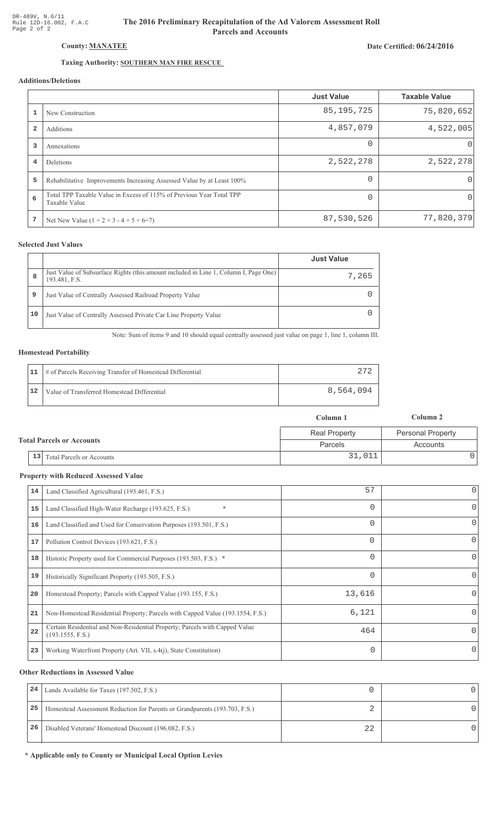# The 2016 Preliminary Recapitulation of the Ad Valorem Assessment Roll **Parcels and Accounts**

# Date Certified: 06/24/2016

# Taxing Authority: SOUTHERN MAN FIRE RESCUE

# **Additions/Deletions**

|                |                                                                                       | <b>Just Value</b> | <b>Taxable Value</b> |
|----------------|---------------------------------------------------------------------------------------|-------------------|----------------------|
|                | New Construction                                                                      | 85, 195, 725      | 75,820,652           |
| $\overline{2}$ | Additions                                                                             | 4,857,079         | 4,522,005            |
| 3              | Annexations                                                                           | $\Omega$          | $\Omega$             |
| 4              | Deletions                                                                             | 2,522,278         | 2,522,278            |
| 5              | Rehabilitative Improvements Increasing Assessed Value by at Least 100%                | $\Omega$          | 0                    |
| 6              | Total TPP Taxable Value in Excess of 115% of Previous Year Total TPP<br>Taxable Value |                   | 0                    |
| 7              | Net New Value $(1 + 2 + 3 - 4 + 5 + 6=7)$                                             | 87,530,526        | 77,820,379           |

## **Selected Just Values**

|    |                                                                                                       | <b>Just Value</b> |
|----|-------------------------------------------------------------------------------------------------------|-------------------|
| 8  | Just Value of Subsurface Rights (this amount included in Line 1, Column I, Page One)<br>193.481, F.S. | 7,265             |
| 9  | Just Value of Centrally Assessed Railroad Property Value                                              |                   |
| 10 | Just Value of Centrally Assessed Private Car Line Property Value                                      |                   |

Note: Sum of items 9 and 10 should equal centrally assessed just value on page 1, line 1, column III.

### **Homestead Portability**

|    | 11   # of Parcels Receiving Transfer of Homestead Differential |           |
|----|----------------------------------------------------------------|-----------|
| 12 | Value of Transferred Homestead Differential                    | 8,564,094 |

|                                  |                              | Column 1             | Column 2                 |
|----------------------------------|------------------------------|----------------------|--------------------------|
| <b>Total Parcels or Accounts</b> |                              | <b>Real Property</b> | <b>Personal Property</b> |
|                                  |                              | <b>Parcels</b>       | Accounts                 |
|                                  | 13 Total Parcels or Accounts | 31,011               |                          |

#### **Property with Reduced Assessed Value**

| 14 | Land Classified Agricultural (193.461, F.S.)                                                    | 57       | 0        |
|----|-------------------------------------------------------------------------------------------------|----------|----------|
| 15 | $\ast$<br>Land Classified High-Water Recharge (193.625, F.S.)                                   | 0        | 0        |
| 16 | Land Classified and Used for Conservation Purposes (193.501, F.S.)                              | 0        | 0        |
| 17 | Pollution Control Devices (193.621, F.S.)                                                       | $\Omega$ | 0        |
| 18 | Historic Property used for Commercial Purposes (193.503, F.S.) *                                | 0        | 0        |
| 19 | Historically Significant Property (193.505, F.S.)                                               | $\Omega$ | 0        |
| 20 | Homestead Property; Parcels with Capped Value (193.155, F.S.)                                   | 13,616   | 0        |
| 21 | Non-Homestead Residential Property; Parcels with Capped Value (193.1554, F.S.)                  | 6,121    | 0        |
| 22 | Certain Residential and Non-Residential Property; Parcels with Capped Value<br>(193.1555, F.S.) | 464      | $\Omega$ |
| 23 | Working Waterfront Property (Art. VII, s.4(j), State Constitution)                              | 0        | 0        |
|    |                                                                                                 |          |          |

#### **Other Reductions in Assessed Value**

| 24 | Lands Available for Taxes (197.502, F.S.)                                  |    |  |
|----|----------------------------------------------------------------------------|----|--|
| 25 | Homestead Assessment Reduction for Parents or Grandparents (193.703, F.S.) |    |  |
| 26 | Disabled Veterans' Homestead Discount (196.082, F.S.)                      | 22 |  |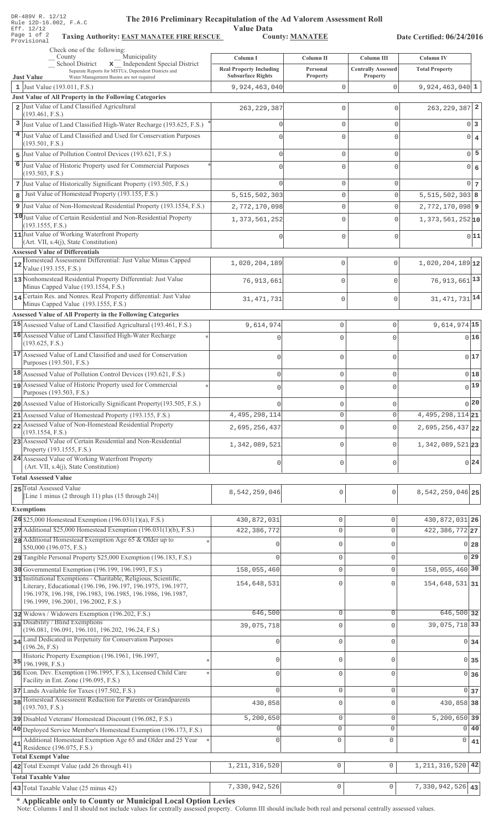| DR-489V R. 12/12<br>The 2016 Preliminary Recapitulation of the Ad Valorem Assessment Roll<br>Rule 12D-16.002, F.A.C<br><b>Value Data</b><br>Eff. 12/12<br>Page 1 of 2<br><b>County: MANATEE</b><br><b>Taxing Authority: EAST MANATEE FIRE RESCUE</b><br>Date Certified: 06/24/2016<br>Provisional |                                                                        |                                   |                                                     |                                           |                                  |
|---------------------------------------------------------------------------------------------------------------------------------------------------------------------------------------------------------------------------------------------------------------------------------------------------|------------------------------------------------------------------------|-----------------------------------|-----------------------------------------------------|-------------------------------------------|----------------------------------|
| Check one of the following:                                                                                                                                                                                                                                                                       |                                                                        |                                   |                                                     |                                           |                                  |
| Municipality<br>County<br>x Independent Special District<br>School District<br>Separate Reports for MSTUs, Dependent Districts and                                                                                                                                                                | Column I<br><b>Real Property Including</b><br><b>Subsurface Rights</b> | Column II<br>Personal<br>Property | Column III<br><b>Centrally Assessed</b><br>Property | <b>Column IV</b><br><b>Total Property</b> |                                  |
| <b>Just Value</b><br>Water Management Basins are not required<br>1 Just Value (193.011, F.S.)                                                                                                                                                                                                     | 9,924,463,040                                                          | $\mathbf 0$                       | $\Omega$                                            | $9,924,463,040$ 1                         |                                  |
| <b>Just Value of All Property in the Following Categories</b>                                                                                                                                                                                                                                     |                                                                        |                                   |                                                     |                                           |                                  |
| 2 Just Value of Land Classified Agricultural<br>(193.461, F.S.)                                                                                                                                                                                                                                   | 263, 229, 387                                                          | $\mathbf 0$                       | $\Omega$                                            | $263, 229, 387$ 2                         |                                  |
| 3 Just Value of Land Classified High-Water Recharge (193.625, F.S.)                                                                                                                                                                                                                               | O                                                                      | $\mathbf{0}$                      | 0                                                   |                                           | 0 <sup>3</sup>                   |
| 4 Just Value of Land Classified and Used for Conservation Purposes                                                                                                                                                                                                                                |                                                                        | $\mathbf 0$                       | $\Omega$                                            |                                           | $\overline{0}$<br>$\overline{4}$ |
| (193.501, F.S.)                                                                                                                                                                                                                                                                                   |                                                                        |                                   |                                                     |                                           | 5                                |
| 5 Just Value of Pollution Control Devices (193.621, F.S.)<br>6 Just Value of Historic Property used for Commercial Purposes                                                                                                                                                                       | $\Omega$                                                               | $\mathbf{0}$                      | 0                                                   |                                           | 0                                |
| (193.503, F.S.)                                                                                                                                                                                                                                                                                   |                                                                        | $\mathbf 0$                       | $\Omega$                                            | $\overline{0}$                            | 6                                |
| 7 Just Value of Historically Significant Property (193.505, F.S.)                                                                                                                                                                                                                                 |                                                                        | $\mathbf{0}$                      | 0                                                   |                                           | $0\vert 7$                       |
| Just Value of Homestead Property (193.155, F.S.)<br>8                                                                                                                                                                                                                                             | 5,515,502,303                                                          | $\mathbf 0$                       | $\mathbf 0$                                         | $5,515,502,303$ 8                         |                                  |
| 9 Just Value of Non-Homestead Residential Property (193.1554, F.S.)                                                                                                                                                                                                                               | 2,772,170,098                                                          | $\mathbf 0$                       | 0                                                   | $2,772,170,098$ 9                         |                                  |
| 10 Just Value of Certain Residential and Non-Residential Property<br>(193.1555, F.S.)                                                                                                                                                                                                             | 1, 373, 561, 252                                                       | $\mathbf 0$                       | $\Omega$                                            | $1,373,561,252$ <sub>10</sub>             |                                  |
| 11 Just Value of Working Waterfront Property<br>(Art. VII, s.4(j), State Constitution)                                                                                                                                                                                                            | O                                                                      | $\mathbf{0}$                      | $\mathbf 0$                                         |                                           | 0 11                             |
| <b>Assessed Value of Differentials</b><br>Homestead Assessment Differential: Just Value Minus Capped                                                                                                                                                                                              |                                                                        |                                   |                                                     |                                           |                                  |
| 12<br>Value (193.155, F.S.)                                                                                                                                                                                                                                                                       | 1,020,204,189                                                          | 0                                 | $\mathbf 0$                                         | $1,020,204,189$ <sup>12</sup>             |                                  |
| 13 Nonhomestead Residential Property Differential: Just Value                                                                                                                                                                                                                                     | 76, 913, 661                                                           | $\mathbf 0$                       | $\Omega$                                            | $76,913,661$ <sup>13</sup>                |                                  |
| Minus Capped Value (193.1554, F.S.)<br>14 Certain Res. and Nonres. Real Property differential: Just Value                                                                                                                                                                                         |                                                                        | 0                                 | $\mathbf 0$                                         | 31, 471, 731 14                           |                                  |
| Minus Capped Value (193.1555, F.S.)                                                                                                                                                                                                                                                               | 31, 471, 731                                                           |                                   |                                                     |                                           |                                  |
| <b>Assessed Value of All Property in the Following Categories</b>                                                                                                                                                                                                                                 |                                                                        |                                   |                                                     |                                           |                                  |
| 15 Assessed Value of Land Classified Agricultural (193.461, F.S.)<br>16 Assessed Value of Land Classified High-Water Recharge                                                                                                                                                                     | 9,614,974                                                              | $\mathbb O$                       | 0                                                   | $9,614,974$ 15                            |                                  |
| (193.625, F.S.)                                                                                                                                                                                                                                                                                   | $\mathbf{0}$                                                           | $\mathbf 0$                       | $\mathbf{0}$                                        |                                           | 016                              |
| 17 Assessed Value of Land Classified and used for Conservation                                                                                                                                                                                                                                    | 0                                                                      | $\mathbb O$                       | $\mathbf 0$                                         |                                           | 017                              |
| Purposes (193.501, F.S.)                                                                                                                                                                                                                                                                          |                                                                        |                                   |                                                     |                                           |                                  |
| 18 Assessed Value of Pollution Control Devices (193.621, F.S.)<br>assessed Value of Historic Property used for Commercial                                                                                                                                                                         | 0                                                                      | $\mathbb O$                       | $\circ$                                             |                                           | 0 18                             |
| Purposes (193.503, F.S.)                                                                                                                                                                                                                                                                          |                                                                        |                                   | C                                                   |                                           | 0 19                             |
| 20 Assessed Value of Historically Significant Property (193.505, F.S.)                                                                                                                                                                                                                            |                                                                        | 0                                 | $\circ$                                             |                                           | 0 20                             |
| 21 Assessed Value of Homestead Property (193.155, F.S.)                                                                                                                                                                                                                                           | 4, 495, 298, 114                                                       | $\circ$                           | $\mathbf 0$                                         | $4,495,298,114$ 21                        |                                  |
| 22 Assessed Value of Non-Homestead Residential Property<br>(193.1554, F.S.)                                                                                                                                                                                                                       | 2,695,256,437                                                          | $\mathbf 0$                       | $\mathbf 0$                                         | $2,695,256,437$ 22                        |                                  |
| 23 Assessed Value of Certain Residential and Non-Residential<br>Property (193.1555, F.S.)                                                                                                                                                                                                         | 1,342,089,521                                                          | $\mathsf{O}\xspace$               | $\mathbf{0}$                                        | 1,342,089,521 23                          |                                  |
| 24 Assessed Value of Working Waterfront Property                                                                                                                                                                                                                                                  | 0                                                                      | $\circ$                           | $\circ$                                             |                                           | 0 24                             |
| (Art. VII, s.4(j), State Constitution)<br><b>Total Assessed Value</b>                                                                                                                                                                                                                             |                                                                        |                                   |                                                     |                                           |                                  |
| 25 Total Assessed Value                                                                                                                                                                                                                                                                           |                                                                        |                                   |                                                     |                                           |                                  |
| [Line 1 minus (2 through 11) plus (15 through 24)]                                                                                                                                                                                                                                                | 8,542,259,046                                                          | 0                                 | $\mathsf{O}\xspace$                                 | $8,542,259,046$ 25                        |                                  |
| <b>Exemptions</b>                                                                                                                                                                                                                                                                                 |                                                                        |                                   |                                                     |                                           |                                  |
| 26 \$25,000 Homestead Exemption $(196.031(1)(a), F.S.)$                                                                                                                                                                                                                                           | 430,872,031                                                            | $\mathsf{O}\xspace$               | 0                                                   | 430, 872, 031 26                          |                                  |
| $27$ Additional \$25,000 Homestead Exemption (196.031(1)(b), F.S.)<br>28 Additional Homestead Exemption Age 65 & Older up to                                                                                                                                                                      | 422,386,772                                                            | $\mathbb O$                       | $\mathsf{O}\xspace$                                 | 422, 386, 772 27                          |                                  |
| \$50,000 (196.075, F.S.)                                                                                                                                                                                                                                                                          |                                                                        | $\mathbb O$                       | $\mathbf 0$                                         |                                           | 0 <sub>28</sub>                  |
| 29 Tangible Personal Property \$25,000 Exemption (196.183, F.S.)                                                                                                                                                                                                                                  |                                                                        | $\mathbb O$                       | $\mathbf 0$                                         |                                           | $0$ 29                           |
| 30 Governmental Exemption (196.199, 196.1993, F.S.)                                                                                                                                                                                                                                               | 158,055,460                                                            | $\mathbb O$                       | $\mathsf{O}\xspace$                                 | 158,055,460 30                            |                                  |
| 31 Institutional Exemptions - Charitable, Religious, Scientific,<br>Literary, Educational (196.196, 196.197, 196.1975, 196.1977,<br>196.1978, 196.198, 196.1983, 196.1985, 196.1986, 196.1987,<br>196.1999, 196.2001, 196.2002, F.S.)                                                             | 154,648,531                                                            | $\mathbf 0$                       | $\Omega$                                            | 154,648,531 31                            |                                  |
| 32 Widows / Widowers Exemption (196.202, F.S.)                                                                                                                                                                                                                                                    | 646,500                                                                | $\mathbb O$                       | $\mathbf 0$                                         | 646,500 32                                |                                  |
| 33 Disability / Blind Exemptions                                                                                                                                                                                                                                                                  | 39,075,718                                                             | $\mathbf 0$                       | $\Omega$                                            | 39,075,718 33                             |                                  |
| (196.081, 196.091, 196.101, 196.202, 196.24, F.S.)<br>34 Land Dedicated in Perpetuity for Conservation Purposes                                                                                                                                                                                   | $\Omega$                                                               | $\mathbf{0}$                      | $\mathbf 0$                                         |                                           | $0\overline{34}$                 |
| (196.26, F.S)                                                                                                                                                                                                                                                                                     |                                                                        |                                   |                                                     |                                           |                                  |
| Historic Property Exemption (196.1961, 196.1997,<br>$35$ 196.1998, F.S.)                                                                                                                                                                                                                          | $\cap$                                                                 | $\mathbf 0$                       | $\mathbf 0$                                         |                                           | 0 35                             |
| 36 Econ. Dev. Exemption (196.1995, F.S.), Licensed Child Care                                                                                                                                                                                                                                     | $\cap$                                                                 | $\mathbf 0$                       | $\mathbf 0$                                         |                                           | $0 \overline{\smash{\big)}\ 36}$ |
| Facility in Ent. Zone (196.095, F.S.)<br>37 Lands Available for Taxes (197.502, F.S.)                                                                                                                                                                                                             | $\Omega$                                                               | $\mathsf{O}\xspace$               | $\mathbf 0$                                         |                                           | 0 <sub>37</sub>                  |
| 38 Homestead Assessment Reduction for Parents or Grandparents                                                                                                                                                                                                                                     | 430,858                                                                | $\mathsf{O}\xspace$               | 0                                                   | 430,858 38                                |                                  |
| (193.703, F.S.)                                                                                                                                                                                                                                                                                   |                                                                        |                                   |                                                     |                                           |                                  |
| 39 Disabled Veterans' Homestead Discount (196.082, F.S.)                                                                                                                                                                                                                                          | 5,200,650                                                              | $\mathbb O$<br>$\circ$            | $\mathsf{O}\xspace$<br>$\mathbf 0$                  | $5,200,650$ 39                            |                                  |
| 40 Deployed Service Member's Homestead Exemption (196.173, F.S.)<br>Additional Homestead Exemption Age 65 and Older and 25 Year                                                                                                                                                                   | Ω                                                                      | 0                                 | $\mathsf 0$                                         | 0                                         | 0 40                             |
| 41<br>Residence (196.075, F.S.)                                                                                                                                                                                                                                                                   |                                                                        |                                   |                                                     |                                           | 41                               |
| <b>Total Exempt Value</b>                                                                                                                                                                                                                                                                         |                                                                        |                                   |                                                     |                                           | 42                               |
| 42 Total Exempt Value (add 26 through 41)<br><b>Total Taxable Value</b>                                                                                                                                                                                                                           | 1, 211, 316, 520                                                       | $\mathbb O$                       | $\mathbb O$                                         | 1, 211, 316, 520                          |                                  |
| 43 Total Taxable Value (25 minus 42)                                                                                                                                                                                                                                                              | 7,330,942,526                                                          | $\mathsf{O}\xspace$               | $\hbox{O}$                                          | $7,330,942,526$ 43                        |                                  |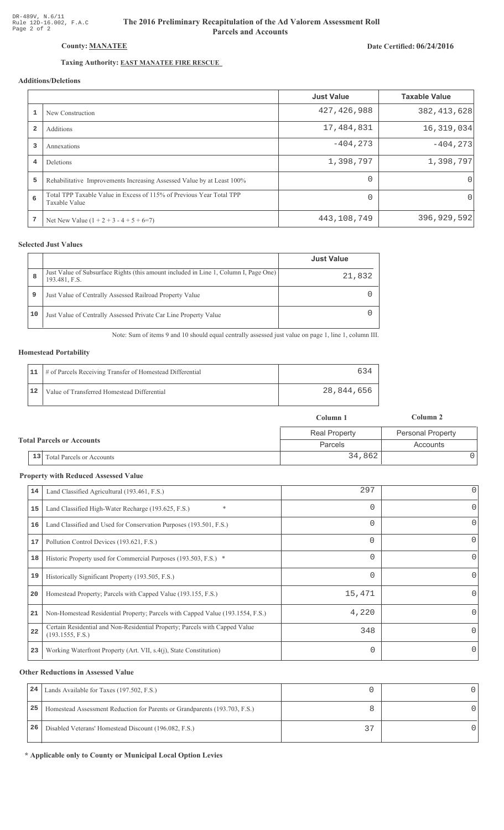# Date Certified: 06/24/2016

# Taxing Authority: **EAST MANATEE FIRE RESCUE**

County: MANATEE

# Additions/Deletions

|                         |                                                                                       | <b>Just Value</b> | <b>Taxable Value</b> |
|-------------------------|---------------------------------------------------------------------------------------|-------------------|----------------------|
|                         | New Construction                                                                      | 427, 426, 988     | 382, 413, 628        |
| $\overline{\mathbf{2}}$ | Additions                                                                             | 17,484,831        | 16, 319, 034         |
| 3                       | Annexations                                                                           | $-404, 273$       | $-404, 273$          |
| 4                       | <b>Deletions</b>                                                                      | 1,398,797         | 1,398,797            |
| 5                       | Rehabilitative Improvements Increasing Assessed Value by at Least 100%                | $\Omega$          | $\Omega$             |
| 6                       | Total TPP Taxable Value in Excess of 115% of Previous Year Total TPP<br>Taxable Value | $\Omega$          | $\Omega$             |
| 7                       | Net New Value $(1 + 2 + 3 - 4 + 5 + 6=7)$                                             | 443,108,749       | 396,929,592          |

#### **Selected Just Values**

|    |                                                                                                       | <b>Just Value</b> |
|----|-------------------------------------------------------------------------------------------------------|-------------------|
| 8  | Just Value of Subsurface Rights (this amount included in Line 1, Column I, Page One)<br>193.481, F.S. | 21,832            |
| 9  | Just Value of Centrally Assessed Railroad Property Value                                              |                   |
| 10 | Just Value of Centrally Assessed Private Car Line Property Value                                      |                   |

Note: Sum of items 9 and 10 should equal centrally assessed just value on page 1, line 1, column III.

#### **Homestead Portability**

|    | 11   # of Parcels Receiving Transfer of Homestead Differential | 634        |
|----|----------------------------------------------------------------|------------|
| 12 | Value of Transferred Homestead Differential                    | 28,844,656 |

|                                      | Column 1             | Column 2                 |
|--------------------------------------|----------------------|--------------------------|
|                                      | <b>Real Property</b> | <b>Personal Property</b> |
| <b>Total Parcels or Accounts</b>     | Parcels              | Accounts                 |
| $\vert$ 13 Total Parcels or Accounts | 34,862               |                          |

#### **Property with Reduced Assessed Value**

| 14 | Land Classified Agricultural (193.461, F.S.)                                                    | 297      | 0        |
|----|-------------------------------------------------------------------------------------------------|----------|----------|
| 15 | $\ast$<br>Land Classified High-Water Recharge (193.625, F.S.)                                   | 0        | 0        |
| 16 | Land Classified and Used for Conservation Purposes (193.501, F.S.)                              |          | 0        |
| 17 | Pollution Control Devices (193.621, F.S.)                                                       | $\Omega$ | 0        |
| 18 | Historic Property used for Commercial Purposes (193.503, F.S.) *                                | 0        | 0        |
| 19 | Historically Significant Property (193.505, F.S.)                                               | $\Omega$ | $\Omega$ |
| 20 | Homestead Property; Parcels with Capped Value (193.155, F.S.)                                   | 15,471   | 0        |
| 21 | Non-Homestead Residential Property; Parcels with Capped Value (193.1554, F.S.)                  | 4,220    | 0        |
| 22 | Certain Residential and Non-Residential Property; Parcels with Capped Value<br>(193.1555, F.S.) | 348      | $\Omega$ |
| 23 | Working Waterfront Property (Art. VII, s.4(j), State Constitution)                              | 0        | 0        |
|    |                                                                                                 |          |          |

#### **Other Reductions in Assessed Value**

| 24 | Lands Available for Taxes (197.502, F.S.)                                  |            |  |
|----|----------------------------------------------------------------------------|------------|--|
| 25 | Homestead Assessment Reduction for Parents or Grandparents (193.703, F.S.) |            |  |
| 26 | Disabled Veterans' Homestead Discount (196.082, F.S.)                      | $\sim$ $-$ |  |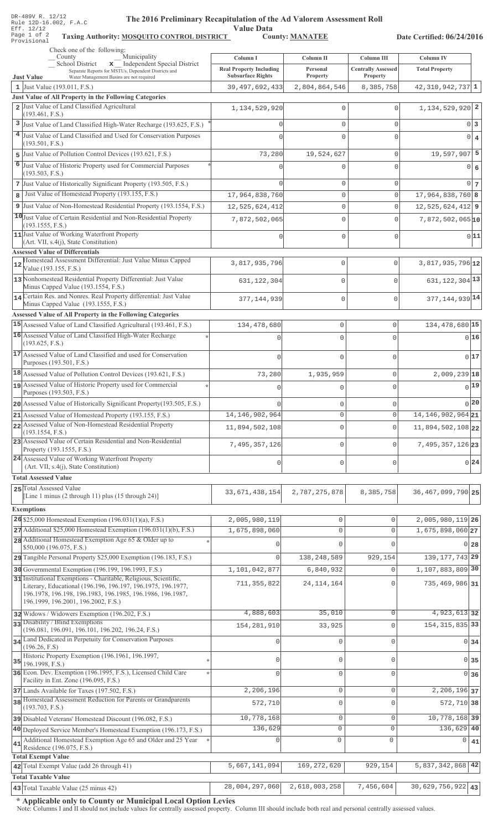| DR-489V R. 12/12<br>The 2016 Preliminary Recapitulation of the Ad Valorem Assessment Roll<br>Rule 12D-16.002, F.A.C                      |                                            |                          |                                         |                                      |                 |
|------------------------------------------------------------------------------------------------------------------------------------------|--------------------------------------------|--------------------------|-----------------------------------------|--------------------------------------|-----------------|
| Eff. 12/12<br>Page 1 of 2<br>Taxing Authority: MOSQUITO CONTROL DISTRICT<br>Provisional                                                  | <b>Value Data</b>                          | <b>County: MANATEE</b>   |                                         | Date Certified: 06/24/2016           |                 |
| Check one of the following:<br>Municipality                                                                                              |                                            |                          |                                         |                                      |                 |
| County<br>$\overline{\mathbf{x}}$ Independent Special District<br>School District<br>Separate Reports for MSTUs, Dependent Districts and | Column I<br><b>Real Property Including</b> | Column II<br>Personal    | Column III<br><b>Centrally Assessed</b> | Column IV<br><b>Total Property</b>   |                 |
| Water Management Basins are not required<br><b>Just Value</b>                                                                            | <b>Subsurface Rights</b>                   | Property                 | Property                                |                                      |                 |
| 1 Just Value (193.011, F.S.)<br>Just Value of All Property in the Following Categories                                                   | 39, 497, 692, 433                          | 2,804,864,546            | 8,385,758                               | $42,310,942,737$ 1                   |                 |
| 2 Just Value of Land Classified Agricultural                                                                                             | 1, 134, 529, 920                           | $\mathbf 0$              | $\Omega$                                | $1,134,529,920$ <sup>2</sup>         |                 |
| (193.461, F.S.)<br>3 Just Value of Land Classified High-Water Recharge (193.625, F.S.)                                                   | $\cap$                                     | 0                        | $\mathbf 0$                             | $\mathbf 0$                          | 3               |
| 4 Just Value of Land Classified and Used for Conservation Purposes                                                                       |                                            | $\Omega$                 | $\Omega$                                | $\Omega$                             | $\overline{4}$  |
| (193.501, F.S.)                                                                                                                          |                                            |                          |                                         |                                      |                 |
| 5 Just Value of Pollution Control Devices (193.621, F.S.)                                                                                | 73,280                                     | 19,524,627               | $\mathbf 0$                             | 19,597,907                           | 5               |
| 6 Just Value of Historic Property used for Commercial Purposes<br>(193.503, F.S.)                                                        |                                            | 0                        | $\Omega$                                | $\Omega$                             | 6               |
| 7 Just Value of Historically Significant Property (193.505, F.S.)                                                                        |                                            | 0                        | $\mathbf 0$                             | $\mathbf 0$                          | $7\phantom{.0}$ |
| Just Value of Homestead Property (193.155, F.S.)<br>8                                                                                    | 17,964,838,760                             | $\mathbf 0$              | $\circ$                                 | $17,964,838,760$ 8                   |                 |
| 9 Just Value of Non-Homestead Residential Property (193.1554, F.S.)                                                                      | 12,525,624,412                             | 0                        | $\mathbf 0$                             | $12,525,624,412$ 9                   |                 |
| 10 Just Value of Certain Residential and Non-Residential Property<br>(193.1555, F.S.)                                                    | 7,872,502,065                              | $\mathbf 0$              | $\Omega$                                | $7,872,502,065$ <sup>10</sup>        |                 |
| 11 Just Value of Working Waterfront Property                                                                                             | $\Omega$                                   | $\mathbf 0$              | $\mathbf 0$                             |                                      | 0 11            |
| (Art. VII, s.4(j), State Constitution)<br><b>Assessed Value of Differentials</b>                                                         |                                            |                          |                                         |                                      |                 |
| Homestead Assessment Differential: Just Value Minus Capped<br>12<br>Value (193.155, F.S.)                                                | 3,817,935,796                              | $\mathbf 0$              | $\mathbf{0}$                            | 3,817,935,796 12                     |                 |
| 13 Nonhomestead Residential Property Differential: Just Value<br>Minus Capped Value (193.1554, F.S.)                                     | 631, 122, 304                              | $\mathbb O$              | $\mathbf{0}$                            | $631, 122, 304$ <sup>13</sup>        |                 |
| 14 Certain Res. and Nonres. Real Property differential: Just Value                                                                       | 377, 144, 939                              | $\mathbf 0$              | $\circ$                                 | 377, 144, 939 14                     |                 |
| Minus Capped Value (193.1555, F.S.)<br><b>Assessed Value of All Property in the Following Categories</b>                                 |                                            |                          |                                         |                                      |                 |
| 15 Assessed Value of Land Classified Agricultural (193.461, F.S.)                                                                        | 134, 478, 680                              | $\mathbb O$              | 0                                       | 134, 478, 680 15                     |                 |
| 16 Assessed Value of Land Classified High-Water Recharge                                                                                 | $\Omega$                                   | $\mathbf{0}$             | 0                                       |                                      | 0 16            |
| (193.625, F.S.)<br>17 Assessed Value of Land Classified and used for Conservation                                                        |                                            |                          |                                         |                                      |                 |
| Purposes (193.501, F.S.)                                                                                                                 | $\Omega$                                   | $\mathsf 0$              | 0                                       |                                      | 017             |
| 18 Assessed Value of Pollution Control Devices (193.621, F.S.)                                                                           | 73,280                                     | 1,935,959                | 0                                       | $2,009,239$ <sup>18</sup>            |                 |
| 19 Assessed Value of Historic Property used for Commercial<br>Purposes (193.503, F.S.)                                                   |                                            |                          |                                         |                                      | 0 19            |
| 20 Assessed Value of Historically Significant Property (193.505, F.S.)                                                                   |                                            | $\mathbf 0$              | 0                                       |                                      | $\frac{1}{20}$  |
| 21 Assessed Value of Homestead Property (193.155, F.S.)                                                                                  | 14, 146, 902, 964                          | $\mathbf 0$              | $\mathsf{O}\xspace$                     | 14, 146, 902, 964 21                 |                 |
| 22 Assessed Value of Non-Homestead Residential Property<br>(193.1554, F.S.)                                                              | 11,894,502,108                             | $\mathbf 0$              | 0                                       | 11,894,502,108 22                    |                 |
| 23 Assessed Value of Certain Residential and Non-Residential<br>Property (193.1555, F.S.)                                                | 7,495,357,126                              | $\mathbf 0$              | 0                                       | 7,495,357,126 23                     |                 |
| 24 Assessed Value of Working Waterfront Property<br>(Art. VII, s.4(j), State Constitution)                                               | 0                                          | $\mathbf 0$              | 0                                       |                                      | $0^{24}$        |
| <b>Total Assessed Value</b>                                                                                                              |                                            |                          |                                         |                                      |                 |
| 25 Total Assessed Value                                                                                                                  | 33, 671, 438, 154                          | 2,787,275,878            | 8,385,758                               | 36, 467, 099, 790 25                 |                 |
| [Line 1 minus (2 through 11) plus (15 through 24)]                                                                                       |                                            |                          |                                         |                                      |                 |
| <b>Exemptions</b>                                                                                                                        |                                            |                          |                                         |                                      |                 |
| 26 \$25,000 Homestead Exemption $(196.031(1)(a), F.S.)$<br>$27$ Additional \$25,000 Homestead Exemption (196.031(1)(b), F.S.)            | 2,005,980,119<br>1,675,898,060             | 0<br>0                   | 0<br>0                                  | 2,005,980,119 26<br>1,675,898,060 27 |                 |
| 28 Additional Homestead Exemption Age 65 & Older up to                                                                                   |                                            | $\Omega$                 | $\Omega$                                |                                      | $0$ 28          |
| \$50,000 (196.075, F.S.)                                                                                                                 | $\Omega$                                   |                          |                                         | 139, 177, 743 29                     |                 |
| 29 Tangible Personal Property \$25,000 Exemption (196.183, F.S.)<br>30 Governmental Exemption (196.199, 196.1993, F.S.)                  | 1,101,042,877                              | 138,248,589<br>6,840,932 | 929,154<br>0                            | 1,107,883,809 30                     |                 |
| 31 Institutional Exemptions - Charitable, Religious, Scientific,                                                                         |                                            |                          |                                         |                                      |                 |
| Literary, Educational (196.196, 196.197, 196.1975, 196.1977,<br>196.1978, 196.198, 196.1983, 196.1985, 196.1986, 196.1987,               | 711, 355, 822                              | 24, 114, 164             | $\Omega$                                | 735,469,986 31                       |                 |
| 196.1999, 196.2001, 196.2002, F.S.)<br>32 Widows / Widowers Exemption (196.202, F.S.)                                                    | 4,888,603                                  | 35,010                   | $\mathbf 0$                             | 4,923,613 32                         |                 |
| 33 Disability / Blind Exemptions                                                                                                         | 154, 281, 910                              | 33,925                   | $\mathbf 0$                             | 154, 315, 835 33                     |                 |
| (196.081, 196.091, 196.101, 196.202, 196.24, F.S.)<br>34 Land Dedicated in Perpetuity for Conservation Purposes                          |                                            |                          |                                         |                                      |                 |
| (196.26, F.S)                                                                                                                            | $\cap$                                     | 0                        | $\circ$                                 |                                      | 0 34            |
| Historic Property Exemption (196.1961, 196.1997,<br>$35$ 196.1998, F.S.)                                                                 | n                                          | 0                        | $\mathbf 0$                             | $\overline{0}$                       | 35              |
| 36 Econ. Dev. Exemption (196.1995, F.S.), Licensed Child Care                                                                            | $\cap$                                     | 0                        | $\circ$                                 |                                      | 0 36            |
| Facility in Ent. Zone (196.095, F.S.)<br>37 Lands Available for Taxes (197.502, F.S.)                                                    | 2,206,196                                  | $\mathbf 0$              | $\mathbf 0$                             | 2, 206, 196 37                       |                 |
| 38 Homestead Assessment Reduction for Parents or Grandparents                                                                            | 572,710                                    | 0                        | $\mathbf 0$                             | 572,710 38                           |                 |
| (193.703, F.S.)<br>39 Disabled Veterans' Homestead Discount (196.082, F.S.)                                                              | 10,778,168                                 | $\mathbf 0$              | 0                                       | 10, 778, 168 39                      |                 |
| 40 Deployed Service Member's Homestead Exemption (196.173, F.S.)                                                                         | 136,629                                    | $\mathbf{0}$             | $\circ$                                 | 136,629 40                           |                 |
| Additional Homestead Exemption Age 65 and Older and 25 Year<br>41                                                                        |                                            | $\mathbf 0$              | 0                                       | 0                                    | 41              |
| Residence (196.075, F.S.)<br><b>Total Exempt Value</b>                                                                                   |                                            |                          |                                         |                                      |                 |
| 42 Total Exempt Value (add 26 through 41)                                                                                                | 5,667,141,094                              | 169, 272, 620            | 929,154                                 | 5,837,342,868                        | 42              |
| <b>Total Taxable Value</b>                                                                                                               |                                            |                          |                                         |                                      |                 |
| 43 Total Taxable Value (25 minus 42)                                                                                                     | 28,004,297,060                             | 2,618,003,258            | 7,456,604                               | $30,629,756,922$ 43                  |                 |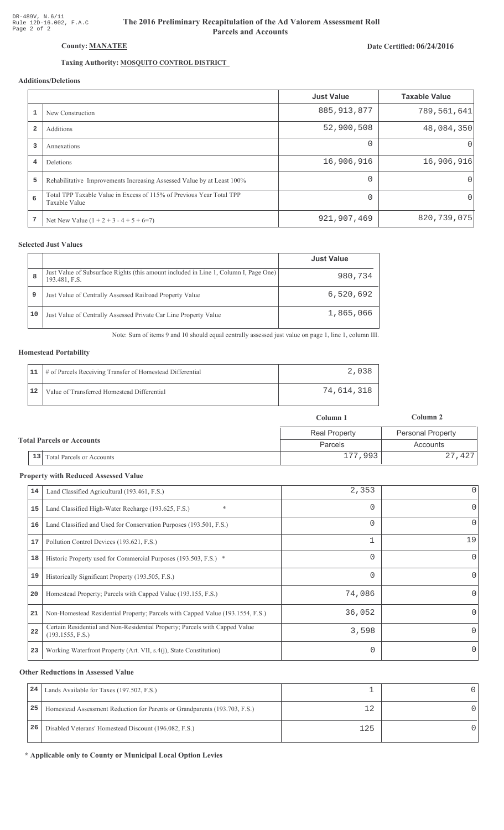# The 2016 Preliminary Recapitulation of the Ad Valorem Assessment Roll **Parcels and Accounts**

### Date Certified: 06/24/2016

# Taxing Authority: **MOSQUITO CONTROL DISTRICT**

## Additions/Deletions

|                         |                                                                                       | <b>Just Value</b> | <b>Taxable Value</b> |
|-------------------------|---------------------------------------------------------------------------------------|-------------------|----------------------|
|                         | New Construction                                                                      | 885, 913, 877     | 789,561,641          |
| $\overline{\mathbf{2}}$ | Additions                                                                             | 52,900,508        | 48,084,350           |
| 3                       | Annexations                                                                           | $\Omega$          | $\left( \right)$     |
| 4                       | <b>Deletions</b>                                                                      | 16,906,916        | 16,906,916           |
| 5                       | Rehabilitative Improvements Increasing Assessed Value by at Least 100%                | $\Omega$          | $\Omega$             |
| 6                       | Total TPP Taxable Value in Excess of 115% of Previous Year Total TPP<br>Taxable Value | $\Omega$          | $\Omega$             |
|                         | Net New Value $(1 + 2 + 3 - 4 + 5 + 6=7)$                                             | 921,907,469       | 820, 739, 075        |

### **Selected Just Values**

|    |                                                                                                       | <b>Just Value</b> |
|----|-------------------------------------------------------------------------------------------------------|-------------------|
| 8  | Just Value of Subsurface Rights (this amount included in Line 1, Column I, Page One)<br>193.481, F.S. | 980,734           |
| 9  | Just Value of Centrally Assessed Railroad Property Value                                              | 6,520,692         |
| 10 | Just Value of Centrally Assessed Private Car Line Property Value                                      | 1,865,066         |

Note: Sum of items 9 and 10 should equal centrally assessed just value on page 1, line 1, column III.

#### **Homestead Portability**

|    | 11   # of Parcels Receiving Transfer of Homestead Differential |            |
|----|----------------------------------------------------------------|------------|
| 12 | Value of Transferred Homestead Differential                    | 74,614,318 |

|                                      | Column 1             | Column 2                 |
|--------------------------------------|----------------------|--------------------------|
|                                      | <b>Real Property</b> | <b>Personal Property</b> |
| <b>Total Parcels or Accounts</b>     | Parcels              | Accounts                 |
| $\vert$ 13 Total Parcels or Accounts | 177,993              | 27,427                   |

#### **Property with Reduced Assessed Value**

| 14 | Land Classified Agricultural (193.461, F.S.)                                                    | 2,353    | 0            |
|----|-------------------------------------------------------------------------------------------------|----------|--------------|
| 15 | *<br>Land Classified High-Water Recharge (193.625, F.S.)                                        | 0        | 0            |
| 16 | Land Classified and Used for Conservation Purposes (193.501, F.S.)                              | 0        | 0            |
| 17 | Pollution Control Devices (193.621, F.S.)                                                       | 1        | 19           |
| 18 | Historic Property used for Commercial Purposes (193.503, F.S.) *                                | 0        | $\mathbf{0}$ |
| 19 | Historically Significant Property (193.505, F.S.)                                               | $\Omega$ | $\Omega$     |
| 20 | Homestead Property; Parcels with Capped Value (193.155, F.S.)                                   | 74,086   | 0            |
| 21 | Non-Homestead Residential Property; Parcels with Capped Value (193.1554, F.S.)                  | 36,052   | 0            |
| 22 | Certain Residential and Non-Residential Property; Parcels with Capped Value<br>(193.1555, F.S.) | 3,598    | 0            |
| 23 | Working Waterfront Property (Art. VII, s.4(j), State Constitution)                              |          | 0            |

#### **Other Reductions in Assessed Value**

| 24 | Lands Available for Taxes (197.502, F.S.)                                  |     |  |
|----|----------------------------------------------------------------------------|-----|--|
| 25 | Homestead Assessment Reduction for Parents or Grandparents (193.703, F.S.) |     |  |
| 26 | Disabled Veterans' Homestead Discount (196.082, F.S.)                      | 125 |  |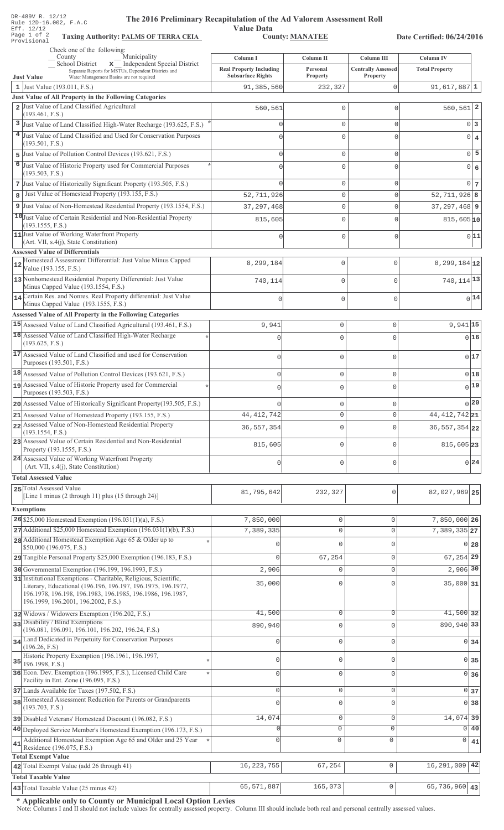|    | DR-489V R. 12/12<br>The 2016 Preliminary Recapitulation of the Ad Valorem Assessment Roll<br>Rule 12D-16.002, F.A.C                                                                                                                   |                                                            |                             |                                       |                                  |  |
|----|---------------------------------------------------------------------------------------------------------------------------------------------------------------------------------------------------------------------------------------|------------------------------------------------------------|-----------------------------|---------------------------------------|----------------------------------|--|
|    | <b>Value Data</b><br>Eff. 12/12<br>Page 1 of 2<br><b>County: MANATEE</b><br><b>Taxing Authority: PALMS OF TERRA CEIA</b><br>Date Certified: 06/24/2016                                                                                |                                                            |                             |                                       |                                  |  |
|    | Provisional<br>Check one of the following:                                                                                                                                                                                            |                                                            |                             |                                       |                                  |  |
|    | Municipality<br>County<br>School District<br>x _ Independent Special District                                                                                                                                                         | Column I                                                   | Column II                   | <b>Column III</b>                     | Column <sub>IV</sub>             |  |
|    | Separate Reports for MSTUs, Dependent Districts and<br>Water Management Basins are not required<br><b>Just Value</b>                                                                                                                  | <b>Real Property Including</b><br><b>Subsurface Rights</b> | Personal<br><b>Property</b> | <b>Centrally Assessed</b><br>Property | <b>Total Property</b>            |  |
|    | 1 Just Value $(193.011, F.S.)$                                                                                                                                                                                                        | 91,385,560                                                 | 232,327                     | $\mathbf{0}$                          | $91,617,887$ <sup>1</sup>        |  |
|    | Just Value of All Property in the Following Categories<br>Just Value of Land Classified Agricultural                                                                                                                                  | 560,561                                                    | 0                           |                                       | 2<br>560, 561                    |  |
|    | (193.461, F.S.)                                                                                                                                                                                                                       |                                                            |                             |                                       |                                  |  |
| 3  | Just Value of Land Classified High-Water Recharge (193.625, F.S.)                                                                                                                                                                     | $\mathbf 0$                                                | 0                           | $\mathbf{0}$                          | 0 <sup>3</sup>                   |  |
|    | Just Value of Land Classified and Used for Conservation Purposes<br>(193.501, F.S.)                                                                                                                                                   | $\bigcap$                                                  | 0                           | $\Omega$                              | $\overline{0}$<br>$\overline{4}$ |  |
| 5  | Just Value of Pollution Control Devices (193.621, F.S.)                                                                                                                                                                               | $\Omega$                                                   | 0                           | $\mathbf{0}$                          | 5<br>$\Omega$                    |  |
| 6  | Just Value of Historic Property used for Commercial Purposes<br>(193.503, F.S.)                                                                                                                                                       | $\bigcap$                                                  | 0                           | $\Omega$                              | 0 6                              |  |
| 7  | Just Value of Historically Significant Property (193.505, F.S.)                                                                                                                                                                       | $\Omega$                                                   | $\mathbf 0$                 | $\mathbf{0}$                          | 0 <sub>7</sub>                   |  |
| 8  | Just Value of Homestead Property (193.155, F.S.)                                                                                                                                                                                      | 52,711,926                                                 | 0                           | $\Omega$                              | $52, 711, 926$ 8                 |  |
|    | 9 Just Value of Non-Homestead Residential Property (193.1554, F.S.)                                                                                                                                                                   | 37, 297, 468                                               | 0                           | $\Omega$                              | $37, 297, 468$ 9                 |  |
|    | 10 Just Value of Certain Residential and Non-Residential Property                                                                                                                                                                     | 815,605                                                    | 0                           | C                                     | 815,605 10                       |  |
|    | (193.1555, F.S.)<br>11 Just Value of Working Waterfront Property                                                                                                                                                                      | $\Omega$                                                   | $\mathbf 0$                 | $\mathbf{0}$                          | 0 11                             |  |
|    | (Art. VII, s.4(j), State Constitution)                                                                                                                                                                                                |                                                            |                             |                                       |                                  |  |
|    | <b>Assessed Value of Differentials</b><br>Homestead Assessment Differential: Just Value Minus Capped                                                                                                                                  |                                                            |                             |                                       |                                  |  |
| 12 | Value (193.155, F.S.)                                                                                                                                                                                                                 | 8,299,184                                                  | $\mathsf 0$                 | $\Omega$                              | $8, 299, 184$ 12                 |  |
|    | 13 Nonhomestead Residential Property Differential: Just Value<br>Minus Capped Value (193.1554, F.S.)                                                                                                                                  | 740,114                                                    | $\mathbb O$                 | $\Omega$                              | 740, 114 13                      |  |
|    | 14 Certain Res. and Nonres. Real Property differential: Just Value                                                                                                                                                                    | $\cap$                                                     | $\mathsf 0$                 | $\Omega$                              | 0 14                             |  |
|    | Minus Capped Value (193.1555, F.S.)<br><b>Assessed Value of All Property in the Following Categories</b>                                                                                                                              |                                                            |                             |                                       |                                  |  |
|    | 15 Assessed Value of Land Classified Agricultural (193.461, F.S.)                                                                                                                                                                     | 9,941                                                      | 0                           | 0                                     | $9,941$ 15                       |  |
|    | 16 Assessed Value of Land Classified High-Water Recharge<br>(193.625, F.S.)                                                                                                                                                           | $\mathbf{0}$                                               | 0                           | $\Omega$                              | 016                              |  |
|    | 17 Assessed Value of Land Classified and used for Conservation<br>Purposes (193.501, F.S.)                                                                                                                                            | $\mathbf{0}$                                               | 0                           | 0                                     | 0 17                             |  |
|    | 18 Assessed Value of Pollution Control Devices (193.621, F.S.)                                                                                                                                                                        | $\mathbb O$                                                | $\mathsf{O}\xspace$         | 0                                     | 018                              |  |
|    | 19 Assessed Value of Historic Property used for Commercial                                                                                                                                                                            | n                                                          | 0                           | $\Omega$                              | 0 19                             |  |
|    | Purposes (193.503, F.S.)<br>20 Assessed Value of Historically Significant Property (193.505, F.S.)                                                                                                                                    |                                                            |                             |                                       | 0 20                             |  |
|    | 21 Assessed Value of Homestead Property (193.155, F.S.)                                                                                                                                                                               | 44, 412, 742                                               | 0<br>$\circ$                | 0<br>0                                | 44, 412, 742 21                  |  |
|    | 22 Assessed Value of Non-Homestead Residential Property                                                                                                                                                                               | 36, 557, 354                                               | 0                           | $\mathsf{O}\xspace$                   | 36, 557, 354 22                  |  |
|    | (193.1554, F.S.)<br>23 Assessed Value of Certain Residential and Non-Residential                                                                                                                                                      |                                                            |                             |                                       |                                  |  |
|    | Property (193.1555, F.S.)                                                                                                                                                                                                             | 815,605                                                    | $\mathsf{O}\xspace$         | 0                                     | 815,605 23                       |  |
|    | 24 Assessed Value of Working Waterfront Property<br>(Art. VII, s.4(j), State Constitution)                                                                                                                                            | $\mathbb O$                                                | $\mathbb O$                 | 0                                     | 0 24                             |  |
|    | <b>Total Assessed Value</b>                                                                                                                                                                                                           |                                                            |                             |                                       |                                  |  |
|    | 25 Total Assessed Value<br>[Line 1 minus (2 through 11) plus (15 through 24)]                                                                                                                                                         | 81,795,642                                                 | 232,327                     | $\mathsf{O}\xspace$                   | 82,027,969 25                    |  |
|    | <b>Exemptions</b>                                                                                                                                                                                                                     |                                                            |                             |                                       |                                  |  |
|    | 26 \$25,000 Homestead Exemption $(196.031(1)(a), F.S.)$                                                                                                                                                                               | 7,850,000                                                  | $\mathbb O$                 | 0                                     | 7,850,000 26                     |  |
|    | 27 Additional \$25,000 Homestead Exemption (196.031(1)(b), F.S.)                                                                                                                                                                      | 7,389,335                                                  | $\mathbb O$                 | $\mathsf{O}\xspace$                   | $7,389,335$ 27                   |  |
|    | 28 Additional Homestead Exemption Age 65 & Older up to<br>\$50,000 (196.075, F.S.)                                                                                                                                                    | $\Omega$                                                   | $\mathbf 0$                 | $\mathbf{0}$                          | 0 28                             |  |
|    | 29 Tangible Personal Property \$25,000 Exemption (196.183, F.S.)                                                                                                                                                                      | $\Omega$                                                   | 67,254                      | $\mathbb O$                           | 67, 254 29                       |  |
|    | 30 Governmental Exemption (196.199, 196.1993, F.S.)                                                                                                                                                                                   | 2,906                                                      | $\mathbf 0$                 | $\mathbb O$                           | 2,906 30                         |  |
|    | 31 Institutional Exemptions - Charitable, Religious, Scientific,<br>Literary, Educational (196.196, 196.197, 196.1975, 196.1977,<br>196.1978, 196.198, 196.1983, 196.1985, 196.1986, 196.1987,<br>196.1999, 196.2001, 196.2002, F.S.) | 35,000                                                     | $\mathbf 0$                 | $\mathbf 0$                           | $35,000$ 31                      |  |
|    | 32 Widows / Widowers Exemption (196.202, F.S.)                                                                                                                                                                                        | 41,500                                                     | $\mathbb O$                 | $\mathsf{O}\xspace$                   | 41,500 32                        |  |
|    | 33 Disability / Blind Exemptions<br>(196.081, 196.091, 196.101, 196.202, 196.24, F.S.)                                                                                                                                                | 890,940                                                    | $\mathbf 0$                 | $\mathbf 0$                           | 890,940 33                       |  |
|    | 34 Land Dedicated in Perpetuity for Conservation Purposes                                                                                                                                                                             | $\mathbf{0}$                                               | $\mathbb O$                 | $\mathbf{0}$                          | 0 34                             |  |
|    | (196.26, F.S)<br>Historic Property Exemption (196.1961, 196.1997,                                                                                                                                                                     |                                                            |                             |                                       |                                  |  |
|    | $35$ 196.1998, F.S.)                                                                                                                                                                                                                  | $\Omega$                                                   | $\mathbf 0$                 | $\mathbf{0}$                          | $\overline{0}$<br>35             |  |
|    | 36 Econ. Dev. Exemption (196.1995, F.S.), Licensed Child Care<br>Facility in Ent. Zone (196.095, F.S.)                                                                                                                                | $\Omega$                                                   | $\mathbf 0$                 | $\mathbf{0}$                          | 0 36                             |  |
|    | 37 Lands Available for Taxes (197.502, F.S.)                                                                                                                                                                                          | $\overline{0}$                                             | $\mathbb O$                 | $\mathbf 0$                           | 0 37                             |  |
|    | 38 Homestead Assessment Reduction for Parents or Grandparents<br>(193.703, F.S.)                                                                                                                                                      |                                                            | $\mathbf 0$                 | $\mathbf{0}$                          | 38<br>$\Omega$                   |  |
|    | 39 Disabled Veterans' Homestead Discount (196.082, F.S.)                                                                                                                                                                              | 14,074                                                     | $\mathbb O$                 | $\mathsf{O}\xspace$                   | 14,074 39                        |  |
|    | 40 Deployed Service Member's Homestead Exemption (196.173, F.S.)                                                                                                                                                                      |                                                            | 0                           | $\mathsf 0$                           | $\Omega$<br>40                   |  |
| 41 | Additional Homestead Exemption Age 65 and Older and 25 Year<br>Residence (196.075, F.S.)                                                                                                                                              | $\Omega$                                                   | 0                           | $\mathbf 0$                           | 0<br>41                          |  |
|    | <b>Total Exempt Value</b><br>42 Total Exempt Value (add 26 through 41)                                                                                                                                                                | 16, 223, 755                                               | 67,254                      | $\mathsf{O}\xspace$                   | 42<br>16,291,009                 |  |
|    | <b>Total Taxable Value</b>                                                                                                                                                                                                            |                                                            |                             |                                       |                                  |  |

Note: Columns I and II should not include values for centrally assessed property. Column III should include both real and personal centrally assessed values.

5
-5
:
<--1'-# -+1!- **43** 65,571,887 165,073 0 65,736,960 **43**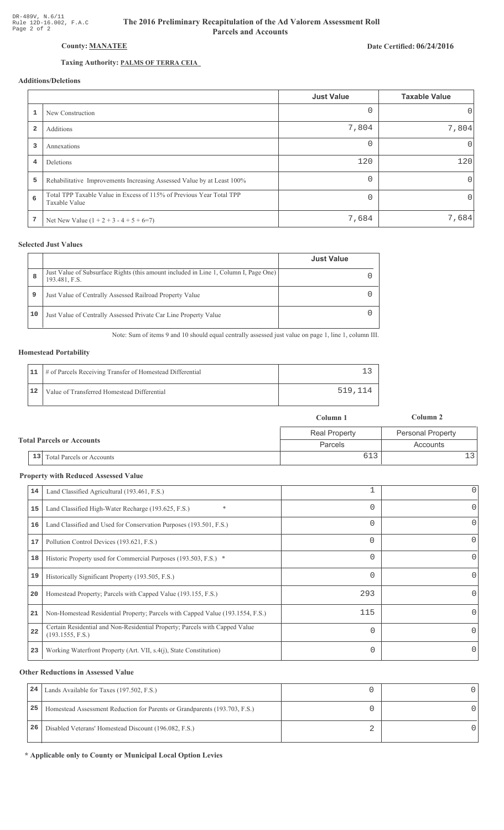## **County: MANATEE**

## Taxing Authority: PALMS OF TERRA CEIA

## **Additions/Deletions**

|                         |                                                                                       | <b>Just Value</b> | <b>Taxable Value</b> |
|-------------------------|---------------------------------------------------------------------------------------|-------------------|----------------------|
|                         | New Construction                                                                      | 0                 | $\Omega$             |
| $\overline{\mathbf{2}}$ | Additions                                                                             | 7,804             | 7,804                |
| 3                       | Annexations                                                                           | 0                 | $\Omega$             |
| $\overline{4}$          | Deletions                                                                             | 120               | 120                  |
| 5                       | Rehabilitative Improvements Increasing Assessed Value by at Least 100%                | 0                 | 0                    |
| 6                       | Total TPP Taxable Value in Excess of 115% of Previous Year Total TPP<br>Taxable Value | $\Omega$          | $\mathbf 0$          |
| 7                       | Net New Value $(1 + 2 + 3 - 4 + 5 + 6=7)$                                             | 7,684             | 7,684                |

### **Selected Just Values**

|    |                                                                                                       | <b>Just Value</b> |
|----|-------------------------------------------------------------------------------------------------------|-------------------|
| 8  | Just Value of Subsurface Rights (this amount included in Line 1, Column I, Page One)<br>193.481, F.S. |                   |
| 9  | Just Value of Centrally Assessed Railroad Property Value                                              |                   |
| 10 | Just Value of Centrally Assessed Private Car Line Property Value                                      |                   |

Note: Sum of items 9 and 10 should equal centrally assessed just value on page 1, line 1, column III.

# **Homestead Portability**

|    | 11   # of Parcels Receiving Transfer of Homestead Differential |         |
|----|----------------------------------------------------------------|---------|
| 12 | Value of Transferred Homestead Differential                    | 519.114 |

|                                  | Column 1             | Column 2                 |
|----------------------------------|----------------------|--------------------------|
|                                  | <b>Real Property</b> | <b>Personal Property</b> |
| <b>Total Parcels or Accounts</b> | Parcels              | Accounts                 |
| 13 Total Parcels or Accounts     |                      |                          |

## **Property with Reduced Assessed Value**

| 14 | Land Classified Agricultural (193.461, F.S.)                                                    |          | 0        |
|----|-------------------------------------------------------------------------------------------------|----------|----------|
| 15 | $\ast$<br>Land Classified High-Water Recharge (193.625, F.S.)                                   |          | 0        |
| 16 | Land Classified and Used for Conservation Purposes (193.501, F.S.)                              |          | 0        |
| 17 | Pollution Control Devices (193.621, F.S.)                                                       | $\Omega$ | 0        |
| 18 | Historic Property used for Commercial Purposes (193.503, F.S.) *                                |          | 0        |
| 19 | Historically Significant Property (193.505, F.S.)                                               |          | 0        |
| 20 | Homestead Property; Parcels with Capped Value (193.155, F.S.)                                   | 293      | 0        |
| 21 | Non-Homestead Residential Property; Parcels with Capped Value (193.1554, F.S.)                  | 115      | 0        |
| 22 | Certain Residential and Non-Residential Property; Parcels with Capped Value<br>(193.1555, F.S.) | $\Omega$ | $\Omega$ |
| 23 | Working Waterfront Property (Art. VII, s.4(j), State Constitution)                              | 0        | 0        |
|    |                                                                                                 |          |          |

## **Other Reductions in Assessed Value**

| 24 | Lands Available for Taxes (197.502, F.S.)                                  |  |
|----|----------------------------------------------------------------------------|--|
| 25 | Homestead Assessment Reduction for Parents or Grandparents (193.703, F.S.) |  |
| 26 | Disabled Veterans' Homestead Discount (196.082, F.S.)                      |  |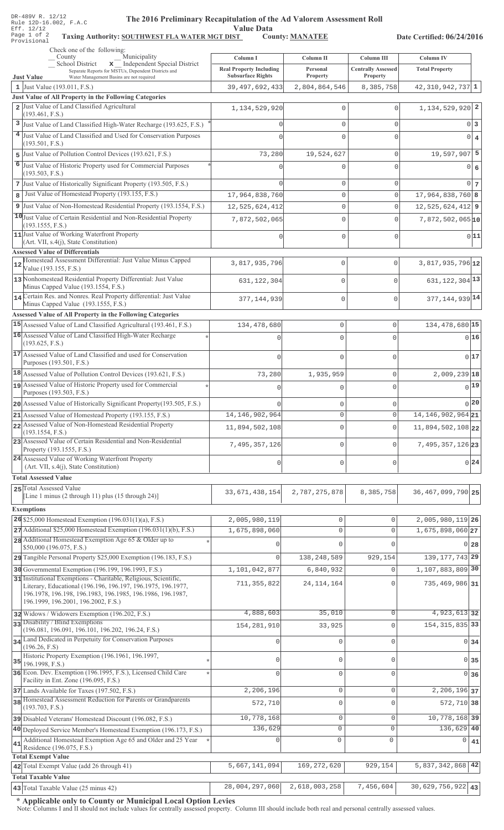| DR-489V R. 12/12 |  |  |                        |
|------------------|--|--|------------------------|
|                  |  |  | Rule 12D-16.002, F.A.C |
| Eff. 12/12       |  |  |                        |
| Page 1 of 2      |  |  | Taxing                 |
| Provisional      |  |  |                        |

### The 2016 Preliminary Recapitulation of the Ad Valorem Assessment Roll

Value Data<br>
ST County: MANATEE Taxing Authority: SOUTHWEST FLA WATER MGT DIST County: MANATEE

Date Certified: 06/24/2016

| Check one of the following:<br>Municipality<br>County                                                                                                                              | Column I                                                   | Column II            | Column III                            | <b>Column IV</b>                   |
|------------------------------------------------------------------------------------------------------------------------------------------------------------------------------------|------------------------------------------------------------|----------------------|---------------------------------------|------------------------------------|
| <b>School District</b><br>x _ Independent Special District<br>Separate Reports for MSTUs, Dependent Districts and<br><b>Just Value</b><br>Water Management Basins are not required | <b>Real Property Including</b><br><b>Subsurface Rights</b> | Personal<br>Property | <b>Centrally Assessed</b><br>Property | <b>Total Property</b>              |
| 1 Just Value (193.011, F.S.)                                                                                                                                                       | 39, 497, 692, 433                                          | 2,804,864,546        | 8,385,758                             | 42,310,942,737 1                   |
| Just Value of All Property in the Following Categories<br>2 Just Value of Land Classified Agricultural                                                                             |                                                            |                      |                                       |                                    |
| (193.461, F.S.)                                                                                                                                                                    | 1, 134, 529, 920                                           | $\mathbf 0$          | $\mathbf 0$                           | 1, 134, 529, 920 2                 |
| 3 Just Value of Land Classified High-Water Recharge (193.625, F.S.)                                                                                                                |                                                            | $\mathbf{0}$         | 0                                     | 0 <sup>3</sup>                     |
| 4 Just Value of Land Classified and Used for Conservation Purposes                                                                                                                 |                                                            | $\mathbf{0}$         | 0                                     | $0 \mid 4$                         |
| (193.501, F.S.)                                                                                                                                                                    |                                                            |                      |                                       |                                    |
| 5 Just Value of Pollution Control Devices (193.621, F.S.)                                                                                                                          | 73,280                                                     | 19,524,627           | 0                                     | 19,597,907 5                       |
| 6 Just Value of Historic Property used for Commercial Purposes<br>(193.503, F.S.)                                                                                                  |                                                            | 0                    | 0                                     | $0 \mid 6$                         |
| 7 Just Value of Historically Significant Property (193.505, F.S.)                                                                                                                  |                                                            | $\mathbf{0}$         | 0                                     | 0 <sub>7</sub>                     |
| Just Value of Homestead Property (193.155, F.S.)<br>$\mathbf{8}$                                                                                                                   | 17,964,838,760                                             | $\mathsf{O}\xspace$  | $\mathbf 0$                           | $17,964,838,760$ 8                 |
| 9 Just Value of Non-Homestead Residential Property (193.1554, F.S.)                                                                                                                | 12,525,624,412                                             | $\mathbb O$          | 0                                     | $12,525,624,412$ 9                 |
| 10 Just Value of Certain Residential and Non-Residential Property                                                                                                                  | 7,872,502,065                                              | $\mathbf{0}$         | $\Omega$                              | 7,872,502,065 10                   |
| (193.1555, F.S.)<br>11 Just Value of Working Waterfront Property                                                                                                                   |                                                            |                      |                                       |                                    |
| (Art. VII, s.4(j), State Constitution)                                                                                                                                             | Ω                                                          | $\mathbf{0}$         | $\mathbf 0$                           | 0 11                               |
| <b>Assessed Value of Differentials</b>                                                                                                                                             |                                                            |                      |                                       |                                    |
| Homestead Assessment Differential: Just Value Minus Capped<br>12<br>Value (193.155, F.S.)                                                                                          | 3,817,935,796                                              | 0                    | 0                                     | 3,817,935,796 12                   |
| 13 Nonhomestead Residential Property Differential: Just Value                                                                                                                      |                                                            | 0                    | $\Omega$                              | 631, 122, 304 13                   |
| Minus Capped Value (193.1554, F.S.)                                                                                                                                                | 631, 122, 304                                              |                      |                                       |                                    |
| 14 Certain Res. and Nonres. Real Property differential: Just Value                                                                                                                 | 377,144,939                                                | 0                    | $\mathbf{0}$                          | 377, 144, 939 14                   |
| Minus Capped Value (193.1555, F.S.)<br>Assessed Value of All Property in the Following Categories                                                                                  |                                                            |                      |                                       |                                    |
| 15 Assessed Value of Land Classified Agricultural (193.461, F.S.)                                                                                                                  | 134,478,680                                                | $\mathbb O$          | 0                                     | 134, 478, 680 15                   |
| 16 Assessed Value of Land Classified High-Water Recharge                                                                                                                           |                                                            |                      | $\Omega$                              | 016                                |
| (193.625, F.S.)                                                                                                                                                                    |                                                            | $\Omega$             |                                       |                                    |
| 17 Assessed Value of Land Classified and used for Conservation                                                                                                                     | $\cap$                                                     | $\Omega$             | $\Omega$                              | 017                                |
| Purposes (193.501, F.S.)                                                                                                                                                           |                                                            |                      |                                       |                                    |
| 18 Assessed Value of Pollution Control Devices (193.621, F.S.)                                                                                                                     | 73,280                                                     | 1,935,959            | 0                                     | 2,009,239 18                       |
| 19 Assessed Value of Historic Property used for Commercial<br>Purposes (193.503, F.S.)                                                                                             |                                                            | $\mathbf{0}$         | $\Omega$                              | 0 19                               |
| 20 Assessed Value of Historically Significant Property (193.505, F.S.)                                                                                                             |                                                            | $\mathbf 0$          | 0                                     | 0 20                               |
| 21 Assessed Value of Homestead Property (193.155, F.S.)                                                                                                                            | 14, 146, 902, 964                                          | $\mathbf 0$          | 0                                     | 14, 146, 902, 964 21               |
| 22 Assessed Value of Non-Homestead Residential Property                                                                                                                            | 11,894,502,108                                             | $\mathbf 0$          | 0                                     | 11,894,502,108 22                  |
| (193.1554, F.S.)<br>23 Assessed Value of Certain Residential and Non-Residential                                                                                                   |                                                            |                      |                                       |                                    |
| Property (193.1555, F.S.)                                                                                                                                                          | 7,495,357,126                                              | $\mathbf 0$          | $\Omega$                              | 7, 495, 357, 126 23                |
| 24 Assessed Value of Working Waterfront Property                                                                                                                                   | $\mathbf{0}$                                               | $\mathbf 0$          | 0                                     | 0 24                               |
| (Art. VII, s.4(j), State Constitution)                                                                                                                                             |                                                            |                      |                                       |                                    |
| <b>Total Assessed Value</b>                                                                                                                                                        |                                                            |                      |                                       |                                    |
| 25 Total Assessed Value<br>[Line 1 minus (2 through 11) plus (15 through 24)]                                                                                                      | 33, 671, 438, 154                                          | 2,787,275,878        | 8,385,758                             | 36, 467, 099, 790 25               |
| <b>Exemptions</b>                                                                                                                                                                  |                                                            |                      |                                       |                                    |
| 26 \$25,000 Homestead Exemption $(196.031(1)(a), F.S.)$                                                                                                                            | 2,005,980,119                                              | $\mathsf{O}\xspace$  | 0                                     | 2,005,980,119 26                   |
| 27 Additional \$25,000 Homestead Exemption (196.031(1)(b), F.S.)                                                                                                                   | 1,675,898,060                                              | $\mathsf{O}\xspace$  | $\mathbf 0$                           | $1,675,898,060$ <sub>27</sub>      |
| 28 Additional Homestead Exemption Age 65 & Older up to                                                                                                                             |                                                            | $\Omega$             | $\cap$                                | $0$ 28                             |
| \$50,000 (196.075, F.S.)                                                                                                                                                           |                                                            |                      |                                       |                                    |
| 29 Tangible Personal Property \$25,000 Exemption (196.183, F.S.)                                                                                                                   | $\Omega$                                                   | 138, 248, 589        | 929,154                               | 139, 177, 743 29                   |
| 30 Governmental Exemption (196.199, 196.1993, F.S.)<br>31 Institutional Exemptions - Charitable, Religious, Scientific,                                                            | 1,101,042,877                                              | 6,840,932            | $\Omega$                              | 1, 107, 883, 809 30                |
| Literary, Educational (196.196, 196.197, 196.1975, 196.1977,                                                                                                                       | 711, 355, 822                                              | 24, 114, 164         | $\Omega$                              | 735, 469, 986 31                   |
| 196.1978, 196.198, 196.1983, 196.1985, 196.1986, 196.1987,<br>196.1999, 196.2001, 196.2002, F.S.)                                                                                  |                                                            |                      |                                       |                                    |
| 32 Widows / Widowers Exemption (196.202, F.S.)                                                                                                                                     | 4,888,603                                                  | 35,010               | $\Omega$                              | 4,923,613 32                       |
| 33 Disability / Blind Exemptions                                                                                                                                                   |                                                            |                      |                                       |                                    |
| (196.081, 196.091, 196.101, 196.202, 196.24, F.S.)                                                                                                                                 | 154, 281, 910                                              | 33,925               | 0                                     | 154, 315, 835 33                   |
| 34 Land Dedicated in Perpetuity for Conservation Purposes<br>(196.26, F.S)                                                                                                         |                                                            | $\mathbf 0$          | $\Omega$                              | 0 34                               |
| Historic Property Exemption (196.1961, 196.1997,                                                                                                                                   |                                                            | $\mathbf{0}$         | $\Omega$                              |                                    |
| $35$ 196.1998, F.S.)                                                                                                                                                               | $\mathbf{0}$                                               |                      |                                       | 0 35                               |
| 36 Econ. Dev. Exemption (196.1995, F.S.), Licensed Child Care<br>Facility in Ent. Zone (196.095, F.S.)                                                                             | $\Omega$                                                   | $\mathbf 0$          | 0                                     | 0 36                               |
| 37 Lands Available for Taxes (197.502, F.S.)                                                                                                                                       | 2,206,196                                                  | $\mathbb O$          | 0                                     | 2, 206, 196 37                     |
| 38 Homestead Assessment Reduction for Parents or Grandparents                                                                                                                      | 572,710                                                    | $\mathsf{O}\xspace$  | 0                                     | 572, 710 38                        |
| (193.703, F.S.)                                                                                                                                                                    |                                                            |                      |                                       |                                    |
| 39 Disabled Veterans' Homestead Discount (196.082, F.S.)                                                                                                                           | 10,778,168                                                 | $\mathsf{O}\xspace$  | $\mathbf 0$                           | 10, 778, 168 39<br>136,629 40      |
| 40 Deployed Service Member's Homestead Exemption (196.173, F.S.)<br>Additional Homestead Exemption Age 65 and Older and 25 Year                                                    | 136,629                                                    | 0<br>$\circ$         | $\mathbf 0$                           |                                    |
| 41<br>Residence (196.075, F.S.)                                                                                                                                                    |                                                            |                      | 0                                     | $\Omega$<br>41                     |
| <b>Total Exempt Value</b>                                                                                                                                                          |                                                            |                      |                                       |                                    |
| 42 Total Exempt Value (add 26 through 41)                                                                                                                                          | 5,667,141,094                                              | 169, 272, 620        | 929,154                               | 5,837,342,868 42                   |
| <b>Total Taxable Value</b>                                                                                                                                                         |                                                            |                      |                                       |                                    |
| 43 Total Taxable Value (25 minus 42)                                                                                                                                               | 28,004,297,060                                             | 2,618,003,258        | 7,456,604                             | $\overline{30,629}, 756, 922   43$ |

\* Applicable only to County or Municipal Local Option Levies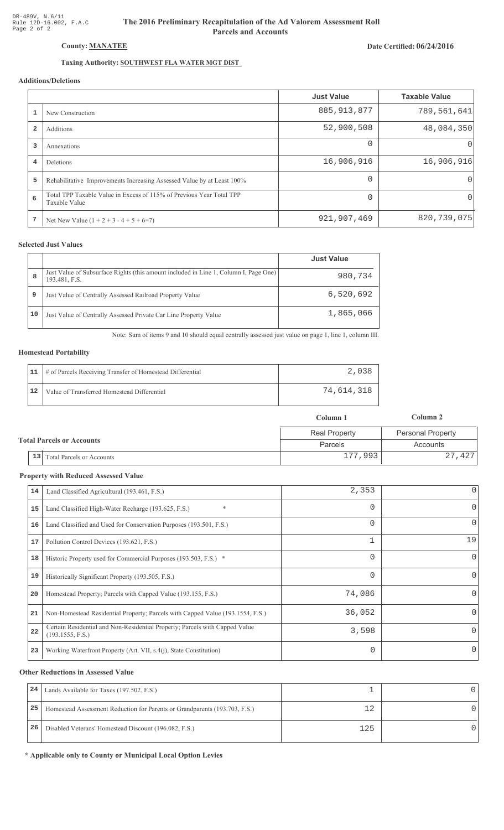# The 2016 Preliminary Recapitulation of the Ad Valorem Assessment Roll **Parcels and Accounts**

### Date Certified: 06/24/2016

# Taxing Authority: SOUTHWEST FLA WATER MGT DIST

## Additions/Deletions

|                         |                                                                                       | <b>Just Value</b> | <b>Taxable Value</b> |
|-------------------------|---------------------------------------------------------------------------------------|-------------------|----------------------|
|                         | New Construction                                                                      | 885, 913, 877     | 789,561,641          |
| $\overline{\mathbf{2}}$ | Additions                                                                             | 52,900,508        | 48,084,350           |
| 3                       | Annexations                                                                           | $\Omega$          | O                    |
| 4                       | <b>Deletions</b>                                                                      | 16,906,916        | 16,906,916           |
| 5                       | Rehabilitative Improvements Increasing Assessed Value by at Least 100%                |                   | 0                    |
| 6                       | Total TPP Taxable Value in Excess of 115% of Previous Year Total TPP<br>Taxable Value |                   | 0                    |
|                         | Net New Value $(1 + 2 + 3 - 4 + 5 + 6=7)$                                             | 921,907,469       | 820,739,075          |

### **Selected Just Values**

|    |                                                                                                       | <b>Just Value</b> |
|----|-------------------------------------------------------------------------------------------------------|-------------------|
| 8  | Just Value of Subsurface Rights (this amount included in Line 1, Column I, Page One)<br>193.481, F.S. | 980,734           |
| 9  | Just Value of Centrally Assessed Railroad Property Value                                              | 6,520,692         |
| 10 | Just Value of Centrally Assessed Private Car Line Property Value                                      | 1,865,066         |

Note: Sum of items 9 and 10 should equal centrally assessed just value on page 1, line 1, column III.

#### **Homestead Portability**

|    | 11   # of Parcels Receiving Transfer of Homestead Differential |            |
|----|----------------------------------------------------------------|------------|
| 12 | Value of Transferred Homestead Differential                    | 74,614,318 |

|                                  |                                      | Column 1             | Column 2                 |  |
|----------------------------------|--------------------------------------|----------------------|--------------------------|--|
| <b>Total Parcels or Accounts</b> |                                      | <b>Real Property</b> | <b>Personal Property</b> |  |
|                                  |                                      | Parcels              | Accounts                 |  |
|                                  | $\vert$ 13 Total Parcels or Accounts | 177,993              | 27,427                   |  |

#### **Property with Reduced Assessed Value**

| 14 | Land Classified Agricultural (193.461, F.S.)                                                    | 2,353    | 0            |
|----|-------------------------------------------------------------------------------------------------|----------|--------------|
| 15 | *<br>Land Classified High-Water Recharge (193.625, F.S.)                                        | 0        | 0            |
| 16 | Land Classified and Used for Conservation Purposes (193.501, F.S.)                              | 0        | 0            |
| 17 | Pollution Control Devices (193.621, F.S.)                                                       | 1        | 19           |
| 18 | Historic Property used for Commercial Purposes (193.503, F.S.) *                                | 0        | $\mathbf{0}$ |
| 19 | Historically Significant Property (193.505, F.S.)                                               | $\Omega$ | $\Omega$     |
| 20 | Homestead Property; Parcels with Capped Value (193.155, F.S.)                                   | 74,086   | 0            |
| 21 | Non-Homestead Residential Property; Parcels with Capped Value (193.1554, F.S.)                  | 36,052   | 0            |
| 22 | Certain Residential and Non-Residential Property; Parcels with Capped Value<br>(193.1555, F.S.) | 3,598    | 0            |
| 23 | Working Waterfront Property (Art. VII, s.4(j), State Constitution)                              |          | 0            |

#### **Other Reductions in Assessed Value**

| 24 | Lands Available for Taxes (197.502, F.S.)                                  |     |  |
|----|----------------------------------------------------------------------------|-----|--|
| 25 | Homestead Assessment Reduction for Parents or Grandparents (193.703, F.S.) |     |  |
| 26 | Disabled Veterans' Homestead Discount (196.082, F.S.)                      | 125 |  |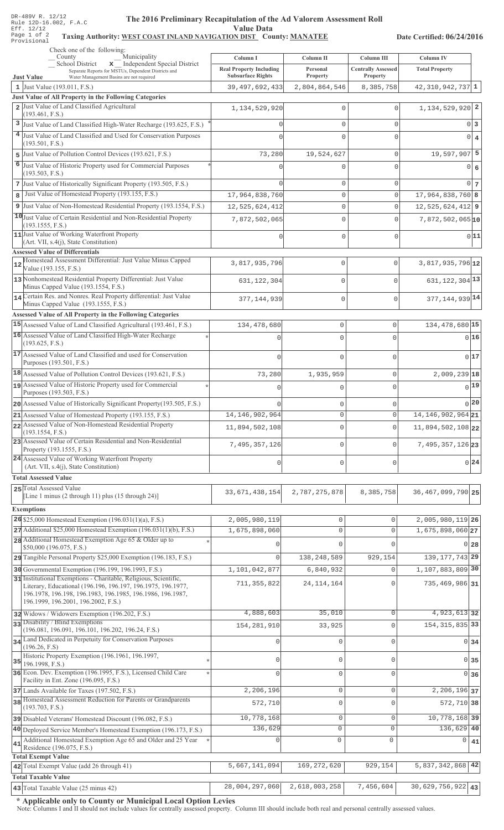## The 2016 Preliminary Recapitulation of the Ad Valorem Assessment Roll **Value Data**

# Taxing Authority: WEST COAST INLAND NAVIGATION DIST County: MANATEE

Date Certified: 06/24/2016

|    | Check one of the following:<br>Municipality<br>County                                                                             | Column I                       | Column II                  | Column III                | Column IV                        |                                  |
|----|-----------------------------------------------------------------------------------------------------------------------------------|--------------------------------|----------------------------|---------------------------|----------------------------------|----------------------------------|
|    | <b>School District</b><br>x Independent Special District                                                                          | <b>Real Property Including</b> | Personal                   | <b>Centrally Assessed</b> | <b>Total Property</b>            |                                  |
|    | Separate Reports for MSTUs, Dependent Districts and<br><b>Just Value</b><br>Water Management Basins are not required              | <b>Subsurface Rights</b>       | Property                   | Property                  |                                  |                                  |
|    | 1 Just Value $(193.011, F.S.)$                                                                                                    | 39, 497, 692, 433              | 2,804,864,546              | 8,385,758                 | $42,310,942,737$ 1               |                                  |
|    | Just Value of All Property in the Following Categories                                                                            |                                |                            |                           |                                  |                                  |
|    | 2 Just Value of Land Classified Agricultural<br>(193.461, F.S.)                                                                   | 1,134,529,920                  | 0                          | $\mathbf 0$               | $1,134,529,920$ <sup>2</sup>     |                                  |
| 3  | Just Value of Land Classified High-Water Recharge (193.625, F.S.)                                                                 |                                | 0                          | $\mathbf{0}$              |                                  | $0\vert 3$                       |
|    | 4 Just Value of Land Classified and Used for Conservation Purposes                                                                |                                | 0                          | $\mathbf{0}$              |                                  | $0 \mid 4$                       |
|    | (193.501, F.S.)                                                                                                                   |                                |                            |                           |                                  |                                  |
|    | 5 Just Value of Pollution Control Devices (193.621, F.S.)                                                                         | 73,280                         | 19,524,627                 | $\mathbf 0$               | $19,597,907$ 5                   |                                  |
| 6  | Just Value of Historic Property used for Commercial Purposes<br>(193.503, F.S.)                                                   |                                | $\Omega$                   | $\Omega$                  |                                  | 0 6                              |
|    | 7 Just Value of Historically Significant Property (193.505, F.S.)                                                                 |                                | 0                          | $\mathbf 0$               |                                  | $0\overline{7}$                  |
| 8  | Just Value of Homestead Property (193.155, F.S.)                                                                                  | 17,964,838,760                 | 0                          | $\mathbf 0$               | $17,964,838,760$ 8               |                                  |
|    | 9 Just Value of Non-Homestead Residential Property (193.1554, F.S.)                                                               | 12,525,624,412                 | 0                          | $\mathbf{0}$              | $12,525,624,412$ 9               |                                  |
|    | 10 Just Value of Certain Residential and Non-Residential Property                                                                 | 7,872,502,065                  | 0                          | $\mathbf 0$               | $7,872,502,065$ <sup>10</sup>    |                                  |
|    | (193.1555, F.S.)                                                                                                                  |                                |                            |                           |                                  |                                  |
|    | 11 Just Value of Working Waterfront Property<br>(Art. VII, s.4(j), State Constitution)                                            |                                | 0                          | $\mathbf{0}$              |                                  | 0 11                             |
|    | <b>Assessed Value of Differentials</b>                                                                                            |                                |                            |                           |                                  |                                  |
| 12 | Homestead Assessment Differential: Just Value Minus Capped                                                                        | 3,817,935,796                  | $\mathbf 0$                | $\mathbf{0}$              | 3,817,935,796 12                 |                                  |
|    | Value (193.155, F.S.)<br>13 Nonhomestead Residential Property Differential: Just Value<br>Minus Capped Value (193.1554, F.S.)     | 631, 122, 304                  | $\Omega$                   | $\Omega$                  | 631, 122, 304 13                 |                                  |
|    | 14 Certain Res. and Nonres. Real Property differential: Just Value                                                                |                                |                            |                           |                                  |                                  |
|    | Minus Capped Value (193.1555, F.S.)                                                                                               | 377, 144, 939                  | $\mathbf 0$                | $\mathbf{0}$              | 377, 144, 939 14                 |                                  |
|    | <b>Assessed Value of All Property in the Following Categories</b>                                                                 |                                |                            |                           |                                  |                                  |
|    | 15 Assessed Value of Land Classified Agricultural (193.461, F.S.)                                                                 | 134,478,680                    | $\mathsf 0$                | 0                         | 134, 478, 680 15                 |                                  |
|    | 16 Assessed Value of Land Classified High-Water Recharge<br>(193.625, F.S.)                                                       |                                | $\Omega$                   | $\Omega$                  |                                  | 0 16                             |
|    | 17 Assessed Value of Land Classified and used for Conservation                                                                    |                                |                            |                           |                                  | 0 17                             |
|    | Purposes (193.501, F.S.)                                                                                                          | $\Omega$                       | $\Omega$                   | $\Omega$                  |                                  |                                  |
|    | 18 Assessed Value of Pollution Control Devices (193.621, F.S.)                                                                    | 73,280                         | 1,935,959                  | $\circ$                   | $2,009,239$ <sup>18</sup>        |                                  |
|    | 19 Assessed Value of Historic Property used for Commercial                                                                        | $\Omega$                       | 0                          | $\Omega$                  |                                  | 0 19                             |
|    | Purposes (193.503, F.S.)                                                                                                          |                                |                            |                           |                                  | 0 20                             |
|    | 20 Assessed Value of Historically Significant Property (193.505, F.S.)<br>21 Assessed Value of Homestead Property (193.155, F.S.) |                                | $\mathsf 0$<br>$\mathbf 0$ | 0<br>$\mathbf 0$          | 14, 146, 902, 964 21             |                                  |
|    | 22 Assessed Value of Non-Homestead Residential Property                                                                           | 14, 146, 902, 964              |                            |                           |                                  |                                  |
|    | (193.1554, F.S.)                                                                                                                  | 11,894,502,108                 | $\mathbf 0$                | $\mathbf{0}$              | 11,894,502,108 22                |                                  |
|    | 23 Assessed Value of Certain Residential and Non-Residential<br>Property (193.1555, F.S.)                                         | 7,495,357,126                  | $\mathbf 0$                | $\Omega$                  | 7, 495, 357, 126 23              |                                  |
|    | 24 Assessed Value of Working Waterfront Property<br>(Art. VII, s.4(j), State Constitution)                                        | 0                              | $\mathbf 0$                | $\mathbf 0$               |                                  | 0.24                             |
|    | <b>Total Assessed Value</b>                                                                                                       |                                |                            |                           |                                  |                                  |
|    | 25 Total Assessed Value                                                                                                           | 33, 671, 438, 154              | 2,787,275,878              | 8,385,758                 | 36, 467, 099, 790 25             |                                  |
|    | [Line 1 minus (2 through 11) plus (15 through 24)]                                                                                |                                |                            |                           |                                  |                                  |
|    | <b>Exemptions</b>                                                                                                                 |                                |                            |                           |                                  |                                  |
|    | 26 \$25,000 Homestead Exemption (196.031(1)(a), F.S.)                                                                             | 2,005,980,119                  | 0                          | $\mathbf 0$               | 2,005,980,119 26                 |                                  |
|    | $27$ Additional \$25,000 Homestead Exemption (196.031(1)(b), F.S.)                                                                | 1,675,898,060                  | 0                          | $\mathbf{0}$              | 1,675,898,060 27                 |                                  |
|    | 28 Additional Homestead Exemption Age 65 & Older up to<br>\$50,000 (196.075, F.S.)                                                |                                | 0                          | $\mathbf{0}$              |                                  | $0\vert 28$                      |
|    | 29 Tangible Personal Property \$25,000 Exemption (196.183, F.S.)                                                                  | $\cap$                         | 138,248,589                | 929,154                   | 139, 177, 743 29                 |                                  |
|    | 30 Governmental Exemption (196.199, 196.1993, F.S.)                                                                               | 1,101,042,877                  | 6,840,932                  | $\mathbf 0$               | 1, 107, 883, 809 30              |                                  |
|    | 31 Institutional Exemptions - Charitable, Religious, Scientific,                                                                  | 711, 355, 822                  | 24, 114, 164               | $\mathbf 0$               | 735,469,986 31                   |                                  |
|    | Literary, Educational (196.196, 196.197, 196.1975, 196.1977,<br>196.1978, 196.198, 196.1983, 196.1985, 196.1986, 196.1987,        |                                |                            |                           |                                  |                                  |
|    | 196.1999, 196.2001, 196.2002, F.S.)                                                                                               |                                |                            |                           |                                  |                                  |
|    | 32 Widows / Widowers Exemption (196.202, F.S.)                                                                                    | 4,888,603                      | 35,010                     | $\mathbf 0$               | 4,923,613 32                     |                                  |
|    | 33 Disability / Blind Exemptions<br>(196.081, 196.091, 196.101, 196.202, 196.24, F.S.)                                            | 154, 281, 910                  | 33,925                     | $\mathbf 0$               | 154, 315, 835 33                 |                                  |
|    | 34 Land Dedicated in Perpetuity for Conservation Purposes<br>(196.26, F.S)                                                        |                                | 0                          | $\circ$                   |                                  | $0 \overline{\smash)34}$         |
|    | Historic Property Exemption (196.1961, 196.1997,                                                                                  | $\Omega$                       | 0                          | $\mathbf{0}$              |                                  | $0 \overline{\smash{\big)}\ 35}$ |
|    | $35$ 196.1998, F.S.)                                                                                                              |                                |                            |                           |                                  |                                  |
|    | 36 Econ. Dev. Exemption (196.1995, F.S.), Licensed Child Care<br>Facility in Ent. Zone (196.095, F.S.)                            | $\Omega$                       | 0                          | $\mathbf{0}$              |                                  | $0 \overline{\smash{\big)}\ 36}$ |
|    | 37 Lands Available for Taxes (197.502, F.S.)                                                                                      | 2,206,196                      | 0                          | $\mathbf 0$               | 2, 206, 196 37                   |                                  |
|    | 38 Homestead Assessment Reduction for Parents or Grandparents<br>(193.703, F.S.)                                                  | 572,710                        | 0                          | $\mathbf{0}$              | 572, 710 38                      |                                  |
|    | 39 Disabled Veterans' Homestead Discount (196.082, F.S.)                                                                          | 10,778,168                     | 0                          | $\mathbf{0}$              | 10, 778, 168 39                  |                                  |
|    | 40 Deployed Service Member's Homestead Exemption (196.173, F.S.)                                                                  | 136,629                        | $\mathbf{0}$               | $\mathbf{0}$              | 136,629 40                       |                                  |
|    | Additional Homestead Exemption Age 65 and Older and 25 Year                                                                       |                                | $\mathbf 0$                | $\mathbf{0}$              | 0                                | 41                               |
| 41 | Residence (196.075, F.S.)                                                                                                         |                                |                            |                           |                                  |                                  |
|    | <b>Total Exempt Value</b><br>42 Total Exempt Value (add 26 through 41)                                                            | 5,667,141,094                  | 169, 272, 620              | 929,154                   | $5,837,342,868$ 42               |                                  |
|    | <b>Total Taxable Value</b>                                                                                                        |                                |                            |                           |                                  |                                  |
|    | $\vert$ 43 Total Taxable Value (25 minus 42)                                                                                      | 28,004,297,060                 | 2,618,003,258              | 7,456,604                 | $\overline{30,629}, 756, 922$ 43 |                                  |

\* Applicable only to County or Municipal Local Option Levies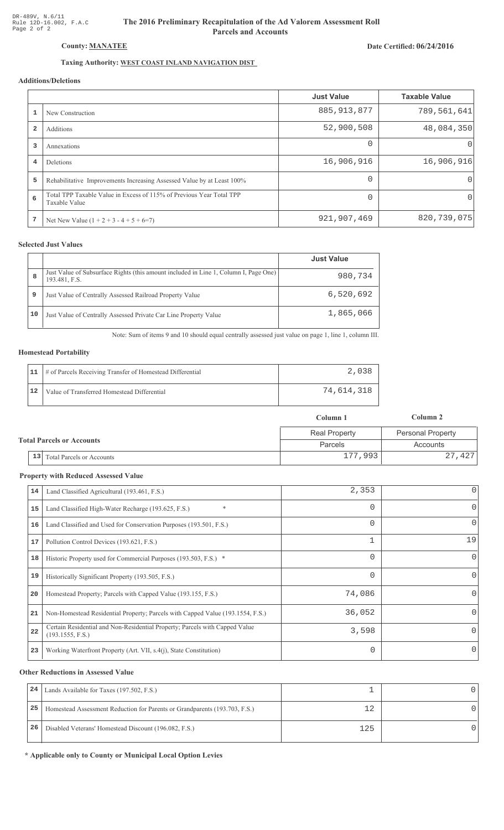# The 2016 Preliminary Recapitulation of the Ad Valorem Assessment Roll **Parcels and Accounts**

# Date Certified: 06/24/2016

# Taxing Authority: WEST COAST INLAND NAVIGATION DIST

## **Additions/Deletions**

|                |                                                                                       | <b>Just Value</b> | <b>Taxable Value</b> |
|----------------|---------------------------------------------------------------------------------------|-------------------|----------------------|
|                | New Construction                                                                      | 885, 913, 877     | 789,561,641          |
| $\overline{2}$ | Additions                                                                             | 52,900,508        | 48,084,350           |
| 3              | Annexations                                                                           | $\Omega$          | $\Omega$             |
| 4              | <b>Deletions</b>                                                                      | 16,906,916        | 16,906,916           |
| 5              | Rehabilitative Improvements Increasing Assessed Value by at Least 100%                | $\Omega$          | $\Omega$             |
| 6              | Total TPP Taxable Value in Excess of 115% of Previous Year Total TPP<br>Taxable Value |                   | $\Omega$             |
| 7              | Net New Value $(1 + 2 + 3 - 4 + 5 + 6=7)$                                             | 921,907,469       | 820, 739, 075        |

## **Selected Just Values**

|    |                                                                                                       | <b>Just Value</b> |
|----|-------------------------------------------------------------------------------------------------------|-------------------|
| 8  | Just Value of Subsurface Rights (this amount included in Line 1, Column I, Page One)<br>193.481, F.S. | 980,734           |
| 9  | Just Value of Centrally Assessed Railroad Property Value                                              | 6,520,692         |
| 10 | Just Value of Centrally Assessed Private Car Line Property Value                                      | 1,865,066         |

Note: Sum of items 9 and 10 should equal centrally assessed just value on page 1, line 1, column III.

#### **Homestead Portability**

|    | 11   # of Parcels Receiving Transfer of Homestead Differential |            |
|----|----------------------------------------------------------------|------------|
| 12 | Value of Transferred Homestead Differential                    | 74,614,318 |

|                                  |                                        | Column 1             | Column 2                 |  |
|----------------------------------|----------------------------------------|----------------------|--------------------------|--|
| <b>Total Parcels or Accounts</b> |                                        | <b>Real Property</b> | <b>Personal Property</b> |  |
|                                  |                                        | Parcels              | Accounts                 |  |
|                                  | 13<br><b>Total Parcels or Accounts</b> | 177,993              | 27,427                   |  |

#### **Property with Reduced Assessed Value**

| 14 | Land Classified Agricultural (193.461, F.S.)                                                    | 2,353    | 0            |
|----|-------------------------------------------------------------------------------------------------|----------|--------------|
| 15 | *<br>Land Classified High-Water Recharge (193.625, F.S.)                                        | 0        | 0            |
| 16 | Land Classified and Used for Conservation Purposes (193.501, F.S.)                              | 0        | 0            |
| 17 | Pollution Control Devices (193.621, F.S.)                                                       | 1        | 19           |
| 18 | Historic Property used for Commercial Purposes (193.503, F.S.) *                                | 0        | $\mathbf{0}$ |
| 19 | Historically Significant Property (193.505, F.S.)                                               | $\Omega$ | $\Omega$     |
| 20 | Homestead Property; Parcels with Capped Value (193.155, F.S.)                                   | 74,086   | 0            |
| 21 | Non-Homestead Residential Property; Parcels with Capped Value (193.1554, F.S.)                  | 36,052   | 0            |
| 22 | Certain Residential and Non-Residential Property; Parcels with Capped Value<br>(193.1555, F.S.) | 3,598    | 0            |
| 23 | Working Waterfront Property (Art. VII, s.4(j), State Constitution)                              |          | 0            |

#### **Other Reductions in Assessed Value**

| 24 | Lands Available for Taxes (197.502, F.S.)                                  |     |  |
|----|----------------------------------------------------------------------------|-----|--|
| 25 | Homestead Assessment Reduction for Parents or Grandparents (193.703, F.S.) |     |  |
| 26 | Disabled Veterans' Homestead Discount (196.082, F.S.)                      | 125 |  |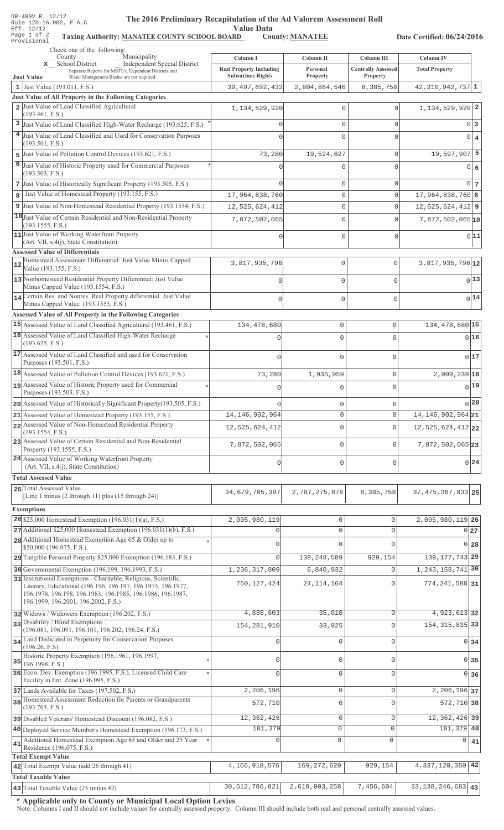| DR-489V R. 12/12 |  |  |                        |
|------------------|--|--|------------------------|
|                  |  |  | Rule 12D-16.002, F.A.C |
| Eff. 12/12       |  |  |                        |
| Page 1 of 2      |  |  | Taxing                 |
| Provisional      |  |  |                        |

# The 2016 Preliminary Recapitulation of the Ad Valorem Assessment Roll

Value Data<br>
RD County: MANATEE Taxing Authority: MANATEE COUNTY SCHOOL BOARD County: MANATEE

Date Certified: 06/24/2016

| Check one of the following:<br>Municipality<br>County                                                                                                                                                                                 |                                                            |                             |                                       |                                       |
|---------------------------------------------------------------------------------------------------------------------------------------------------------------------------------------------------------------------------------------|------------------------------------------------------------|-----------------------------|---------------------------------------|---------------------------------------|
| Independent Special District<br>x School District                                                                                                                                                                                     | Column I                                                   | Column II                   | Column III                            | Column <sub>IV</sub>                  |
| Separate Reports for MSTUs, Dependent Districts and<br><b>Just Value</b><br>Water Management Basins are not required                                                                                                                  | <b>Real Property Including</b><br><b>Subsurface Rights</b> | Personal<br>Property        | <b>Centrally Assessed</b><br>Property | <b>Total Property</b>                 |
| 1 Just Value $(193.011, F.S.)$                                                                                                                                                                                                        | 39, 497, 692, 433                                          | 2,804,864,546               | 8,385,758                             | $42,310,942,737$ 1                    |
| Just Value of All Property in the Following Categories                                                                                                                                                                                |                                                            |                             |                                       |                                       |
| 2 Just Value of Land Classified Agricultural<br>(193.461, F.S.)                                                                                                                                                                       | 1,134,529,920                                              | $\Omega$                    | $\Omega$                              | $1,134,529,920$ 2                     |
| 3 Just Value of Land Classified High-Water Recharge (193.625, F.S.)                                                                                                                                                                   |                                                            | $\mathbf{0}$                | $\mathbf 0$                           | $0\vert 3$                            |
| 4 Just Value of Land Classified and Used for Conservation Purposes                                                                                                                                                                    |                                                            | $\Omega$                    | $\Omega$                              | $\overline{0}$<br>$\overline{4}$      |
| (193.501, F.S.)<br>5 Just Value of Pollution Control Devices (193.621, F.S.)                                                                                                                                                          | 73,280                                                     | 19,524,627                  | $\mathbf 0$                           | $19,597,907$ 5                        |
| 6 Just Value of Historic Property used for Commercial Purposes                                                                                                                                                                        |                                                            |                             | $\cap$                                | 6<br>$\circ$                          |
| (193.503, F.S.)                                                                                                                                                                                                                       |                                                            |                             |                                       |                                       |
| 7 Just Value of Historically Significant Property (193.505, F.S.)                                                                                                                                                                     |                                                            | $\mathbf 0$                 | $\mathbf 0$                           | $0\vert 7$                            |
| Just Value of Homestead Property (193.155, F.S.)<br>8                                                                                                                                                                                 | 17,964,838,760                                             | $\mathbf 0$                 | $\Omega$                              | $17,964,838,760$ 8                    |
| 9 Just Value of Non-Homestead Residential Property (193.1554, F.S.)                                                                                                                                                                   | 12,525,624,412                                             | $\mathbf 0$                 | $\Omega$                              | $12,525,624,412$ 9                    |
| 10 Just Value of Certain Residential and Non-Residential Property<br>(193.1555, F.S.)<br>11 Just Value of Working Waterfront Property                                                                                                 | 7,872,502,065                                              | O<br>$\Omega$               | $\Omega$<br>$\Omega$                  | $7,872,502,065$ <sup>10</sup><br>0 11 |
| (Art. VII, s.4(j), State Constitution)                                                                                                                                                                                                |                                                            |                             |                                       |                                       |
| <b>Assessed Value of Differentials</b><br>Homestead Assessment Differential: Just Value Minus Capped                                                                                                                                  |                                                            |                             |                                       |                                       |
| Value (193.155, F.S.)<br>13 Nonhomestead Residential Property Differential: Just Value                                                                                                                                                | 3,817,935,796                                              | 0                           | $\mathbf{0}$                          | $3,817,935,796$ <sup>12</sup>         |
| Minus Capped Value (193.1554, F.S.)<br>14 Certain Res. and Nonres. Real Property differential: Just Value                                                                                                                             | $\Omega$                                                   | 0                           | $\mathbf 0$                           | $0$ <sup>13</sup>                     |
| Minus Capped Value (193.1555, F.S.)                                                                                                                                                                                                   | O                                                          | 0                           | $\mathbf 0$                           | $0$ <sup>14</sup>                     |
| Assessed Value of All Property in the Following Categories                                                                                                                                                                            |                                                            |                             |                                       |                                       |
| 15 Assessed Value of Land Classified Agricultural (193.461, F.S.)                                                                                                                                                                     | 134, 478, 680                                              | $\mathbf 0$                 | 0                                     | 134, 478, 680 15                      |
| 16 Assessed Value of Land Classified High-Water Recharge<br>(193.625, F.S.)                                                                                                                                                           |                                                            | $\Omega$                    | $\Omega$                              | 016                                   |
| 17 Assessed Value of Land Classified and used for Conservation<br>Purposes (193.501, F.S.)                                                                                                                                            | n                                                          | $\Omega$                    | 0                                     | 0 17                                  |
| 18 Assessed Value of Pollution Control Devices (193.621, F.S.)                                                                                                                                                                        | 73,280                                                     | 1,935,959                   | $\mathbf 0$                           | 2,009,239 18                          |
| 19 Assessed Value of Historic Property used for Commercial                                                                                                                                                                            |                                                            | $\Omega$                    | 0                                     | $0$ <sup>19</sup>                     |
| Purposes (193.503, F.S.)                                                                                                                                                                                                              |                                                            |                             |                                       |                                       |
| 20 Assessed Value of Historically Significant Property (193.505, F.S.)                                                                                                                                                                |                                                            | 0                           | 0                                     | 0 20                                  |
| 21 Assessed Value of Homestead Property (193.155, F.S.)                                                                                                                                                                               | 14, 146, 902, 964                                          | $\mathsf{O}\xspace$         | 0                                     | 14, 146, 902, 964 21                  |
| 22 Assessed Value of Non-Homestead Residential Property<br>(193.1554, F.S.)                                                                                                                                                           | 12,525,624,412                                             | $\mathbf 0$                 | $\mathbf 0$                           | 12,525,624,412 22                     |
| 23 Assessed Value of Certain Residential and Non-Residential<br>Property (193.1555, F.S.)                                                                                                                                             | 7,872,502,065                                              | $\mathbf 0$                 | $\mathbf{0}$                          | 7,872,502,065 23                      |
| 24 Assessed Value of Working Waterfront Property<br>(Art. VII, s.4(j), State Constitution)                                                                                                                                            | 0                                                          | $\mathbf 0$                 | $\mathbf{0}$                          | 0 24                                  |
| <b>Total Assessed Value</b>                                                                                                                                                                                                           |                                                            |                             |                                       |                                       |
| 25 Total Assessed Value<br>[Line 1 minus $(2 \text{ through } 11)$ plus $(15 \text{ through } 24)$ ]                                                                                                                                  | 34,679,705,397                                             | 2,787,275,878               | 8,385,758                             | 37, 475, 367, 033 25                  |
| <b>Exemptions</b>                                                                                                                                                                                                                     |                                                            |                             |                                       |                                       |
| 26 \$25,000 Homestead Exemption $(196.031(1)(a), F.S.)$<br>27 Additional \$25,000 Homestead Exemption (196.031(1)(b), F.S.)                                                                                                           | 2,005,980,119<br>$\Omega$                                  | $\mathbb O$<br>$\mathbf{0}$ | $\Omega$<br>$\Omega$                  | 2,005,980,119 26                      |
| 28 Additional Homestead Exemption Age 65 & Older up to                                                                                                                                                                                |                                                            |                             |                                       | 0 27                                  |
| \$50,000 (196.075, F.S.)                                                                                                                                                                                                              | $\Omega$                                                   | $\Omega$                    | $\Omega$                              | 0 <sub>28</sub>                       |
| 29 Tangible Personal Property \$25,000 Exemption (196.183, F.S.)                                                                                                                                                                      | $\Omega$                                                   | 138, 248, 589               | 929,154                               | 139, 177, 743 29                      |
| 30 Governmental Exemption (196.199, 196.1993, F.S.)                                                                                                                                                                                   | 1,236,317,809                                              | 6,840,932                   | $\Omega$                              | 1, 243, 158, 741 30                   |
| 31 Institutional Exemptions - Charitable, Religious, Scientific,<br>Literary, Educational (196.196, 196.197, 196.1975, 196.1977,<br>196.1978, 196.198, 196.1983, 196.1985, 196.1986, 196.1987,<br>196.1999, 196.2001, 196.2002, F.S.) | 750, 127, 424                                              | 24, 114, 164                | $\Omega$                              | 774, 241, 588 31                      |
| 32 Widows / Widowers Exemption (196.202, F.S.)                                                                                                                                                                                        | 4,888,603                                                  | 35,010                      | $\circ$                               | 4,923,613 32                          |
| 33 Disability / Blind Exemptions<br>(196.081, 196.091, 196.101, 196.202, 196.24, F.S.)                                                                                                                                                | 154, 281, 910                                              | 33,925                      | $\Omega$                              | 154, 315, 835 33                      |
| 34 Land Dedicated in Perpetuity for Conservation Purposes<br>(196.26, F.S)                                                                                                                                                            | $\mathbf 0$                                                | $\mathbf{0}$                | $\mathbf{0}$                          | $0\overline{34}$                      |
| Historic Property Exemption (196.1961, 196.1997,<br>$35$ 196.1998, F.S.)                                                                                                                                                              | $\mathbf{0}$                                               | $\mathbb O$                 | $\Omega$                              | 0 35                                  |
| 36 Econ. Dev. Exemption (196.1995, F.S.), Licensed Child Care<br>Facility in Ent. Zone (196.095, F.S.)                                                                                                                                | $\Omega$                                                   | $\mathbf{0}$                | $\Omega$                              | 0 36                                  |
| 37 Lands Available for Taxes (197.502, F.S.)                                                                                                                                                                                          | 2,206,196                                                  | $\circ$                     | $\Omega$                              | 2, 206, 196 37                        |
| 38 Homestead Assessment Reduction for Parents or Grandparents<br>(193.703, F.S.)                                                                                                                                                      | 572,710                                                    | $\mathbf 0$                 | $\Omega$                              | 572, 710 38                           |
| 39 Disabled Veterans' Homestead Discount (196.082, F.S.)                                                                                                                                                                              | 12,362,426                                                 | 0                           | $\mathbf 0$                           | 12, 362, 426 39                       |
| 40 Deployed Service Member's Homestead Exemption (196.173, F.S.)                                                                                                                                                                      | 181,379                                                    | $\mathbf 0$                 | $\mathbf 0$                           | 181,379 40                            |
| Additional Homestead Exemption Age 65 and Older and 25 Year<br>41                                                                                                                                                                     | $\mathbf{0}$                                               | $\circ$                     | $\mathsf{O}\xspace$                   | 0<br>41                               |
| Residence (196.075, F.S.)<br><b>Total Exempt Value</b>                                                                                                                                                                                |                                                            |                             |                                       |                                       |
| 42 Total Exempt Value (add 26 through 41)                                                                                                                                                                                             | 4,166,918,576                                              | 169, 272, 620               | 929,154                               | 4, 337, 120, 350 42                   |
| <b>Total Taxable Value</b>                                                                                                                                                                                                            |                                                            |                             |                                       |                                       |
| 43 Total Taxable Value (25 minus 42)                                                                                                                                                                                                  | 30,512,786,821                                             | 2,618,003,258               | 7,456,604                             | $33, 138, 246, 683$ 43                |

\* Applicable only to County or Municipal Local Option Levies